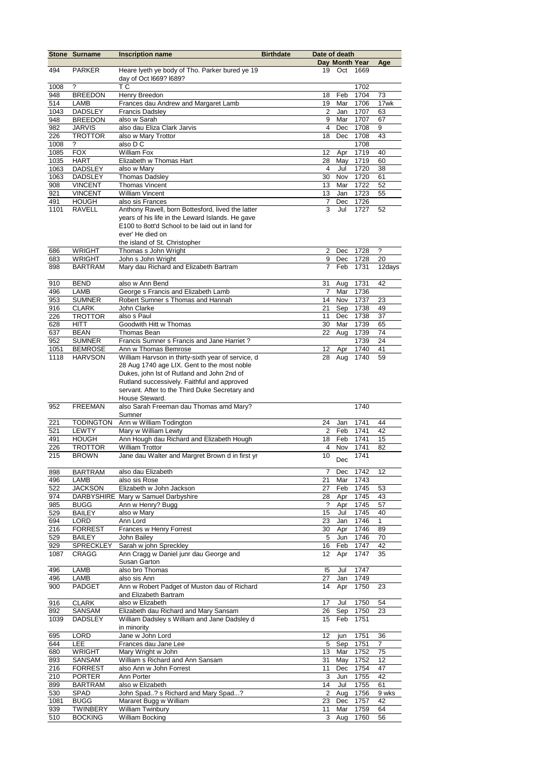|             | <b>Stone Surname</b>            | <b>Inscription name</b>                                                  | <b>Birthdate</b> | Date of death           |                       |              |                      |
|-------------|---------------------------------|--------------------------------------------------------------------------|------------------|-------------------------|-----------------------|--------------|----------------------|
| 494         | <b>PARKER</b>                   |                                                                          |                  | 19                      | Day Month Year<br>Oct | 1669         | Age                  |
|             |                                 | Heare lyeth ye body of Tho. Parker bured ye 19<br>day of Oct I669? I689? |                  |                         |                       |              |                      |
| 1008        | ?                               | ТC                                                                       |                  |                         |                       | 1702         |                      |
| 948         | <b>BREEDON</b>                  | Henry Breedon                                                            |                  | 18                      | Feb                   | 1704         | 73                   |
| 514         | LAMB                            | Frances dau Andrew and Margaret Lamb                                     |                  | 19                      | Mar                   | 1706         | 17wk                 |
| 1043        | <b>DADSLEY</b>                  | <b>Francis Dadsley</b>                                                   |                  | 2                       | Jan                   | 1707         | 63                   |
| 948         | <b>BREEDON</b>                  | also w Sarah                                                             |                  | 9<br>$\overline{4}$     | Mar                   | 1707         | 67                   |
| 982<br>226  | <b>JARVIS</b><br><b>TROTTOR</b> | also dau Eliza Clark Jarvis<br>also w Mary Trottor                       |                  | 18                      | Dec<br>Dec            | 1708<br>1708 | 9<br>43              |
| 1008        | ?                               | also D C                                                                 |                  |                         |                       | 1708         |                      |
| 1085        | <b>FOX</b>                      | <b>William Fox</b>                                                       |                  | 12                      | Apr                   | 1719         | 40                   |
| 1035        | <b>HART</b>                     | Elizabeth w Thomas Hart                                                  |                  | 28                      | May                   | 1719         | 60                   |
| 1063        | <b>DADSLEY</b>                  | also w Mary                                                              |                  | $\overline{4}$          | Jul                   | 1720         | 38                   |
| 1063        | <b>DADSLEY</b>                  | <b>Thomas Dadsley</b>                                                    |                  | 30                      | Nov                   | 1720         | 61                   |
| 908         | <b>VINCENT</b>                  | <b>Thomas Vincent</b><br><b>William Vincent</b>                          |                  | 13<br>13                | Mar<br>Jan            | 1722<br>1723 | 52<br>55             |
| 921<br>491  | <b>VINCENT</b><br><b>HOUGH</b>  | also sis Frances                                                         |                  | 7                       | Dec                   | 1726         |                      |
| 1101        | RAVELL                          | Anthony Ravell, born Bottesford, lived the latter                        |                  | 3                       | Jul                   | 1727         | 52                   |
|             |                                 | years of his life in the Leward Islands. He gave                         |                  |                         |                       |              |                      |
|             |                                 | E100 to 8ott'd School to be laid out in land for                         |                  |                         |                       |              |                      |
|             |                                 | ever' He died on                                                         |                  |                         |                       |              |                      |
|             |                                 | the island of St. Christopher                                            |                  |                         |                       |              |                      |
| 686         | <b>WRIGHT</b>                   | Thomas s John Wright                                                     |                  | $\overline{2}$          | Dec                   | 1728         | ?                    |
| 683         | <b>WRIGHT</b>                   | John s John Wright<br>Mary dau Richard and Elizabeth Bartram             |                  | 9<br>$\overline{7}$     | Dec                   | 1728         | 20                   |
| 898         | <b>BARTRAM</b>                  |                                                                          |                  |                         | Feb                   | 1731         | 12days               |
| 910         | <b>BEND</b>                     | also w Ann Bend                                                          |                  | 31                      | Aug                   | 1731         | 42                   |
| 496         | LAMB                            | George s Francis and Elizabeth Lamb                                      |                  | $\overline{7}$          | Mar                   | 1736         |                      |
| 953         | <b>SUMNER</b>                   | Robert Sumner s Thomas and Hannah                                        |                  | 14                      | Nov                   | 1737         | 23                   |
| 916         | <b>CLARK</b>                    | John Clarke                                                              |                  | 21                      | Sep                   | 1738         | 49                   |
| 226         | <b>TROTTOR</b>                  | also s Paul                                                              |                  | 11                      | Dec                   | 1738         | 37                   |
| 628         | HITT                            | Goodwith Hitt w Thomas                                                   |                  | 30                      | Mar                   | 1739         | 65                   |
| 637         | <b>BEAN</b><br><b>SUMNER</b>    | Thomas Bean<br>Francis Sumner s Francis and Jane Harriet?                |                  | 22                      | Aug                   | 1739<br>1739 | 74<br>24             |
| 952<br>1051 | <b>BEMROSE</b>                  | Ann w Thomas Bemrose                                                     |                  | 12                      | Apr                   | 1740         | 41                   |
| 1118        | <b>HARVSON</b>                  | William Harvson in thirty-sixth year of service, d                       |                  | 28                      | Aug                   | 1740         | 59                   |
|             |                                 | 28 Aug 1740 age LIX. Gent to the most noble                              |                  |                         |                       |              |                      |
|             |                                 | Dukes, john lst of Rutland and John 2nd of                               |                  |                         |                       |              |                      |
|             |                                 | Rutland successively. Faithful and approved                              |                  |                         |                       |              |                      |
|             |                                 | servant. After to the Third Duke Secretary and                           |                  |                         |                       |              |                      |
|             |                                 | House Steward.                                                           |                  |                         |                       |              |                      |
| 952         | <b>FREEMAN</b>                  | also Sarah Freeman dau Thomas amd Mary?                                  |                  |                         |                       | 1740         |                      |
| 221         | <b>TODINGTON</b>                | Sumner<br>Ann w William Todington                                        |                  | 24                      | Jan                   | 1741         | 44                   |
| 521         | <b>LEWTY</b>                    | Mary w William Lewty                                                     |                  | 2                       | Feb                   | 1741         | 42                   |
| 491         | <b>HOUGH</b>                    | Ann Hough dau Richard and Elizabeth Hough                                |                  | 18                      | Feb                   | 1741         | 15                   |
| 226         | <b>TROTTOR</b>                  | <b>William Trottor</b>                                                   |                  | $\overline{\mathbf{4}}$ | Nov                   | 1741         | 82                   |
| 215         | <b>BROWN</b>                    | Jane dau Walter and Margret Brown d in first yr                          |                  | 10                      | Dec                   | 1741         |                      |
|             |                                 |                                                                          |                  |                         |                       |              |                      |
| 898         | <b>BARTRAM</b>                  | also dau Elizabeth                                                       |                  | 7                       | Dec                   | 1742         | 12                   |
| 496         | LAMB                            | also sis Rose<br>Elizabeth w John Jackson                                |                  | 21                      | Mar                   | 1743         |                      |
| 522<br>974  | <b>JACKSON</b>                  | DARBYSHIRE Mary w Samuel Darbyshire                                      |                  | 27<br>28                | Feb<br>Apr            | 1745<br>1745 | 53<br>43             |
| 985         | <b>BUGG</b>                     | Ann w Henry? Bugg                                                        |                  | ?                       | Apr                   | 1745         | 57                   |
| 529         | <b>BAILEY</b>                   | also w Mary                                                              |                  | 15                      | Jul                   | 1745         | 40                   |
| 694         | LORD                            | Ann Lord                                                                 |                  | 23                      | Jan                   | 1746         | 1                    |
| 216         | <b>FORREST</b>                  | Frances w Henry Forrest                                                  |                  | 30                      | Apr                   | 1746         | 89                   |
| 529         | <b>BAILEY</b>                   | John Bailey                                                              |                  | 5                       | Jun                   | 1746         | 70                   |
| 929         | SPRECKLEY                       | Sarah w john Spreckley                                                   |                  | 16                      | Feb                   | 1747         | 42                   |
| 1087        | CRAGG                           | Ann Cragg w Daniel junr dau George and                                   |                  | 12                      | Apr                   | 1747         | 35                   |
| 496         | LAMB                            | Susan Garton<br>also bro Thomas                                          |                  | 15                      | Jul                   | 1747         |                      |
| 496         | LAMB                            | also sis Ann                                                             |                  | 27                      | Jan                   | 1749         |                      |
| 900         | PADGET                          | Ann w Robert Padget of Muston dau of Richard                             |                  | 14                      | Apr                   | 1750         | 23                   |
|             |                                 | and Elizabeth Bartram                                                    |                  |                         |                       |              |                      |
| 916         | <b>CLARK</b>                    | also w Elizabeth                                                         |                  | 17                      | Jul                   | 1750         | 54                   |
| 892         | SANSAM                          | Elizabeth dau Richard and Mary Sansam                                    |                  | 26                      | Sep                   | 1750         | 23                   |
| 1039        | DADSLEY                         | William Dadsley s William and Jane Dadsley d                             |                  | 15                      | Feb                   | 1751         |                      |
|             |                                 | in minority                                                              |                  |                         |                       |              |                      |
| 695<br>644  | <b>LORD</b><br>LEE              | Jane w John Lord<br>Frances dau Jane Lee                                 |                  | 12<br>5                 | jun                   | 1751         | 36<br>$\overline{7}$ |
| 680         | <b>WRIGHT</b>                   | Mary Wright w John                                                       |                  | 13                      | Sep<br>Mar            | 1751<br>1752 | 75                   |
| 893         | SANSAM                          | William s Richard and Ann Sansam                                         |                  | 31                      | May                   | 1752         | 12                   |
| 216         | <b>FORREST</b>                  | also Ann w John Forrest                                                  |                  | 11                      | Dec                   | 1754         | 47                   |
| 210         | <b>PORTER</b>                   | Ann Porter                                                               |                  | 3                       | Jun                   | 1755         | 42                   |
| 899         | <b>BARTRAM</b>                  | also w Elizabeth                                                         |                  | 14                      | Jul                   | 1755         | 61                   |
| 530         | SPAD                            | John Spad? s Richard and Mary Spad?                                      |                  | $\overline{2}$          | Aug                   | 1756         | 9 wks                |
| 1081        | <b>BUGG</b>                     | Mararet Bugg w William                                                   |                  | 23                      | Dec                   | 1757         | 42                   |
| 939         | TWINBERY                        | William Twinbury                                                         |                  | 11                      | Mar                   | 1759         | 64                   |
| 510         | <b>BOCKING</b>                  | <b>William Bocking</b>                                                   |                  | 3                       | Aug                   | 1760         | 56                   |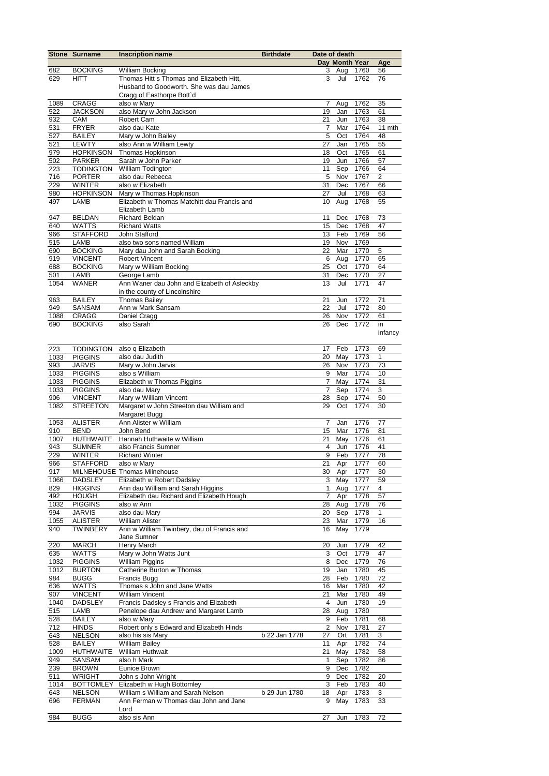|             | <b>Stone Surname</b>            | <b>Inscription name</b>                                 | <b>Birthdate</b> | Date of death  |                |              |                |
|-------------|---------------------------------|---------------------------------------------------------|------------------|----------------|----------------|--------------|----------------|
|             |                                 |                                                         |                  |                | Day Month Year |              | Age            |
| 682         | <b>BOCKING</b>                  | <b>William Bocking</b>                                  |                  | 3              | Aug            | 1760         | 56             |
| 629         | <b>HITT</b>                     | Thomas Hitt s Thomas and Elizabeth Hitt,                |                  | 3              | Jul            | 1762         | 76             |
|             |                                 | Husband to Goodworth. She was dau James                 |                  |                |                |              |                |
|             |                                 | Cragg of Easthorpe Bott'd                               |                  |                |                |              |                |
| 1089        | <b>CRAGG</b><br><b>JACKSON</b>  | also w Mary<br>also Mary w John Jackson                 |                  | 7<br>19        | Aug<br>Jan     | 1762<br>1763 | 35<br>61       |
| 522<br>932  | CAM                             | Robert Cam                                              |                  | 21             | Jun            | 1763         | 38             |
| 531         | <b>FRYER</b>                    | also dau Kate                                           |                  | 7              | Mar            | 1764         | 11 mth         |
| 527         | <b>BAILEY</b>                   | Mary w John Bailey                                      |                  | 5              | Oct            | 1764         | 48             |
| 521         | <b>LEWTY</b>                    | also Ann w William Lewty                                |                  | 27             | Jan            | 1765         | 55             |
| 979         | <b>HOPKINSON</b>                | Thomas Hopkinson                                        |                  | 18             | Oct            | 1765         | 61             |
| 502         | <b>PARKER</b>                   | Sarah w John Parker                                     |                  | 19             | Jun            | 1766         | 57             |
| 223         | <b>TODINGTON</b>                | William Todington                                       |                  | 11             | Sep            | 1766         | 64             |
| 716         | <b>PORTER</b>                   | also dau Rebecca                                        |                  | 5              | Nov            | 1767         | $\overline{c}$ |
| 229         | <b>WINTER</b>                   | also w Elizabeth                                        |                  | 31             | Dec            | 1767         | 66             |
| 980         | <b>HOPKINSON</b>                | Mary w Thomas Hopkinson                                 |                  | 27             | Jul            | 1768         | 63             |
| 497         | LAMB                            | Elizabeth w Thomas Matchitt dau Francis and             |                  | 10             | Aug            | 1768         | 55             |
|             |                                 | Elizabeth Lamb                                          |                  |                |                |              |                |
| 947         | <b>BELDAN</b>                   | <b>Richard Beldan</b>                                   |                  | 11             | Dec            | 1768         | 73             |
| 640         | <b>WATTS</b>                    | <b>Richard Watts</b>                                    |                  | 15             | Dec            | 1768         | 47             |
| 966         | <b>STAFFORD</b>                 | John Stafford                                           |                  | 13             | Feb            | 1769         | 56             |
| 515         | LAMB                            | also two sons named William                             |                  | 19             | Nov            | 1769         |                |
| 690         | <b>BOCKING</b>                  | Mary dau John and Sarah Bocking                         |                  | 22             | Mar            | 1770         | 5              |
| 919         | <b>VINCENT</b>                  | <b>Robert Vincent</b>                                   |                  | 6              | Aug            | 1770         | 65             |
| 688         | <b>BOCKING</b>                  | Mary w William Bocking                                  |                  | 25             | Oct            | 1770         | 64             |
| 501         | LAMB                            | George Lamb                                             |                  | 31             | Dec            | 1770         | 27             |
| 1054        | <b>WANER</b>                    | Ann Waner dau John and Elizabeth of Asleckby            |                  | 13             | Jul            | 1771         | 47             |
|             |                                 | in the county of Lincolnshire                           |                  |                |                |              |                |
| 963<br>949  | <b>BAILEY</b>                   | <b>Thomas Bailey</b>                                    |                  | 21<br>22       | Jun            | 1772         | 71             |
| 1088        | <b>SANSAM</b><br><b>CRAGG</b>   | Ann w Mark Sansam<br>Daniel Cragg                       |                  | 26             | Jul<br>Nov     | 1772<br>1772 | 80<br>61       |
| 690         | <b>BOCKING</b>                  | also Sarah                                              |                  | 26             | Dec            | 1772         | in             |
|             |                                 |                                                         |                  |                |                |              | infancy        |
|             |                                 |                                                         |                  |                |                |              |                |
| 223         | <b>TODINGTON</b>                | also q Elizabeth                                        |                  | 17             | Feb            | 1773         | 69             |
| 1033        | <b>PIGGINS</b>                  | also dau Judith                                         |                  | 20             | May            | 1773         | 1              |
| 993         | <b>JARVIS</b>                   | Mary w John Jarvis                                      |                  | 26             | Nov            | 1773         | 73             |
| 1033        | <b>PIGGINS</b>                  | also s William                                          |                  | 9              | Mar            | 1774         | 10             |
| 1033        | <b>PIGGINS</b>                  | Elizabeth w Thomas Piggins                              |                  | 7              | May            | 1774         | 31             |
| 1033        | <b>PIGGINS</b>                  | also dau Mary                                           |                  | $\overline{7}$ | Sep            | 1774         | 3              |
| 906         | <b>VINCENT</b>                  | Mary w William Vincent                                  |                  | 28             | Sep            | 1774         | 50             |
| 1082        | <b>STREETON</b>                 | Margaret w John Streeton dau William and                |                  | 29             | Oct            | 1774         | 30             |
|             |                                 | Margaret Bugg                                           |                  |                |                |              |                |
| 1053        | <b>ALISTER</b>                  | Ann Alister w William                                   |                  | $\overline{7}$ | Jan            | 1776         | 77             |
| 910         | <b>BEND</b>                     | John Bend                                               |                  | 15             | Mar            | 1776         | 81             |
| 1007        | <b>HUTHWAITE</b>                | Hannah Huthwaite w William                              |                  | 21             | May            | 1776         | 61             |
| 943         | <b>SUMNER</b>                   | also Francis Sumner                                     |                  | $\overline{4}$ | Jun            | 1776         | 41             |
| 229         | <b>WINTER</b>                   | <b>Richard Winter</b>                                   |                  | 9              | Feb            | 1777         | 78             |
| 966         | STAFFORD also w Mary            |                                                         |                  |                | 21 Apr 1777    |              | 60             |
| 917         |                                 | MILNEHOUSE Thomas Milnehouse                            |                  |                | 30 Apr 1777    |              | 30             |
| 1066        | <b>DADSLEY</b>                  | Elizabeth w Robert Dadsley                              |                  |                | 3 May 1777     |              | 59             |
| 829         | <b>HIGGINS</b>                  | Ann dau William and Sarah Higgins                       |                  | $\mathbf{1}$   | Aug            | 1777         | 4              |
| 492         | HOUGH                           | Elizabeth dau Richard and Elizabeth Hough<br>also w Ann |                  | $\overline{7}$ | Apr            | 1778         | 57             |
| 1032<br>994 | <b>PIGGINS</b><br><b>JARVIS</b> | also dau Mary                                           |                  | 28<br>20       | Aug<br>Sep     | 1778<br>1778 | 76<br>1        |
| 1055        | <b>ALISTER</b>                  | <b>William Alister</b>                                  |                  | 23             | Mar            | 1779         | 16             |
| 940         | <b>TWINBERY</b>                 | Ann w William Twinbery, dau of Francis and              |                  | 16             | May            | 1779         |                |
|             |                                 | Jane Sumner                                             |                  |                |                |              |                |
| 220         | MARCH                           | Henry March                                             |                  | 20             | Jun            | 1779         | 42             |
| 635         | <b>WATTS</b>                    | Mary w John Watts Junt                                  |                  | 3              | Oct            | 1779         | 47             |
| 1032        | <b>PIGGINS</b>                  | William Piggins                                         |                  | 8              | Dec            | 1779         | 76             |
| 1012        | <b>BURTON</b>                   | Catherine Burton w Thomas                               |                  | 19             | Jan            | 1780         | 45             |
| 984         | <b>BUGG</b>                     | Francis Bugg                                            |                  | 28             | Feb            | 1780         | 72             |
| 636         | <b>WATTS</b>                    | Thomas s John and Jane Watts                            |                  | 16             | Mar            | 1780         | 42             |
| 907         | <b>VINCENT</b>                  | <b>William Vincent</b>                                  |                  | 21             | Mar            | 1780         | 49             |
| 1040        | <b>DADSLEY</b>                  | Francis Dadsley s Francis and Elizabeth                 |                  | 4              | Jun            | 1780         | 19             |
| 515         | LAMB                            | Penelope dau Andrew and Margaret Lamb                   |                  | 28             | Aug            | 1780         |                |
| 528         | <b>BAILEY</b>                   | also w Mary                                             |                  | 9              | Feb            | 1781         | 68             |
| 712         | <b>HINDS</b>                    | Robert only s Edward and Elizabeth Hinds                |                  | $\sqrt{2}$     | Nov            | 1781         | 27             |
| 643         | <b>NELSON</b>                   | also his sis Mary                                       | b 22 Jan 1778    | 27             | Ort            | 1781         | 3              |
| 528         | <b>BAILEY</b>                   | <b>William Bailey</b>                                   |                  | 11             | Apr            | 1782         | 74             |
| 1009        | <b>HUTHWAITE</b>                | William Huthwait                                        |                  | 21             | May            | 1782         | 58             |
| 949         | <b>SANSAM</b>                   | also h Mark                                             |                  | 1              | Sep            | 1782         | 86             |
| 239         | <b>BROWN</b>                    | Eunice Brown                                            |                  | 9              | Dec            | 1782         |                |
| 511         | <b>WRIGHT</b>                   | John s John Wright                                      |                  | 9              | Dec            | 1782         | 20             |
| 1014        | <b>BOTTOMLEY</b>                | Elizabeth w Hugh Bottomley                              |                  | 3              | Feb            | 1783         | 40             |
| 643         | <b>NELSON</b>                   | William s William and Sarah Nelson                      | b 29 Jun 1780    | 18             | Apr            | 1783         | 3              |
| 696         | <b>FERMAN</b>                   | Ann Ferman w Thomas dau John and Jane                   |                  | 9              | May            | 1783         | 33             |
| 984         | <b>BUGG</b>                     | Lord<br>also sis Ann                                    |                  | 27             | Jun            | 1783         | 72             |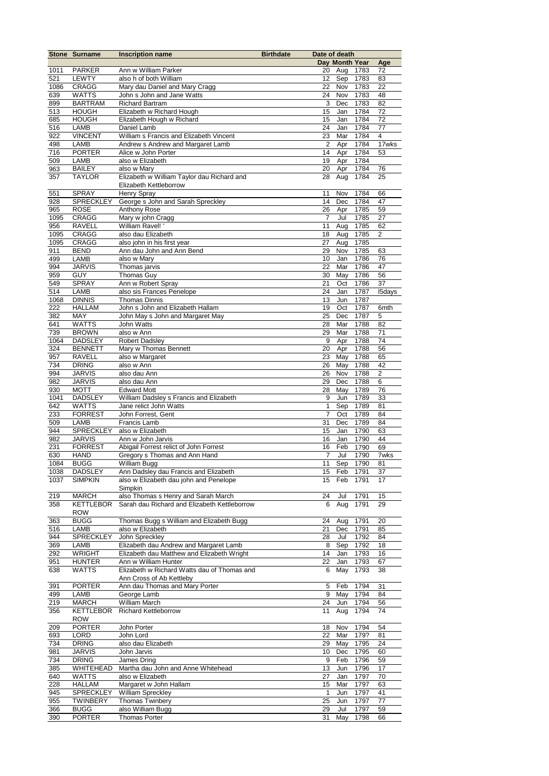|      | <b>Stone Surname</b>           | <b>Inscription name</b>                                                 | <b>Birthdate</b> | Date of death  |                |      |                |
|------|--------------------------------|-------------------------------------------------------------------------|------------------|----------------|----------------|------|----------------|
|      |                                |                                                                         |                  |                | Day Month Year |      | Age            |
| 1011 | <b>PARKER</b>                  | Ann w William Parker                                                    |                  | 20             | Aug            | 1783 | 72             |
| 521  | <b>LEWTY</b>                   | also h of both William                                                  |                  | 12             | Sep            | 1783 | 83             |
| 1086 | CRAGG                          | Mary dau Daniel and Mary Cragg                                          |                  | 22             | Nov            | 1783 | 22             |
| 639  | <b>WATTS</b>                   | John s John and Jane Watts                                              |                  | 24             | Nov            | 1783 | 48             |
| 899  | <b>BARTRAM</b>                 | <b>Richard Bartram</b>                                                  |                  | 3              | Dec            | 1783 | 82             |
| 513  | <b>HOUGH</b>                   | Elizabeth w Richard Hough                                               |                  | 15             | Jan            | 1784 | 72             |
| 685  | <b>HOUGH</b>                   | Elizabeth Hough w Richard                                               |                  | 15             | Jan            | 1784 | 72             |
| 516  | LAMB                           | Daniel Lamb                                                             |                  | 24             | Jan            | 1784 | 77             |
| 922  | <b>VINCENT</b>                 | William s Francis and Elizabeth Vincent                                 |                  | 23             | Mar            | 1784 | 4              |
| 498  | LAMB                           | Andrew s Andrew and Margaret Lamb                                       |                  | $\overline{2}$ | Apr            | 1784 | 17wks          |
| 716  | <b>PORTER</b>                  | Alice w John Porter                                                     |                  | 14             | Apr            | 1784 | 53             |
| 509  | LAMB                           | also w Elizabeth                                                        |                  | 19             | Apr            | 1784 |                |
| 963  | <b>BAILEY</b>                  | also w Mary                                                             |                  | 20             | Apr            | 1784 | 76             |
| 357  | <b>TAYLOR</b>                  | Elizabeth w William Taylor dau Richard and<br>Elizabeth Kettleborrow    |                  | 28             | Aug            | 1784 | 25             |
| 551  | <b>SPRAY</b>                   | <b>Henry Spray</b>                                                      |                  | 11             | Nov            | 1784 | 66             |
| 928  | <b>SPRECKLEY</b>               | George s John and Sarah Spreckley                                       |                  | 14             | Dec            | 1784 | 47             |
| 965  | <b>ROSE</b>                    | Anthony Rose                                                            |                  | 26             | Apr            | 1785 | 59             |
| 1095 | CRAGG                          | Mary w john Cragg                                                       |                  | $\overline{7}$ | Jul            | 1785 | 27             |
| 956  | <b>RAVELL</b>                  | William Ravel!                                                          |                  | 11             | Aug            | 1785 | 62             |
| 1095 | CRAGG                          | also dau Elizabeth                                                      |                  | 18             | Aug            | 1785 | $\overline{c}$ |
| 1095 | CRAGG                          | also john in his first year                                             |                  | 27             | Aug            | 1785 |                |
| 911  | <b>BEND</b>                    | Ann dau John and Ann Bend                                               |                  | 29             | Nov            | 1785 | 63             |
| 499  | LAMB                           | also w Mary                                                             |                  | 10             | Jan            | 1786 | 76             |
| 994  | <b>JARVIS</b>                  | Thomas jarvis                                                           |                  | 22             | Mar            | 1786 | 47             |
| 959  | <b>GUY</b>                     | <b>Thomas Guy</b>                                                       |                  | 30             | May            | 1786 | 56             |
| 549  | <b>SPRAY</b>                   | Ann w Robert Spray                                                      |                  | 21             | Oct            | 1786 | 37             |
| 514  | LAMB                           | also sis Frances Penelope                                               |                  | 24             | Jan            | 1787 | <b>I5days</b>  |
| 1068 | <b>DINNIS</b>                  | <b>Thomas Dinnis</b>                                                    |                  | 13             | Jun            | 1787 |                |
| 222  | <b>HALLAM</b>                  | John s John and Elizabeth Hallam                                        |                  | 19             | Oct            | 1787 | 6mth           |
| 382  | MAY                            | John May s John and Margaret May                                        |                  | 25             | Dec            | 1787 | 5              |
| 641  | <b>WATTS</b>                   | John Watts                                                              |                  | 28             | Mar            | 1788 | 82             |
| 739  | <b>BROWN</b>                   | also w Ann                                                              |                  | 29             | Mar            | 1788 | 71             |
| 1064 | <b>DADSLEY</b>                 | Robert Dadsley                                                          |                  | 9              | Apr            | 1788 | 74             |
| 324  | <b>BENNETT</b>                 | Mary w Thomas Bennett                                                   |                  | 20             | Apr            | 1788 | 56             |
| 957  | <b>RAVELL</b>                  | also w Margaret                                                         |                  | 23             | May            | 1788 | 65             |
| 734  | <b>DRING</b>                   | also w Ann                                                              |                  | 26             | May            | 1788 | 42             |
| 994  | <b>JARVIS</b>                  | also dau Ann                                                            |                  | 26             | Nov            | 1788 | $\overline{c}$ |
| 982  | <b>JARVIS</b>                  | also dau Ann                                                            |                  | 29             | Dec            | 1788 | 6              |
| 930  | <b>MOTT</b>                    | <b>Edward Mott</b>                                                      |                  | 28             | May            | 1789 | 76             |
| 1041 | <b>DADSLEY</b>                 | William Dadsley s Francis and Elizabeth                                 |                  | 9              | Jun            | 1789 | 33             |
| 642  | <b>WATTS</b>                   | Jane relict John Watts                                                  |                  | 1              | Sep            | 1789 | 81             |
| 233  | <b>FORREST</b>                 | John Forrest, Gent                                                      |                  | $\overline{7}$ | Oct            | 1789 | 84             |
| 509  | LAMB                           | Francis Lamb                                                            |                  | 31             | Dec            | 1789 | 84             |
| 944  | <b>SPRECKLEY</b>               | also w Elizabeth                                                        |                  | 15             | Jan            | 1790 | 63             |
| 982  | <b>JARVIS</b>                  | Ann w John Jarvis                                                       |                  | 16             | Jan            | 1790 | 44             |
| 231  | <b>FORREST</b>                 | Abigail Forrest relict of John Forrest                                  |                  | 16             | Feb            | 1790 | 69             |
| 630  | <b>HAND</b>                    | Gregory s Thomas and Ann Hand                                           |                  | 7              | Jul            | 1790 | 7wks           |
| 1084 | <b>BUGG</b>                    | William Bugg                                                            |                  | 11             | Sep            | 1790 | 81             |
| 1038 | <b>DADSLEY</b>                 | Ann Dadsley dau Francis and Elizabeth                                   |                  | 15             | Feb            | 1791 | 37             |
| 1037 | <b>SIMPKIN</b>                 | also w Elizabeth dau john and Penelope<br>Simpkin                       |                  | 15             | Feb            | 1791 | 17             |
| 219  | MARCH                          | also Thomas s Henry and Sarah March                                     |                  | 24             | Jul            | 1791 | 15             |
| 358  | <b>KETTLEBOR</b>               | Sarah dau Richard and Elizabeth Kettleborrow                            |                  | 6              | Aug            | 1791 | 29             |
|      | <b>ROW</b>                     |                                                                         |                  |                |                |      |                |
| 363  | <b>BUGG</b>                    | Thomas Bugg s William and Elizabeth Bugg                                |                  | 24             | Aug            | 1791 | 20             |
| 516  | LAMB                           | also w Elizabeth                                                        |                  | 21             | Dec            | 1791 | 85             |
| 944  | <b>SPRECKLEY</b>               | John Spreckley                                                          |                  | 28             | Jul            | 1792 | 84             |
| 369  | LAMB                           | Elizabeth dau Andrew and Margaret Lamb                                  |                  | 8              | Sep            | 1792 | 18             |
| 292  | <b>WRIGHT</b>                  | Elizabeth dau Matthew and Elizabeth Wright                              |                  | 14             | Jan            | 1793 | 16             |
| 951  | <b>HUNTER</b>                  | Ann w William Hunter                                                    |                  | 22             | Jan            | 1793 | 67             |
| 638  | <b>WATTS</b>                   | Elizabeth w Richard Watts dau of Thomas and<br>Ann Cross of Ab Kettleby |                  | 6              | May            | 1793 | 38             |
| 391  | <b>PORTER</b>                  | Ann dau Thomas and Mary Porter                                          |                  | 5              | Feb            | 1794 | 31             |
| 499  | LAMB                           | George Lamb                                                             |                  | 9              | May            | 1794 | 84             |
| 219  | MARCH                          | William March                                                           |                  | 24             | Jun            | 1794 | 56             |
| 356  | <b>KETTLEBOR</b><br><b>ROW</b> | <b>Richard Kettleborrow</b>                                             |                  | 11             | Aug            | 1794 | 74             |
| 209  | <b>PORTER</b>                  | John Porter                                                             |                  | 18             | Nov            | 1794 | 54             |
| 693  | LORD                           | John Lord                                                               |                  | 22             | Mar            | 179? | 81             |
| 734  | <b>DRING</b>                   | also dau Elizabeth                                                      |                  | 29             | May            | 1795 | 24             |
| 981  | <b>JARVIS</b>                  | John Jarvis                                                             |                  | 10             | Dec            | 1795 | 60             |
| 734  | <b>DRING</b>                   | James Dring                                                             |                  | 9              | Feb            | 1796 | 59             |
| 385  | WHITEHEAD                      | Martha dau John and Anne Whitehead                                      |                  | 13             | Jun            | 1796 | 17             |
| 640  | WATTS                          | also w Elizabeth                                                        |                  | 27             | Jan            | 1797 | 70             |
| 228  | <b>HALLAM</b>                  | Margaret w John Hallam                                                  |                  | 15             | Mar            | 1797 | 63             |
| 945  | SPRECKLEY                      | William Spreckley                                                       |                  | $\mathbf{1}$   | Jun            | 1797 | 41             |
| 955  | <b>TWINBERY</b>                | Thomas Twinbery                                                         |                  | 25             | Jun            | 1797 | 77             |
| 366  | <b>BUGG</b>                    | also William Bugg                                                       |                  | 29             | Jul            | 1797 | 59             |
| 390  | <b>PORTER</b>                  | <b>Thomas Porter</b>                                                    |                  | 31             | May            | 1798 | 66             |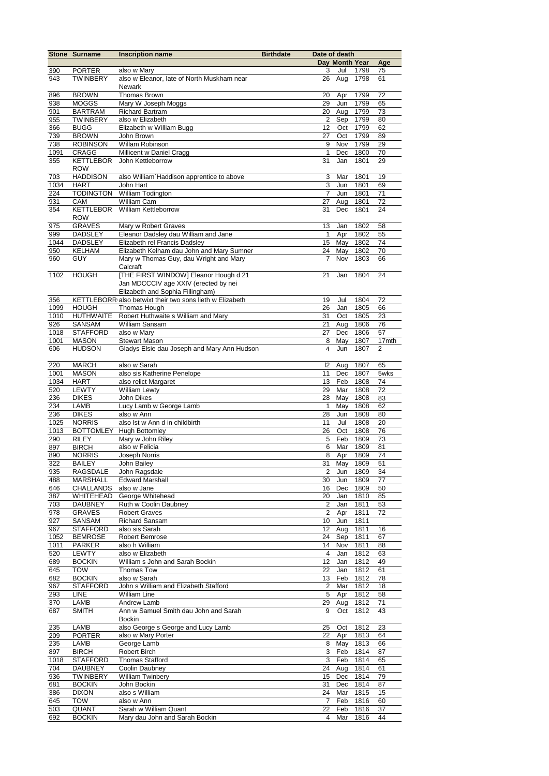|             | <b>Stone Surname</b>             | <b>Inscription name</b>                                                  | <b>Birthdate</b> | Date of death  |                |              |          |
|-------------|----------------------------------|--------------------------------------------------------------------------|------------------|----------------|----------------|--------------|----------|
|             |                                  |                                                                          |                  |                | Day Month Year |              | Age      |
| 390<br>943  | <b>PORTER</b><br><b>TWINBERY</b> | also w Mary<br>also w Eleanor, late of North Muskham near                |                  | 3<br>26        | Jul<br>Aug     | 1798<br>1798 | 75<br>61 |
|             |                                  | Newark                                                                   |                  |                |                |              |          |
| 896         | <b>BROWN</b>                     | <b>Thomas Brown</b>                                                      |                  | 20             | Apr            | 1799         | 72       |
| 938         | <b>MOGGS</b>                     | Mary W Joseph Moggs                                                      |                  | 29             | Jun            | 1799         | 65       |
| 901         | <b>BARTRAM</b>                   | Richard Bartram                                                          |                  | 20             | Aug            | 1799         | 73       |
| 955         | <b>TWINBERY</b>                  | also w Elizabeth                                                         |                  | 2              | Sep            | 1799         | 80       |
| 366         | <b>BUGG</b>                      | Elizabeth w William Bugg                                                 |                  | 12             | Oct            | 1799         | 62       |
| 739         | <b>BROWN</b>                     | John Brown                                                               |                  | 27             | Oct            | 1799         | 89       |
| 738<br>1091 | <b>ROBINSON</b><br><b>CRAGG</b>  | <b>Willam Robinson</b>                                                   |                  | 9<br>1         | Nov            | 1799<br>1800 | 29<br>70 |
| 355         | <b>KETTLEBOR</b>                 | Millicent w Daniel Cragg<br>John Kettleborrow                            |                  | 31             | Dec<br>Jan     | 1801         | 29       |
|             | <b>ROW</b>                       |                                                                          |                  |                |                |              |          |
| 703         | <b>HADDISON</b>                  | also William' Haddison apprentice to above                               |                  | 3              | Mar            | 1801         | 19       |
| 1034        | <b>HART</b>                      | John Hart                                                                |                  | 3              | Jun            | 1801         | 69       |
| 224         | <b>TODINGTON</b>                 | William Todington                                                        |                  | 7              | Jun            | 1801         | 71       |
| 931         | CAM                              | William Cam                                                              |                  | 27             | Aug            | 1801         | 72       |
| 354         | <b>KETTLEBOR</b>                 | William Kettleborrow                                                     |                  | 31             | Dec            | 1801         | 24       |
| 975         | <b>ROW</b><br><b>GRAVES</b>      |                                                                          |                  | 13             | Jan            | 1802         | 58       |
| 999         | <b>DADSLEY</b>                   | Mary w Robert Graves<br>Eleanor Dadsley dau William and Jane             |                  | $\mathbf{1}$   | Apr            | 1802         | 55       |
| 1044        | <b>DADSLEY</b>                   | Elizabeth rel Francis Dadsley                                            |                  | 15             | May            | 1802         | 74       |
| 950         | <b>KELHAM</b>                    | Elizabeth Kelham dau John and Mary Sumner                                |                  | 24             | May            | 1802         | 70       |
| 960         | <b>GUY</b>                       | Mary w Thomas Guy, dau Wright and Mary                                   |                  | $\overline{7}$ | Nov            | 1803         | 66       |
|             |                                  | Calcraft                                                                 |                  |                |                |              |          |
| 1102        | <b>HOUGH</b>                     | [THE FIRST WINDOW] Eleanor Hough d 21                                    |                  | 21             | Jan            | 1804         | 24       |
|             |                                  | Jan MDCCCIV age XXIV (erected by nei                                     |                  |                |                |              |          |
|             |                                  | Elizabeth and Sophia Fillingham)                                         |                  |                |                |              |          |
| 356<br>1099 | <b>HOUGH</b>                     | KETTLEBORR also betwixt their two sons lieth w Elizabeth<br>Thomas Hough |                  | 19<br>26       | Jul<br>Jan     | 1804<br>1805 | 72<br>66 |
| 1010        | <b>HUTHWAITE</b>                 | Robert Huthwaite s William and Mary                                      |                  | 31             | Oct            | 1805         | 23       |
| 926         | SANSAM                           | William Sansam                                                           |                  | 21             | Aug            | 1806         | 76       |
| 1018        | <b>STAFFORD</b>                  | also w Mary                                                              |                  | 27             | Dec            | 1806         | 57       |
| 1001        | <b>MASON</b>                     | <b>Stewart Mason</b>                                                     |                  | 8              | May            | 1807         | 17mth    |
| 606         | <b>HUDSON</b>                    | Gladys Elsie dau Joseph and Mary Ann Hudson                              |                  | 4              | Jun            | 1807         | 2        |
|             |                                  |                                                                          |                  |                |                |              |          |
| 220         | <b>MARCH</b>                     | also w Sarah                                                             |                  | 2              | Aug            | 1807         | 65       |
| 1001        | <b>MASON</b>                     | also sis Katherine Penelope                                              |                  | 11             | Dec            | 1807         | 5wks     |
| 1034<br>520 | <b>HART</b><br><b>LEWTY</b>      | also relict Margaret<br><b>William Lewty</b>                             |                  | 13<br>29       | Feb<br>Mar     | 1808<br>1808 | 74<br>72 |
| 236         | <b>DIKES</b>                     | John Dikes                                                               |                  | 28             | May            | 1808         | 83       |
| 234         | LAMB                             | Lucy Lamb w George Lamb                                                  |                  | 1              | May            | 1808         | 62       |
| 236         | <b>DIKES</b>                     | also w Ann                                                               |                  | 28             | Jun            | 1808         | 80       |
| 1025        | <b>NORRIS</b>                    | also Ist w Ann d in childbirth                                           |                  | 11             | Jul            | 1808         | 20       |
| 1013        | <b>BOTTOMLEY</b>                 | <b>Hugh Bottomley</b>                                                    |                  | 26             | Oct            | 1808         | 76       |
| 290         | <b>RILEY</b>                     | Mary w John Riley                                                        |                  | 5              | Feb            | 1809         | 73       |
| 897         | <b>BIRCH</b>                     | also w Felicia                                                           |                  | 6              | Mar            | 1809         | 81       |
| 890<br>322  | <b>NORRIS</b><br><b>BAILEY</b>   | <b>Joseph Norris</b><br>John Bailey                                      |                  | 8              | Apr<br>31 May  | 1809<br>1809 | 74<br>51 |
| 935         | RAGSDALE                         | John Ragsdale                                                            |                  | $\overline{2}$ | Jun            | 1809         | 34       |
| 488         | MARSHALL                         | <b>Edward Marshall</b>                                                   |                  | 30             | Jun            | 1809         | 77       |
| 646         | <b>CHALLANDS</b>                 | also w Jane                                                              |                  | 16             | Dec            | 1809         | 50       |
| 387         | WHITEHEAD                        | George Whitehead                                                         |                  | 20             | Jan            | 1810         | 85       |
| 703         | DAUBNEY                          | Ruth w Coolin Daubney                                                    |                  | $\overline{2}$ | Jan            | 1811         | 53       |
| 978         | <b>GRAVES</b>                    | <b>Robert Graves</b>                                                     |                  | 2              | Apr            | 1811         | 72       |
| 927         | SANSAM                           | Richard Sansam                                                           |                  | 10             | Jun            | 1811         |          |
| 967<br>1052 | <b>STAFFORD</b>                  | also sis Sarah<br>Robert Bemrose                                         |                  | 12<br>24       | Aug<br>Sep     | 1811<br>1811 | 16<br>67 |
| 1011        | <b>BEMROSE</b><br><b>PARKER</b>  | also h William                                                           |                  | 14             | Nov            | 1811         | 88       |
| 520         | LEWTY                            | also w Elizabeth                                                         |                  | 4              | Jan            | 1812         | 63       |
| 689         | <b>BOCKIN</b>                    | William s John and Sarah Bockin                                          |                  | 12             | Jan            | 1812         | 49       |
| 645         | <b>TOW</b>                       | Thomas Tow                                                               |                  | 22             | Jan            | 1812         | 61       |
| 682         | <b>BOCKIN</b>                    | also w Sarah                                                             |                  | 13             | Feb            | 1812         | 78       |
| 967         | <b>STAFFORD</b>                  | John s William and Elizabeth Stafford                                    |                  | $\overline{c}$ | Mar            | 1812         | 18       |
| 293         | LINE                             | <b>William Line</b>                                                      |                  | 5              | Apr            | 1812         | 58       |
| 370<br>687  | LAMB<br><b>SMITH</b>             | Andrew Lamb<br>Ann w Samuel Smith dau John and Sarah                     |                  | 29<br>9        | Aug<br>Oct     | 1812<br>1812 | 71<br>43 |
|             |                                  | Bockin                                                                   |                  |                |                |              |          |
| 235         | LAMB                             | also George s George and Lucy Lamb                                       |                  | 25             | Oct            | 1812         | 23       |
| 209         | <b>PORTER</b>                    | also w Mary Porter                                                       |                  | 22             | Apr            | 1813         | 64       |
| 235         | LAMB                             | George Lamb                                                              |                  | 8              | May            | 1813         | 66       |
| 897         | <b>BIRCH</b>                     | Robert Birch                                                             |                  | 3              | Feb            | 1814         | 87       |
| 1018        | <b>STAFFORD</b>                  | <b>Thomas Stafford</b>                                                   |                  | 3              | Feb            | 1814         | 65       |
| 704         | <b>DAUBNEY</b>                   | Coolin Daubney                                                           |                  | 24             | Aug            | 1814         | 61       |
| 936         | <b>TWINBERY</b>                  | <b>William Twinbery</b>                                                  |                  | 15             | Dec            | 1814         | 79       |
| 681<br>386  | <b>BOCKIN</b><br><b>DIXON</b>    | John Bockin<br>also s William                                            |                  | 31<br>24       | Dec<br>Mar     | 1814<br>1815 | 87<br>15 |
| 645         | <b>TOW</b>                       | also w Ann                                                               |                  | $\overline{7}$ | Feb            | 1816         | 60       |
| 503         | QUANT                            | Sarah w William Quant                                                    |                  | 22             | Feb            | 1816         | 37       |
| 692         | <b>BOCKIN</b>                    | Mary dau John and Sarah Bockin                                           |                  | 4              | Mar            | 1816         | 44       |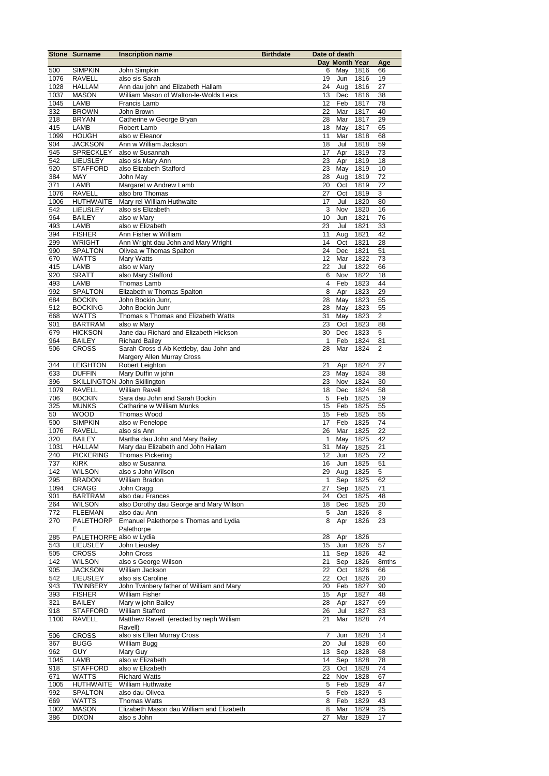|            | <b>Stone Surname</b>    | <b>Inscription name</b>                   | <b>Birthdate</b> | Date of death |                |          |       |
|------------|-------------------------|-------------------------------------------|------------------|---------------|----------------|----------|-------|
|            |                         |                                           |                  |               | Day Month Year |          | Age   |
| 500        | <b>SIMPKIN</b>          | John Simpkin                              |                  | 6             |                | May 1816 | 66    |
| 1076       | <b>RAVELL</b>           | also sis Sarah                            |                  | 19            | Jun            | 1816     | 19    |
| 1028       | HALLAM                  | Ann dau john and Elizabeth Hallam         |                  | 24            | Aug            | 1816     | 27    |
| 1037       | <b>MASON</b>            | William Mason of Walton-le-Wolds Leics    |                  | 13            | Dec            | 1816     | 38    |
| 1045       | LAMB                    | Francis Lamb                              |                  | 12            | Feb            | 1817     | 78    |
| 332        | <b>BROWN</b>            | John Brown                                |                  | 22            | Mar            | 1817     | 40    |
| 218        | <b>BRYAN</b>            | Catherine w George Bryan                  |                  | 28            | Mar            | 1817     | 29    |
| 415        | LAMB                    | Robert Lamb                               |                  | 18            | May            | 1817     | 65    |
| 1099       | <b>HOUGH</b>            | also w Eleanor                            |                  | 11            | Mar            | 1818     | 68    |
|            |                         |                                           |                  |               |                |          |       |
| 904        | <b>JACKSON</b>          | Ann w William Jackson                     |                  | 18            | Jul            | 1818     | 59    |
| 945        | <b>SPRECKLEY</b>        | also w Susannah                           |                  | 17            | Apr            | 1819     | 73    |
| 542        | <b>LIEUSLEY</b>         | also sis Mary Ann                         |                  | 23            | Apr            | 1819     | 18    |
| 920        | <b>STAFFORD</b>         | also Elizabeth Stafford                   |                  | 23            | May            | 1819     | 10    |
| 384        | MAY                     | John May                                  |                  | 28            | Aug            | 1819     | 72    |
| 371        | LAMB                    | Margaret w Andrew Lamb                    |                  | 20            | Oct            | 1819     | 72    |
| 1076       | <b>RAVELL</b>           | also bro Thomas                           |                  | 27            | Oct            | 1819     | 3     |
| 1006       | <b>HUTHWAITE</b>        | Mary rel William Huthwaite                |                  | 17            | Jul            | 1820     | 80    |
| 542        | <b>LIEUSLEY</b>         | also sis Elizabeth                        |                  | 3             | Nov            | 1820     | 16    |
| 964        | <b>BAILEY</b>           | also w Mary                               |                  | 10            | Jun            | 1821     | 76    |
| 493        | LAMB                    | also w Elizabeth                          |                  | 23            | Jul            | 1821     | 33    |
| 394        | <b>FISHER</b>           | Ann Fisher w William                      |                  | 11            | Aug            | 1821     | 42    |
| 299        | <b>WRIGHT</b>           | Ann Wright dau John and Mary Wright       |                  | 14            | Oct            | 1821     | 28    |
| 990        | <b>SPALTON</b>          | Olivea w Thomas Spalton                   |                  | 24            | Dec            | 1821     | 51    |
| 670        | <b>WATTS</b>            | Mary Watts                                |                  | 12            | Mar            | 1822     | 73    |
| 415        | LAMB                    | also w Mary                               |                  | 22            | Jul            | 1822     | 66    |
| 920        | <b>SRATT</b>            | also Mary Stafford                        |                  | 6             | Nov            | 1822     | 18    |
| 493        | LAMB                    | Thomas Lamb                               |                  | 4             | Feb            | 1823     | 44    |
| 992        | <b>SPALTON</b>          | Elizabeth w Thomas Spalton                |                  | 8             | Apr            | 1823     | 29    |
| 684        | <b>BOCKIN</b>           | John Bockin Junr,                         |                  | 28            | May            | 1823     | 55    |
| 512        | <b>BOCKING</b>          | John Bockin Junr                          |                  | 28            | May            | 1823     | 55    |
| 668        | <b>WATTS</b>            | Thomas s Thomas and Elizabeth Watts       |                  | 31            | May            | 1823     | 2     |
|            |                         |                                           |                  |               |                |          |       |
| 901        | <b>BARTRAM</b>          | also w Mary                               |                  | 23            | Oct            | 1823     | 88    |
| 679        | <b>HICKSON</b>          | Jane dau Richard and Elizabeth Hickson    |                  | 30            | Dec            | 1823     | 5     |
| 964        | <b>BAILEY</b>           | <b>Richard Bailey</b>                     |                  | $\mathbf{1}$  | Feb            | 1824     | 81    |
| 506        | <b>CROSS</b>            | Sarah Cross d Ab Kettleby, dau John and   |                  | 28            | Mar            | 1824     | 2     |
|            |                         | Margery Allen Murray Cross                |                  |               |                |          |       |
| 344        | <b>LEIGHTON</b>         | Robert Leighton                           |                  | 21            | Apr            | 1824     | 27    |
| 633        | <b>DUFFIN</b>           | Mary Duffin w john                        |                  | 23            | May            | 1824     | 38    |
| 396        |                         | SKILLINGTON John Skillington              |                  | 23            | Nov            | 1824     | 30    |
| 1079       | <b>RAVELL</b>           | <b>William Ravell</b>                     |                  | 18            | Dec            | 1824     | 58    |
| 706        | <b>BOCKIN</b>           | Sara dau John and Sarah Bockin            |                  | 5             | Feb            | 1825     | 19    |
| 325        | <b>MUNKS</b>            | Catharine w William Munks                 |                  | 15            | Feb            | 1825     | 55    |
| 50         | <b>WOOD</b>             | Thomas Wood                               |                  | 15            | Feb            | 1825     | 55    |
| 500        | <b>SIMPKIN</b>          | also w Penelope                           |                  | 17            | Feb            | 1825     | 74    |
| 1076       | <b>RAVELL</b>           | also sis Ann                              |                  | 26            | Mar            | 1825     | 22    |
| 320        | <b>BAILEY</b>           | Martha dau John and Mary Bailey           |                  | $\mathbf{1}$  | May            | 1825     | 42    |
| 1031       | <b>HALLAM</b>           | Mary dau Elizabeth and John Hallam        |                  | 31            | May            | 1825     | 21    |
| 240        | <b>PICKERING</b>        | <b>Thomas Pickering</b>                   |                  | 12            | Jun            | 1825     | 72    |
| 737        | <b>KIRK</b>             | also w Susanna                            |                  | 16            | Jun            | 1825     | 51    |
| 142        | <b>WILSON</b>           | also s John Wilson                        |                  |               | 29 Aug         | 1825     | 5     |
| 295        | <b>BRADON</b>           | William Bradon                            |                  | $\mathbf{1}$  | Sep            | 1825     | 62    |
| 1094       | CRAGG                   | John Cragg                                |                  | 27            | Sep            | 1825     | 71    |
| 901        | <b>BARTRAM</b>          | also dau Frances                          |                  | 24            | Oct            | 1825     | 48    |
| 264        | <b>WILSON</b>           | also Dorothy dau George and Mary Wilson   |                  | 18            | Dec            | 1825     | 20    |
| 772        | <b>FLEEMAN</b>          | also dau Ann                              |                  | 5             | Jan            | 1826     | 8     |
| 270        | PALETHORP               | Emanuel Palethorpe s Thomas and Lydia     |                  | 8             | Apr            | 1826     | 23    |
|            | E.                      | Palethorpe                                |                  |               |                |          |       |
| 285        | PALETHORPE also w Lydia |                                           |                  | 28            | Apr            | 1826     |       |
| 543        | <b>LIEUSLEY</b>         | John Lieusley                             |                  | 15            | Jun            | 1826     | 57    |
| 505        | <b>CROSS</b>            | John Cross                                |                  | 11            | Sep            | 1826     | 42    |
| 142        | <b>WILSON</b>           | also s George Wilson                      |                  | 21            | Sep            | 1826     | 8mths |
| 905        | <b>JACKSON</b>          | William Jackson                           |                  | 22            | Oct            | 1826     | 66    |
|            |                         | also sis Caroline                         |                  | 22            | Oct            | 1826     | 20    |
| 542<br>943 | <b>LIEUSLEY</b>         |                                           |                  |               |                |          |       |
|            | TWINBERY                | John Twinbery father of William and Mary  |                  | 20            | Feb            | 1827     | 90    |
| 393        | <b>FISHER</b>           | <b>William Fisher</b>                     |                  | 15            | Apr            | 1827     | 48    |
| 321        | <b>BAILEY</b>           | Mary w john Bailey                        |                  | 28            | Apr            | 1827     | 69    |
| 918        | <b>STAFFORD</b>         | William Stafford                          |                  | 26            | Jul            | 1827     | 83    |
| 1100       | <b>RAVELL</b>           | Matthew Ravell (erected by neph William   |                  | 21            | Mar            | 1828     | 74    |
|            |                         | Ravell)                                   |                  |               |                |          |       |
| 506        | <b>CROSS</b>            | also sis Ellen Murray Cross               |                  | 7             | Jun            | 1828     | 14    |
| 367        | <b>BUGG</b>             | William Bugg                              |                  | 20            | Jul            | 1828     | 60    |
| 962        | <b>GUY</b>              | Mary Guy                                  |                  | 13            | Sep            | 1828     | 68    |
| 1045       | LAMB                    | also w Elizabeth                          |                  | 14            | Sep            | 1828     | 78    |
| 918        | <b>STAFFORD</b>         | also w Elizabeth                          |                  | 23            | Oct            | 1828     | 74    |
| 671        | <b>WATTS</b>            | <b>Richard Watts</b>                      |                  | 22            | Nov            | 1828     | 67    |
| 1005       | <b>HUTHWAITE</b>        | William Huthwaite                         |                  | 5             | Feb            | 1829     | 47    |
| 992        | <b>SPALTON</b>          | also dau Olivea                           |                  | 5             | Feb            | 1829     | 5     |
| 669        | WATTS                   | <b>Thomas Watts</b>                       |                  | 8             | Feb            | 1829     | 43    |
| 1002       | <b>MASON</b>            | Elizabeth Mason dau William and Elizabeth |                  | 8             | Mar            | 1829     | 25    |
| 386        | <b>DIXON</b>            | also s John                               |                  | 27            | Mar            | 1829     | 17    |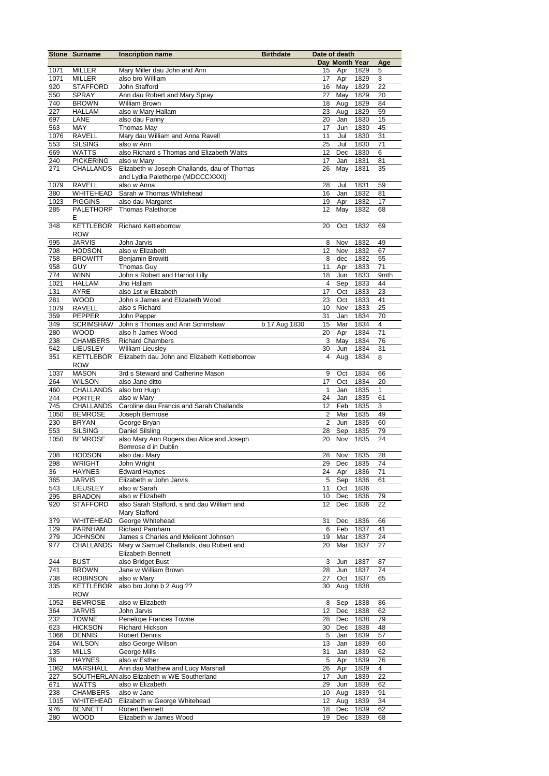|            | <b>Stone Surname</b>           | <b>Inscription name</b>                       | <b>Birthdate</b> | Date of death     |                      |                  |              |
|------------|--------------------------------|-----------------------------------------------|------------------|-------------------|----------------------|------------------|--------------|
|            |                                |                                               |                  |                   | Day Month Year       |                  | Age          |
| 1071       | <b>MILLER</b>                  | Mary Miller dau John and Ann                  |                  | 15                | Apr                  | 1829             | 5            |
| 1071       | <b>MILLER</b>                  | also bro William                              |                  | 17                | Apr                  | 1829             | 3            |
| 920        | <b>STAFFORD</b>                | John Stafford                                 |                  | 16                |                      | May 1829         | 22           |
| 550        | <b>SPRAY</b>                   | Ann dau Robert and Mary Spray                 |                  | 27                | May                  | 1829             | 20           |
| 740        | <b>BROWN</b>                   | <b>William Brown</b>                          |                  | 18                | Aug                  | 1829             | 84           |
| 227        | <b>HALLAM</b>                  | also w Mary Hallam                            |                  | 23                | Aug                  | 1829             | 59           |
| 697        | LANE                           | also dau Fanny                                |                  | 20                | Jan                  | 1830             | 15           |
| 563        | MAY                            | <b>Thomas May</b>                             |                  | 17                | Jun                  | 1830             | 45           |
| 1076       | <b>RAVELL</b>                  | Mary dau William and Anna Ravell              |                  | 11                | Jul                  | 1830             | 31           |
| 553        | <b>SILSING</b>                 | also w Ann                                    |                  | 25                | Jul                  | 1830             | 71           |
| 669        | WATTS                          | also Richard s Thomas and Elizabeth Watts     |                  | 12                | Dec                  | 1830             | 6            |
| 240        | <b>PICKERING</b>               | also w Mary                                   |                  | 17                | Jan                  | 1831             | 81           |
| 271        | <b>CHALLANDS</b>               | Elizabeth w Joseph Challands, dau of Thomas   |                  | 26                | May                  | 1831             | 35           |
|            |                                | and Lydia Palethorpe (MDCCCXXXI)              |                  |                   |                      |                  |              |
| 1079       | <b>RAVELL</b>                  | also w Anna                                   |                  | 28                | Jul                  | 1831             | 59           |
| 380        | WHITEHEAD                      | Sarah w Thomas Whitehead                      |                  | 16                | Jan                  | 1832             | 81           |
| 1023       | <b>PIGGINS</b>                 | also dau Margaret                             |                  | 19                | Apr                  | 1832             | 17           |
| 285        | PALETHORP                      | <b>Thomas Palethorpe</b>                      |                  | 12                | May                  | 1832             | 68           |
|            | Е                              |                                               |                  |                   |                      |                  |              |
| 348        | <b>KETTLEBOR</b>               | <b>Richard Kettleborrow</b>                   |                  | 20                | Oct                  | 1832             | 69           |
|            | <b>ROW</b>                     |                                               |                  |                   |                      |                  |              |
| 995        | <b>JARVIS</b>                  | John Jarvis                                   |                  | 8                 | Nov                  | 1832             | 49           |
| 708        | <b>HODSON</b>                  | also w Elizabeth                              |                  | 12                | Nov                  | 1832             | 67           |
| 758        | <b>BROWITT</b>                 | <b>Benjamin Browitt</b>                       |                  | 8                 | dec                  | 1832             | 55           |
| 958        | <b>GUY</b>                     | Thomas Guy                                    |                  | 11                | Apr                  | 1833             | 71           |
| 774        | <b>WINN</b>                    | John s Robert and Harriot Lilly               |                  | 18                | Jun                  | 1833             | 9mth         |
| 1021       | <b>HALLAM</b>                  | Jno Hallam                                    |                  | $\overline{4}$    | Sep                  | 1833             | 44           |
| 131        | <b>AYRE</b>                    | also 1st w Elizabeth                          |                  | 17                | Oct                  | 1833             | 23           |
| 281        | <b>WOOD</b>                    | John s James and Elizabeth Wood               |                  | 23                | Oct                  | 1833             | 41           |
| 1079       | <b>RAVELL</b>                  | also s Richard                                |                  | 10                | Nov                  | 1833             | 25           |
| 359        | <b>PEPPER</b>                  | John Pepper                                   |                  | 31                | Jan                  | 1834             | 70           |
| 349        | <b>SCRIMSHAW</b>               | John s Thomas and Ann Scrimshaw               | b 17 Aug 1830    | 15                | Mar                  | 1834             | 4            |
| 280        | <b>WOOD</b>                    | also h James Wood                             |                  | 20                | Apr                  | 1834             | 71           |
| 238        | <b>CHAMBERS</b>                | <b>Richard Chambers</b>                       |                  | 3                 | May                  | 1834             | 76           |
| 542        | <b>LIEUSLEY</b>                | <b>William Lieusley</b>                       |                  | 30                | Jun                  | 1834             | 31           |
| 351        | <b>KETTLEBOR</b>               | Elizabeth dau John and Elizabeth Kettleborrow |                  | 4                 | Aug                  | 1834             | 8            |
|            | <b>ROW</b>                     |                                               |                  |                   |                      |                  |              |
| 1037       | <b>MASON</b>                   | 3rd s Steward and Catherine Mason             |                  | 9                 | Oct                  | 1834             | 66           |
| 264        | <b>WILSON</b>                  | also Jane ditto                               |                  | 17                | Oct                  | 1834             | 20           |
| 460        | <b>CHALLANDS</b>               | also bro Hugh                                 |                  | $\mathbf{1}$      | Jan                  | 1835             | $\mathbf{1}$ |
| 244        | <b>PORTER</b>                  | also w Mary                                   |                  | 24                | Jan                  | 1835             | 61           |
| 745        | <b>CHALLANDS</b>               | Caroline dau Francis and Sarah Challands      |                  | 12                | Feb                  | 1835             | 3            |
| 1050       | <b>BEMROSE</b>                 | Joseph Bemrose                                |                  | 2                 | Mar                  | 1835             | 49           |
| 230        | <b>BRYAN</b>                   | George Bryan                                  |                  | $\overline{c}$    | Jun                  | 1835             | 60           |
| 553        | <b>SILSING</b>                 | Daniel Silsling                               |                  | 28                | Sep                  | 1835             | 79           |
| 1050       | <b>BEMROSE</b>                 | also Mary Ann Rogers dau Alice and Joseph     |                  | 20                | Nov                  | 1835             | 24           |
|            |                                | Bemrose d in Dublin                           |                  | 28                |                      |                  |              |
| 708<br>298 | <b>HODSON</b><br><b>WRIGHT</b> | also dau Mary                                 |                  | 29                | Nov 1835<br>Dec 1835 |                  | 28<br>74     |
| 36         |                                | John Wright                                   |                  |                   |                      |                  |              |
| 365        | <b>HAYNES</b><br><b>JARVIS</b> | <b>Edward Haynes</b>                          |                  | 5 <sup>5</sup>    | 24 Apr 1836          |                  | 71<br>61     |
| 543        | LIEUSLEY                       | Elizabeth w John Jarvis<br>also w Sarah       |                  | 11                | Oct                  | Sep 1836<br>1836 |              |
| 295        | <b>BRADON</b>                  | also w Elizabeth                              |                  | 10                |                      | Dec 1836         | 79           |
| 920        | <b>STAFFORD</b>                | also Sarah Stafford, s and dau William and    |                  | 12                | Dec                  | 1836             | 22           |
|            |                                | Mary Stafford                                 |                  |                   |                      |                  |              |
| 379        | WHITEHEAD                      | George Whitehead                              |                  | 31                | Dec                  | 1836             | 66           |
| 129        | <b>PARNHAM</b>                 | <b>Richard Parnham</b>                        |                  | 6                 | Feb                  | 1837             | 41           |
| 279        | <b>JOHNSON</b>                 | James s Charles and Melicent Johnson          |                  | 19                | Mar                  | 1837             | 24           |
| 977        | <b>CHALLANDS</b>               | Mary w Samuel Challands, dau Robert and       |                  | 20                | Mar                  | 1837             | 27           |
|            |                                | Elizabeth Bennett                             |                  |                   |                      |                  |              |
| 244        | <b>BUST</b>                    | also Bridget Bust                             |                  | 3                 | Jun                  | 1837             | 87           |
| 741        | <b>BROWN</b>                   | Jane w William Brown                          |                  | 28                | Jun                  | 1837             | 74           |
| 738        | <b>ROBINSON</b>                | also w Mary                                   |                  | 27                | Oct                  | 1837             | 65           |
| 335        | <b>KETTLEBOR</b>               | also bro John b 2 Aug ??                      |                  | 30                | Aug                  | 1838             |              |
|            | <b>ROW</b>                     |                                               |                  |                   |                      |                  |              |
| 1052       | <b>BEMROSE</b>                 | also w Elizabeth                              |                  | 8                 | Sep                  | 1838             | 86           |
| 364        | <b>JARVIS</b>                  | John Jarvis                                   |                  | 12                | Dec                  | 1838             | 62           |
| 232        | <b>TOWNE</b>                   | Penelope Frances Towne                        |                  | 28                | Dec                  | 1838             | 79           |
| 623        | <b>HICKSON</b>                 | <b>Richard Hickson</b>                        |                  | 30                | Dec                  | 1838             | 48           |
| 1066       | <b>DENNIS</b>                  | <b>Robert Dennis</b>                          |                  | 5                 | Jan                  | 1839             | 57           |
| 264        | <b>WILSON</b>                  | also George Wilson                            |                  | 13                | Jan                  | 1839             | 60           |
| 135        | MILLS                          | George Mills                                  |                  | 31                | Jan                  | 1839             | 62           |
| 36         | <b>HAYNES</b>                  | also w Esther                                 |                  | 5                 | Apr                  | 1839             | 76           |
| 1062       | MARSHALL                       | Ann dau Matthew and Lucy Marshall             |                  | 26                | Apr                  | 1839             | 4            |
| 227        |                                | SOUTHERLAN also Elizabeth w WE Southerland    |                  | 17                | Jun                  | 1839             | 22           |
| 671        | <b>WATTS</b>                   | also w Elizabeth                              |                  | 29                | Jun                  | 1839             | 62           |
| 238        | <b>CHAMBERS</b>                | also w Jane                                   |                  | 10                | Aug                  | 1839             | 91           |
| 1015       | WHITEHEAD                      | Elizabeth w George Whitehead                  |                  | $12 \overline{ }$ | Aug                  | 1839             | 34           |
| 976        | <b>BENNETT</b>                 | Robert Bennett                                |                  | 18                | Dec                  | 1839             | 62           |
| 280        | <b>WOOD</b>                    | Elizabeth w James Wood                        |                  | 19                | Dec                  | 1839             | 68           |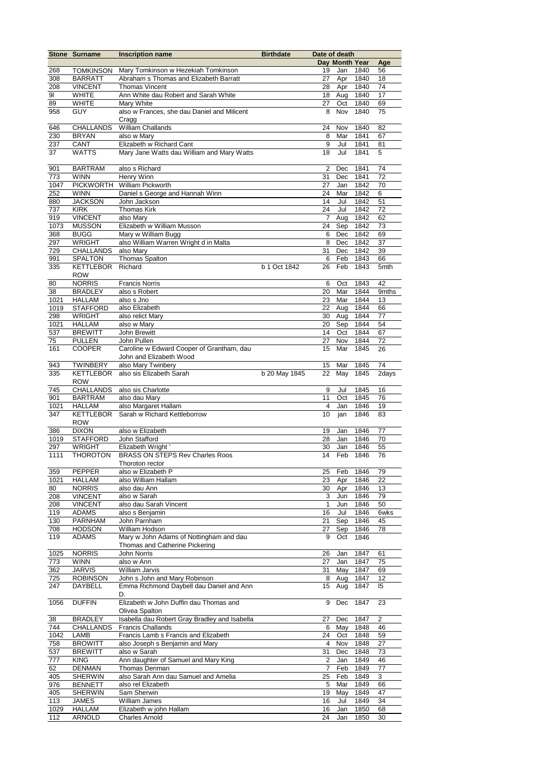|             | <b>Stone Surname</b>            | <b>Inscription name</b>                       | <b>Birthdate</b> | Date of death |                |              |                |
|-------------|---------------------------------|-----------------------------------------------|------------------|---------------|----------------|--------------|----------------|
|             |                                 |                                               |                  |               | Day Month Year |              | Age            |
| 268         | <b>TOMKINSON</b>                | Mary Tomkinson w Hezekiah Tomkinson           |                  | 19            | Jan            | 1840         | 56             |
| 308         | <b>BARRATT</b>                  | Abraham s Thomas and Elizabeth Barratt        |                  | 27            | Apr            | 1840         | 18             |
| 208         | <b>VINCENT</b>                  | <b>Thomas Vincent</b>                         |                  | 28            | Apr            | 1840         | 74             |
| 91          | <b>WHITE</b>                    | Ann White dau Robert and Sarah White          |                  | 18            | Aug            | 1840         | 17             |
| 89          | <b>WHITE</b>                    | Mary White                                    |                  | 27            | Oct            | 1840         | 69             |
| 958         | <b>GUY</b>                      | also w Frances, she dau Daniel and Milicent   |                  | 8             | Nov            | 1840         | 75             |
|             |                                 | Cragg                                         |                  |               |                |              |                |
| 646         | CHALLANDS                       | <b>William Challands</b>                      |                  | 24            | Nov            | 1840         | 82             |
| 230         | <b>BRYAN</b>                    | also w Mary                                   |                  | 8             | Mar            | 1841         | 67             |
| 237         | CANT                            | Elizabeth w Richard Cant                      |                  | 9             | Jul            | 1841         | 81             |
| 37          | <b>WATTS</b>                    | Mary Jane Watts dau William and Mary Watts    |                  | 18            | Jul            | 1841         | 5              |
| 901         | <b>BARTRAM</b>                  | also s Richard                                |                  | 2             | Dec            | 1841         | 74             |
| 773         | <b>WINN</b>                     | Henry Winn                                    |                  | 31            | Dec            | 1841         | 72             |
| 1047        |                                 | PICKWORTH William Pickworth                   |                  | 27            | Jan            | 1842         | 70             |
| 252         | <b>WINN</b>                     | Daniel s George and Hannah Winn               |                  | 24            | Mar            | 1842         | 6              |
| 880         | <b>JACKSON</b>                  | John Jackson                                  |                  | 14            | Jul            | 1842         | 51             |
| 737         | <b>KIRK</b>                     | <b>Thomas Kirk</b>                            |                  | 24            | Jul            | 1842         | 72             |
| 919         | <b>VINCENT</b>                  | also Mary                                     |                  | 7             | Aug            | 1842         | 62             |
| 1073        | <b>MUSSON</b>                   | Elizabeth w William Musson                    |                  | 24            | Sep            | 1842         | 73             |
| 368         | <b>BUGG</b>                     | Mary w William Bugg                           |                  | 6             | Dec            | 1842         | 69             |
| 297         | <b>WRIGHT</b>                   | also William Warren Wright d in Malta         |                  | 8             | Dec            | 1842         | 37             |
| 729         | <b>CHALLANDS</b>                | also Mary                                     |                  | 31            | Dec            | 1842         | 39             |
| 991         | <b>SPALTON</b>                  | Thomas Spalton                                |                  | 6             | Feb            | 1843         | 66             |
| 335         | <b>KETTLEBOR</b>                | Richard                                       | b 1 Oct 1842     | 26            | Feb            | 1843         | 5mth           |
|             | <b>ROW</b>                      |                                               |                  |               |                |              |                |
| 80          | <b>NORRIS</b>                   | <b>Francis Norris</b>                         |                  | 6             | Oct            | 1843         | 42             |
| 38          | <b>BRADLEY</b>                  | also s Robert                                 |                  | 20            | Mar            | 1844         | 9mths          |
| 1021        | <b>HALLAM</b>                   | also s Jno                                    |                  | 23            | Mar            | 1844         | 13             |
| 1019        | <b>STAFFORD</b>                 | also Elizabeth                                |                  | 22            | Aug            | 1844         | 66             |
| 298         | <b>WRIGHT</b>                   | also relict Mary                              |                  | 30            | Aug            | 1844         | 77             |
| 1021        | <b>HALLAM</b>                   | also w Mary                                   |                  | 20            | Sep            | 1844         | 54             |
| 537         | <b>BREWITT</b>                  | John Brewitt                                  |                  | 14            | Oct            | 1844         | 67             |
| 75          | <b>PULLEN</b>                   | John Pullen                                   |                  | 27            | Nov            | 1844         | 72             |
| 161         | <b>COOPER</b>                   | Caroline w Edward Cooper of Grantham, dau     |                  | 15            | Mar            | 1845         | 26             |
|             |                                 | John and Elizabeth Wood                       |                  |               |                |              |                |
| 943         | <b>TWINBERY</b>                 | also Mary Twinbery                            |                  | 15            | Mar            | 1845         | 74             |
| 335         | <b>KETTLEBOR</b>                | also sis Elizabeth Sarah                      | b 20 May 1845    | 22            | May            | 1845         | 2days          |
|             | <b>ROW</b>                      |                                               |                  |               |                |              |                |
| 745         | CHALLANDS                       | also sis Charlotte                            |                  | 9             | Jul            | 1845         | 16             |
| 901<br>1021 | <b>BARTRAM</b><br><b>HALLAM</b> | also dau Mary<br>also Margaret Hallam         |                  | 11<br>4       | Oct<br>Jan     | 1845<br>1846 | 76<br>19       |
| 347         | <b>KETTLEBOR</b>                | Sarah w Richard Kettleborrow                  |                  | 10            | jan            | 1846         | 83             |
|             | <b>ROW</b>                      |                                               |                  |               |                |              |                |
| 386         | <b>DIXON</b>                    | also w Elizabeth                              |                  | 19            | Jan            | 1846         | 77             |
| 1019        | <b>STAFFORD</b>                 | John Stafford                                 |                  | 28            | Jan            | 1846         | 70             |
| 297         | <b>WRIGHT</b>                   | Elizabeth Wright '                            |                  | 30            | Jan            | 1846         | 55             |
| 1111        | <b>THOROTON</b>                 | <b>BRASS ON STEPS Rev Charles Roos</b>        |                  | 14            | Feb            | 1846         | 76             |
|             |                                 | Thoroton rector                               |                  |               |                |              |                |
| 359         | PEPPER                          | also w Elizabeth P                            |                  | 25            | Feb            | 1846         | 79             |
| 1021        | <b>HALLAM</b>                   | also William Hallam                           |                  | 23            | Apr            | 1846         | 22             |
| 80          | <b>NORRIS</b>                   | also dau Ann                                  |                  | 30            | Apr            | 1846         | 13             |
| 208         | <b>VINCENT</b>                  | also w Sarah                                  |                  | 3             | Jun            | 1846         | 79             |
| 208         | <b>VINCENT</b>                  | also dau Sarah Vincent                        |                  | 1             | Jun            | 1846         | 50             |
| 119         | ADAMS                           | also s Benjamin                               |                  | 16            | Jul            | 1846         | 6wks           |
| 130         | <b>PARNHAM</b>                  | John Parnham                                  |                  | 21            | Sep            | 1846         | 45             |
| 708         | <b>HODSON</b>                   | William Hodson                                |                  | 27            | Sep            | 1846         | 78             |
| 119         | ADAMS                           | Mary w John Adams of Nottingham and dau       |                  | 9             | Oct            | 1846         |                |
|             |                                 | Thomas and Catherine Pickering                |                  |               |                |              |                |
| 1025        | <b>NORRIS</b>                   | John Norris                                   |                  | 26            | Jan            | 1847         | 61             |
| 773<br>362  | <b>WINN</b><br><b>JARVIS</b>    | also w Ann<br>William Jarvis                  |                  | 27<br>31      | Jan<br>May     | 1847<br>1847 | 75<br>69       |
| 725         | <b>ROBINSON</b>                 | John s John and Mary Robinson                 |                  | 8             | Aug            | 1847         | 12             |
| 247         | DAYBELL                         | Emma Richmond Daybell dau Daniel and Ann      |                  | 15            | Aug            | 1847         | 15             |
|             |                                 | D.                                            |                  |               |                |              |                |
| 1056        | <b>DUFFIN</b>                   | Elizabeth w John Duffin dau Thomas and        |                  | 9             | Dec            | 1847         | 23             |
|             |                                 | Olivea Spalton                                |                  |               |                |              |                |
| 38          | <b>BRADLEY</b>                  | Isabella dau Robert Gray Bradley and Isabella |                  | 27            | Dec            | 1847         | $\overline{2}$ |
| 744         | <b>CHALLANDS</b>                | <b>Francis Challands</b>                      |                  | 6             | May            | 1848         | 46             |
| 1042        | LAMB                            | Francis Lamb s Francis and Elizabeth          |                  | 24            | Oct            | 1848         | 59             |
| 758         | <b>BROWITT</b>                  | also Joseph s Benjamin and Mary               |                  | 4             | Nov            | 1848         | 27             |
| 537         | <b>BREWITT</b>                  | also w Sarah                                  |                  | 31            | Dec            | 1848         | 73             |
| 777         | KING                            | Ann daughter of Samuel and Mary King          |                  | 2             | Jan            | 1849         | 46             |
| 62          | <b>DENMAN</b>                   | Thomas Denman                                 |                  | 7             | Feb            | 1849         | 77             |
| 405         | <b>SHERWIN</b>                  | also Sarah Ann dau Samuel and Amelia          |                  | 25            | Feb            | 1849         | 3              |
| 976         | <b>BENNETT</b>                  | also rel Elizabeth                            |                  | 5             | Mar            | 1849         | 66             |
| 405         | <b>SHERWIN</b>                  | Sam Sherwin                                   |                  | 19            | May            | 1849         | 47             |
| 113         | <b>JAMES</b>                    | William James                                 |                  | 16            | Jul            | 1849         | 34             |
| 1029        | <b>HALLAM</b>                   | Elizabeth w john Hallam                       |                  | 16            | Jan            | 1850         | 68             |
| 112         | <b>ARNOLD</b>                   | <b>Charles Arnold</b>                         |                  | 24            | Jan            | 1850         | 30             |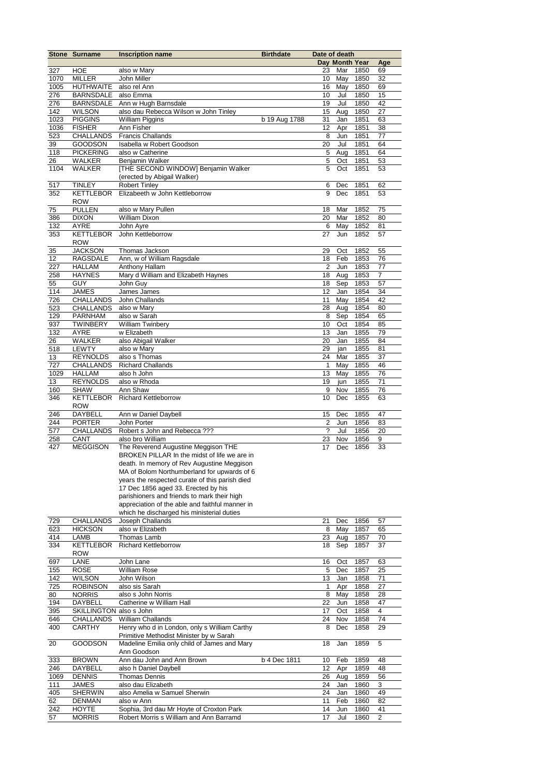|             | <b>Stone Surname</b>                 | <b>Inscription name</b>                                                                                                           | <b>Birthdate</b> | Date of death<br>Day Month Year |            |              |          |
|-------------|--------------------------------------|-----------------------------------------------------------------------------------------------------------------------------------|------------------|---------------------------------|------------|--------------|----------|
|             |                                      |                                                                                                                                   |                  |                                 |            |              | Age      |
| 327         | <b>HOE</b>                           | also w Mary                                                                                                                       |                  | 23                              | Mar        | 1850         | 69       |
| 1070        | <b>MILLER</b>                        | John Miller<br>also rel Ann                                                                                                       |                  | 10                              | May        | 1850         | 32<br>69 |
| 1005        | <b>HUTHWAITE</b>                     |                                                                                                                                   |                  | 16                              | May<br>Jul | 1850<br>1850 |          |
| 276<br>276  | <b>BARNSDALE</b><br><b>BARNSDALE</b> | also Emma<br>Ann w Hugh Barnsdale                                                                                                 |                  | 10<br>19                        | Jul        | 1850         | 15<br>42 |
| 142         | WILSON                               | also dau Rebecca Wilson w John Tinley                                                                                             |                  | 15                              | Aug        | 1850         | 27       |
| 1023        | <b>PIGGINS</b>                       | <b>William Piggins</b>                                                                                                            | b 19 Aug 1788    | 31                              | Jan        | 1851         | 63       |
| 1036        | <b>FISHER</b>                        | Ann Fisher                                                                                                                        |                  | 12                              | Apr        | 1851         | 38       |
| 523         | <b>CHALLANDS</b>                     | <b>Francis Challands</b>                                                                                                          |                  | 8                               | Jun        | 1851         | 77       |
| 39          | <b>GOODSON</b>                       | Isabella w Robert Goodson                                                                                                         |                  | 20                              | Jul        | 1851         | 64       |
| 118         | <b>PICKERING</b>                     | also w Catherine                                                                                                                  |                  | 5                               | Aug        | 1851         | 64       |
| 26          | WALKER                               | Benjamin Walker                                                                                                                   |                  | 5                               | Oct        | 1851         | 53       |
| 1104        | WALKER                               | [THE SECOND WINDOW] Benjamin Walker                                                                                               |                  | 5                               | Oct        | 1851         | 53       |
|             |                                      | (erected by Abigail Walker)                                                                                                       |                  |                                 |            |              |          |
| 517<br>352  | <b>TINLEY</b><br>KETTLEBOR<br>ROW    | <b>Robert Tinley</b><br>Elizabeeth w John Kettleborrow                                                                            |                  | 6<br>9                          | Dec<br>Dec | 1851<br>1851 | 62<br>53 |
| 75          | <b>PULLEN</b>                        | also w Mary Pullen                                                                                                                |                  | 18                              | Mar        | 1852         | 75       |
| 386         | <b>DIXON</b>                         | <b>William Dixon</b>                                                                                                              |                  | 20                              | Mar        | 1852         | 80       |
| 132         | AYRE                                 | John Ayre                                                                                                                         |                  | 6                               | May        | 1852         | 81       |
| 353         | KETTLEBOR<br><b>ROW</b>              | John Kettleborrow                                                                                                                 |                  | 27                              | Jun        | 1852         | 57       |
| 35          | <b>JACKSON</b>                       | Thomas Jackson                                                                                                                    |                  | 29                              | Oct        | 1852         | 55       |
| 12          | <b>RAGSDALE</b>                      | Ann, w of William Ragsdale                                                                                                        |                  | 18                              | Feb        | 1853         | 76       |
| 227         | <b>HALLAM</b>                        | Anthony Hallam                                                                                                                    |                  | $\overline{2}$                  | Jun        | 1853         | 77       |
| 258         | <b>HAYNES</b>                        | Mary d William and Elizabeth Haynes                                                                                               |                  | 18                              | Aug        | 1853         | 7        |
| 55          | <b>GUY</b>                           | John Guy                                                                                                                          |                  | 18                              | Sep        | 1853         | 57       |
| 114         | <b>JAMES</b>                         | James James                                                                                                                       |                  | 12                              | Jan        | 1854         | 34       |
| 726         | CHALLANDS                            | John Challands                                                                                                                    |                  | 11                              | May        | 1854         | 42       |
| 523         | <b>CHALLANDS</b>                     | also w Mary                                                                                                                       |                  | 28                              | Aug        | 1854         | 80       |
| 129         | <b>PARNHAM</b>                       | also w Sarah                                                                                                                      |                  | 8                               | Sep        | 1854         | 65       |
| 937         | TWINBERY                             | <b>William Twinbery</b>                                                                                                           |                  | 10                              | Oct        | 1854         | 85       |
| 132         | AYRE                                 | w Elizabeth                                                                                                                       |                  | 13                              | Jan        | 1855         | 79       |
| 26          | WALKER                               | also Abigail Walker                                                                                                               |                  | 20                              | Jan        | 1855         | 84       |
| 518         | LEWTY                                | also w Mary                                                                                                                       |                  | 29                              | jan        | 1855         | 81       |
| 13          | <b>REYNOLDS</b>                      | also s Thomas                                                                                                                     |                  | 24                              | Mar        | 1855         | 37       |
| 727<br>1029 | <b>CHALLANDS</b>                     | <b>Richard Challands</b><br>also h John                                                                                           |                  | $\mathbf{1}$<br>13              | May        | 1855<br>1855 | 46<br>76 |
| 13          | <b>HALLAM</b><br><b>REYNOLDS</b>     | also w Rhoda                                                                                                                      |                  | 19                              | May<br>jun | 1855         | 71       |
| 160         | <b>SHAW</b>                          | Ann Shaw                                                                                                                          |                  | 9                               | Nov        | 1855         | 76       |
| 346         | <b>KETTLEBOR</b>                     | <b>Richard Kettleborrow</b>                                                                                                       |                  | 10                              | Dec        | 1855         | 63       |
|             | <b>ROW</b>                           |                                                                                                                                   |                  |                                 |            |              |          |
| 246         | <b>DAYBELL</b>                       | Ann w Daniel Daybell                                                                                                              |                  | 15                              | Dec        | 1855         | 47       |
| 244         | <b>PORTER</b>                        | John Porter                                                                                                                       |                  | $\overline{2}$                  | Jun        | 1856         | 83       |
| 577         | <b>CHALLANDS</b>                     | Robert s John and Rebecca ???                                                                                                     |                  | $\overline{\phantom{0}}$        | Jul        | 1856         | 20       |
| 258         | CANT                                 | also bro William                                                                                                                  |                  | 23                              | Nov        | 1856         | 9        |
| 427         | <b>MEGGISON</b>                      | The Reverend Augustine Meggison THE<br>BROKEN PILLAR In the midst of life we are in<br>death. In memory of Rev Augustine Meggison |                  | 17                              | Dec        | 1856         | 33       |
|             |                                      | MA of Bolom Northumberland for upwards of 6<br>years the respected curate of this parish died                                     |                  |                                 |            |              |          |
|             |                                      | 17 Dec 1856 aged 33. Erected by his                                                                                               |                  |                                 |            |              |          |
|             |                                      | parishioners and friends to mark their high                                                                                       |                  |                                 |            |              |          |
|             |                                      | appreciation of the able and faithful manner in                                                                                   |                  |                                 |            |              |          |
|             |                                      | which he discharged his ministerial duties                                                                                        |                  |                                 |            |              |          |
| 729         | CHALLANDS                            | Joseph Challands                                                                                                                  |                  | 21                              | Dec        | 1856         | 57       |
| 623<br>414  | <b>HICKSON</b><br>LAMB               | also w Elizabeth<br>Thomas Lamb                                                                                                   |                  | 8<br>23                         | May<br>Aug | 1857<br>1857 | 65<br>70 |
| 334         | KETTLEBOR                            | <b>Richard Kettleborrow</b>                                                                                                       |                  | 18                              | Sep        | 1857         | 37       |
|             | ROW                                  |                                                                                                                                   |                  |                                 |            |              |          |
| 697         | LANE                                 | John Lane                                                                                                                         |                  | 16                              | Oct        | 1857         | 63       |
| 155         | ROSE                                 | William Rose                                                                                                                      |                  | 5                               | Dec        | 1857         | 25       |
| 142         | WILSON                               | John Wilson                                                                                                                       |                  | 13                              | Jan        | 1858         | 71       |
| 725         | <b>ROBINSON</b>                      | also sis Sarah                                                                                                                    |                  | 1                               | Apr        | 1858         | 27       |
| 80          | <b>NORRIS</b>                        | also s John Norris                                                                                                                |                  | 8                               | May        | 1858         | 28       |
| 194         | DAYBELL                              | Catherine w William Hall                                                                                                          |                  | 22                              | Jun        | 1858         | 47       |
| 395         | SKILLINGTON also s John              |                                                                                                                                   |                  | 17                              | Oct        | 1858         | 4        |
| 646<br>400  | CHALLANDS<br><b>CARTHY</b>           | <b>William Challands</b><br>Henry who d in London, only s William Carthy                                                          |                  | 24<br>8                         | Nov<br>Dec | 1858<br>1858 | 74<br>29 |
|             |                                      | Primitive Methodist Minister by w Sarah                                                                                           |                  |                                 |            |              |          |
| 20          | GOODSON                              | Madeline Emilia only child of James and Mary<br>Ann Goodson                                                                       |                  | 18                              | Jan        | 1859         | 5        |
| 333         | <b>BROWN</b>                         | Ann dau John and Ann Brown                                                                                                        | b 4 Dec 1811     | 10                              | Feb        | 1859         | 48       |
| 246         | DAYBELL                              | also h Daniel Daybell                                                                                                             |                  | 12                              | Apr        | 1859         | 48       |
| 1069        | DENNIS                               | <b>Thomas Dennis</b>                                                                                                              |                  | 26                              | Aug        | 1859         | 56       |
| 111         | JAMES                                | also dau Elizabeth                                                                                                                |                  | 24                              | Jan        | 1860         | 3        |
| 405         | <b>SHERWIN</b>                       | also Amelia w Samuel Sherwin                                                                                                      |                  | 24                              | Jan        | 1860         | 49       |
| 62          | DENMAN                               | also w Ann                                                                                                                        |                  | 11                              | Feb        | 1860         | 82       |
| 242         | <b>HOYTE</b>                         | Sophia, 3rd dau Mr Hoyte of Croxton Park                                                                                          |                  | 14                              | Jun        | 1860         | 41       |
| 57          | <b>MORRIS</b>                        | Robert Morris s William and Ann Barramd                                                                                           |                  | 17                              | Jul        | 1860         | 2        |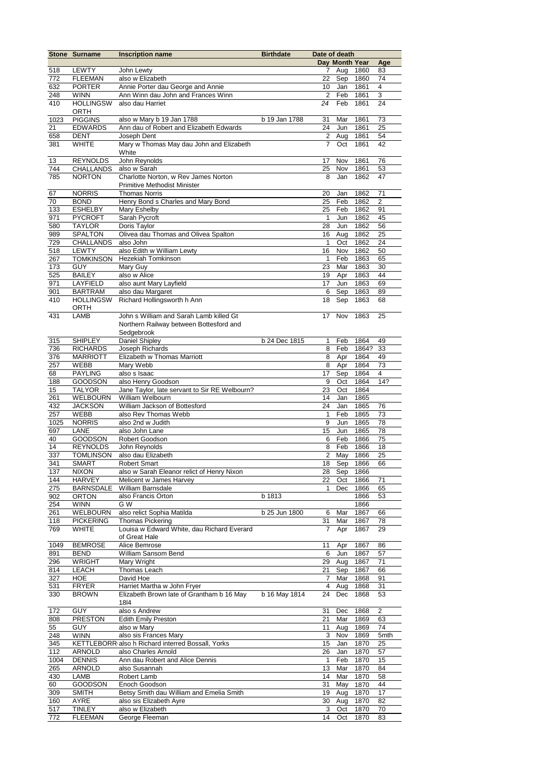|      | Stone Surname            | <b>Inscription name</b>                           | <b>Birthdate</b> | Date of death  |                |       |      |
|------|--------------------------|---------------------------------------------------|------------------|----------------|----------------|-------|------|
|      |                          |                                                   |                  |                | Day Month Year |       | Age  |
| 518  | LEWTY                    | John Lewty                                        |                  | 7              | Aug            | 1860  | 83   |
| 772  | <b>FLEEMAN</b>           | also w Elizabeth                                  |                  | 22             | Sep            | 1860  | 74   |
| 632  | <b>PORTER</b>            | Annie Porter dau George and Annie                 |                  | 10             | Jan            | 1861  | 4    |
| 248  | <b>WINN</b>              | Ann Winn dau John and Frances Winn                |                  | $\overline{2}$ | Feb            | 1861  | 3    |
| 410  | <b>HOLLINGSW</b><br>ORTH | also dau Harriet                                  |                  | 24             | Feb            | 1861  | 24   |
| 1023 | <b>PIGGINS</b>           | also w Mary b 19 Jan 1788                         | b 19 Jan 1788    | 31             | Mar            | 1861  | 73   |
| 21   | <b>EDWARDS</b>           | Ann dau of Robert and Elizabeth Edwards           |                  | 24             | Jun            | 1861  | 25   |
| 658  | <b>DENT</b>              | Joseph Dent                                       |                  | 2              | Aug            | 1861  | 54   |
| 381  | <b>WHITE</b>             | Mary w Thomas May dau John and Elizabeth          |                  | 7              | Oct            | 1861  | 42   |
|      |                          | White                                             |                  |                |                |       |      |
| 13   | <b>REYNOLDS</b>          | John Reynolds                                     |                  | 17             | Nov            | 1861  | 76   |
| 744  | <b>CHALLANDS</b>         | also w Sarah                                      |                  | 25             | Nov            | 1861  | 53   |
| 785  | <b>NORTON</b>            | Charlotte Norton, w Rev James Norton              |                  | 8              | Jan            | 1862  | 47   |
|      |                          | <b>Primitive Methodist Minister</b>               |                  |                |                |       |      |
| 67   | <b>NORRIS</b>            | <b>Thomas Norris</b>                              |                  | 20             | Jan            | 1862  | 71   |
| 70   | <b>BOND</b>              | Henry Bond s Charles and Mary Bond                |                  | 25             | Feb            | 1862  | 2    |
| 133  | <b>ESHELBY</b>           | Mary Eshelby                                      |                  | 25             | Feb            | 1862  | 91   |
| 971  | <b>PYCROFT</b>           | Sarah Pycroft                                     |                  | $\mathbf{1}$   | Jun            | 1862  | 45   |
| 580  | <b>TAYLOR</b>            | Doris Taylor                                      |                  | 28             | Jun            | 1862  | 56   |
| 989  | <b>SPALTON</b>           | Olivea dau Thomas and Olivea Spalton              |                  | 16             | Aug            | 1862  | 25   |
| 729  | <b>CHALLANDS</b>         | also John                                         |                  | $\mathbf{1}$   | Oct            | 1862  | 24   |
| 518  | <b>LEWTY</b>             | also Edith w William Lewty                        |                  | 16             | Nov            | 1862  | 50   |
| 267  | <b>TOMKINSON</b>         | Hezekiah Tomkinson                                |                  | $\mathbf{1}$   | Feb            | 1863  | 65   |
| 173  | GUY                      | Mary Guy                                          |                  | 23             | Mar            | 1863  | 30   |
| 525  | <b>BAILEY</b>            | also w Alice                                      |                  | 19             | Apr            | 1863  | 44   |
| 971  | LAYFIELD                 | also aunt Mary Layfield                           |                  | 17             | Jun            | 1863  | 69   |
| 901  | <b>BARTRAM</b>           | also dau Margaret                                 |                  | 6              | Sep            | 1863  | 89   |
| 410  | <b>HOLLINGSW</b>         | Richard Hollingsworth h Ann                       |                  | 18             | Sep            | 1863  | 68   |
|      | ORTH                     | John s William and Sarah Lamb killed Gt           |                  |                |                |       |      |
| 431  | LAMB                     |                                                   |                  | 17             | Nov            | 1863  | 25   |
|      |                          | Northern Railway between Bottesford and           |                  |                |                |       |      |
|      |                          | Sedgebrook                                        |                  |                |                |       |      |
| 315  | <b>SHIPLEY</b>           | Daniel Shipley                                    | b 24 Dec 1815    | $\mathbf{1}$   | Feb            | 1864  | 49   |
| 736  | <b>RICHARDS</b>          | Joseph Richards                                   |                  | 8              | Feb            | 1864? | 33   |
| 376  | <b>MARRIOTT</b>          | Elizabeth w Thomas Marriott                       |                  | 8              | Apr            | 1864  | 49   |
| 257  | WEBB                     | Mary Webb                                         |                  | 8              | Apr            | 1864  | 73   |
| 68   | <b>PAYLING</b>           | also s Isaac                                      |                  | 17             | Sep            | 1864  | 4    |
| 188  | <b>GOODSON</b>           | also Henry Goodson                                |                  | 9              | Oct            | 1864  | 14?  |
| 15   | <b>TALYOR</b>            | Jane Taylor, late servant to Sir RE Welbourn?     |                  | 23             | Oct            | 1864  |      |
| 261  | WELBOURN                 | William Welbourn                                  |                  | 14             | Jan            | 1865  |      |
| 432  | <b>JACKSON</b>           | William Jackson of Bottesford                     |                  | 24             | Jan            | 1865  | 76   |
| 257  | WEBB                     | also Rev Thomas Webb                              |                  | 1              | Feb            | 1865  | 73   |
| 1025 | <b>NORRIS</b>            | also 2nd w Judith                                 |                  | 9              | Jun            | 1865  | 78   |
| 697  | LANE                     | also John Lane                                    |                  | 15             | Jun            | 1865  | 78   |
| 40   | <b>GOODSON</b>           | Robert Goodson                                    |                  | 6              | Feb            | 1866  | 75   |
| 14   | <b>REYNOLDS</b>          | John Reynolds                                     |                  | 8              | Feb            | 1866  | 18   |
| 337  | <b>TOMLINSON</b>         | also dau Elizabeth                                |                  | $\overline{c}$ | May            | 1866  | 25   |
| 341  | <b>SMART</b>             | Robert Smart                                      |                  |                | 18 Sep         | 1866  | 66   |
| 137  | <b>NIXON</b>             | also w Sarah Eleanor relict of Henry Nixon        |                  |                | 28 Sep 1866    |       |      |
| 144  | <b>HARVEY</b>            | Melicent w James Harvey                           |                  | 22             | Oct            | 1866  | 71   |
| 275  | <b>BARNSDALE</b>         | William Barnsdale                                 |                  | 1              | Dec            | 1866  | 65   |
| 902  | ORTON                    | also Francis Orton                                | b 1813           |                |                | 1866  | 53   |
| 254  | <b>WINN</b>              | G W                                               |                  |                |                | 1866  |      |
| 261  | WELBOURN                 | also relict Sophia Matilda                        | b 25 Jun 1800    | 6              | Mar            | 1867  | 66   |
| 118  | <b>PICKERING</b>         | <b>Thomas Pickering</b>                           |                  | 31             | Mar            | 1867  | 78   |
| 769  | <b>WHITE</b>             | Louisa w Edward White, dau Richard Everard        |                  | $\overline{7}$ | Apr            | 1867  | 29   |
|      |                          | of Great Hale                                     |                  |                |                |       |      |
| 1049 | <b>BEMROSE</b>           | Alice Bemrose                                     |                  | 11             | Apr            | 1867  | 86   |
| 891  | <b>BEND</b>              | William Sansom Bend                               |                  | 6              | Jun            | 1867  | 57   |
| 296  | <b>WRIGHT</b>            | Mary Wright                                       |                  | 29             | Aug            | 1867  | 71   |
| 814  | <b>LEACH</b>             | <b>Thomas Leach</b>                               |                  | 21             | Sep            | 1867  | 66   |
| 327  | HOE                      | David Hoe                                         |                  | 7              | Mar            | 1868  | 91   |
| 531  | <b>FRYER</b>             | Harriet Martha w John Fryer                       |                  | 4              | Aug            | 1868  | 31   |
| 330  | <b>BROWN</b>             | Elizabeth Brown late of Grantham b 16 May         | b 16 May 1814    | 24             | Dec            | 1868  | 53   |
|      |                          | 1814                                              |                  |                |                |       |      |
| 172  | GUY                      | also s Andrew                                     |                  | 31             | Dec            | 1868  | 2    |
| 808  | <b>PRESTON</b>           | <b>Edith Emily Preston</b>                        |                  | 21             | Mar            | 1869  | 63   |
| 55   | <b>GUY</b>               | also w Mary                                       |                  | 11             | Aug            | 1869  | 74   |
| 248  | <b>WINN</b>              | also sis Frances Mary                             |                  | 3              | Nov            | 1869  | 5mth |
| 345  |                          | KETTLEBORR also h Richard interred Bossall, Yorks |                  | 15             | Jan            | 1870  | 25   |
| 112  | <b>ARNOLD</b>            | also Charles Arnold                               |                  | 26             | Jan            | 1870  | 57   |
| 1004 | <b>DENNIS</b>            | Ann dau Robert and Alice Dennis                   |                  | $\mathbf{1}$   | Feb            | 1870  | 15   |
| 265  | <b>ARNOLD</b>            | also Susannah                                     |                  | 13             | Mar            | 1870  | 84   |
| 430  | LAMB                     | Robert Lamb                                       |                  | 14             | Mar            | 1870  | 58   |
| 60   | GOODSON                  | Enoch Goodson                                     |                  | 31             | May            | 1870  | 44   |
| 309  | <b>SMITH</b>             | Betsy Smith dau William and Emelia Smith          |                  | 19             | Aug            | 1870  | 17   |
| 160  | AYRE                     | also sis Elizabeth Ayre                           |                  | 30             | Aug            | 1870  | 82   |
| 517  | <b>TINLEY</b>            | also w Elizabeth                                  |                  | 3              | Oct            | 1870  | 70   |
| 772  | <b>FLEEMAN</b>           | George Fleeman                                    |                  | 14             | Oct            | 1870  | 83   |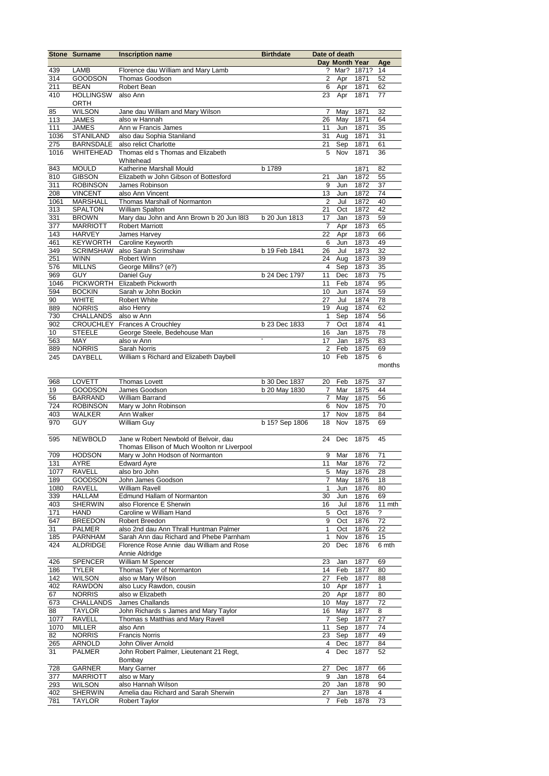|             | <b>Stone Surname</b>              | <b>Inscription name</b>                                  | <b>Birthdate</b> | Date of death<br>Day Month Year |            |              |              |
|-------------|-----------------------------------|----------------------------------------------------------|------------------|---------------------------------|------------|--------------|--------------|
|             |                                   |                                                          |                  |                                 |            |              | Age          |
| 439         | LAMB                              | Florence dau William and Mary Lamb                       |                  | ?                               | Mar?       | 1871?        | 14           |
| 314         | <b>GOODSON</b>                    | Thomas Goodson                                           |                  | $\overline{2}$                  | Apr        | 1871         | 52           |
| 211         | <b>BEAN</b>                       | Robert Bean                                              |                  | 6                               | Apr        | 1871         | 62           |
| 410         | <b>HOLLINGSW</b><br><b>ORTH</b>   | also Ann                                                 |                  | 23                              | Apr        | 1871         | 77           |
| 85          | <b>WILSON</b>                     | Jane dau William and Mary Wilson                         |                  | 7                               | May        | 1871         | 32           |
| 113         | <b>JAMES</b>                      | also w Hannah                                            |                  | 26                              | May        | 1871         | 64           |
| 111         | <b>JAMES</b>                      | Ann w Francis James                                      |                  | 11                              | Jun        | 1871         | 35           |
| 1036        | <b>STANILAND</b>                  | also dau Sophia Staniland                                |                  | 31                              | Aug        | 1871         | 31           |
| 275         | <b>BARNSDALE</b>                  | also relict Charlotte                                    |                  | 21                              | Sep        | 1871         | 61           |
| 1016        | WHITEHEAD                         | Thomas eld s Thomas and Elizabeth                        |                  | 5                               | Nov        | 1871         | 36           |
|             |                                   | Whitehead                                                |                  |                                 |            |              |              |
| 843         | <b>MOULD</b>                      | Katherine Marshall Mould                                 | b 1789           |                                 |            | 1871         | 82           |
| 810         | <b>GIBSON</b>                     | Elizabeth w John Gibson of Bottesford                    |                  | 21                              | Jan        | 1872         | 55           |
| 311         | <b>ROBINSON</b>                   | James Robinson<br>also Ann Vincent                       |                  | 9<br>13                         | Jun        | 1872<br>1872 | 37<br>74     |
| 208<br>1061 | <b>VINCENT</b><br><b>MARSHALL</b> | Thomas Marshall of Normanton                             |                  | $\overline{2}$                  | Jun<br>Jul | 1872         | 40           |
| 313         | <b>SPALTON</b>                    | William Spalton                                          |                  | 21                              | Oct        | 1872         | 42           |
| 331         | <b>BROWN</b>                      | Mary dau John and Ann Brown b 20 Jun 1813                | b 20 Jun 1813    | 17                              | Jan        | 1873         | 59           |
| 377         | <b>MARRIOTT</b>                   | <b>Robert Marriott</b>                                   |                  | 7                               | Apr        | 1873         | 65           |
| 143         | <b>HARVEY</b>                     | James Harvey                                             |                  | 22                              | Apr        | 1873         | 66           |
| 461         | <b>KEYWORTH</b>                   | Caroline Keyworth                                        |                  | 6                               | Jun        | 1873         | 49           |
| 349         | <b>SCRIMSHAW</b>                  | also Sarah Scrimshaw                                     | b 19 Feb 1841    | 26                              | Jul        | 1873         | 32           |
| 251         | <b>WINN</b>                       | Robert Winn                                              |                  | 24                              | Aug        | 1873         | 39           |
| 576         | <b>MILLNS</b>                     | George Millns? (e?)                                      |                  | 4                               | Sep        | 1873         | 35           |
| 969         | <b>GUY</b>                        | Daniel Guy                                               | b 24 Dec 1797    | 11                              | Dec        | 1873         | 75           |
| 1046        | <b>PICKWORTH</b>                  | Elizabeth Pickworth                                      |                  | 11                              | Feb        | 1874         | 95           |
| 594         | <b>BOCKIN</b>                     | Sarah w John Bockin                                      |                  | 10                              | Jun        | 1874         | 59           |
| 90          | <b>WHITE</b>                      | Robert White                                             |                  | 27                              | Jul        | 1874         | 78           |
| 889         | <b>NORRIS</b>                     | also Henry                                               |                  | 19                              | Aug        | 1874         | 62           |
| 730         | <b>CHALLANDS</b>                  | also w Ann                                               |                  | 1                               | Sep        | 1874         | 56           |
| 902         | <b>CROUCHLEY</b>                  | Frances A Crouchley                                      | b 23 Dec 1833    | $\overline{7}$                  | Oct        | 1874         | 41           |
| 10          | <b>STEELE</b>                     | George Steele, Bedehouse Man                             |                  | 16                              | Jan        | 1875         | 78           |
| 563         | MAY                               | also w Ann                                               | Ŧ                | 17                              | Jan        | 1875         | 83           |
| 889         | <b>NORRIS</b>                     | Sarah Norris                                             |                  | 2                               | Feb        | 1875         | 69           |
| 245         | DAYBELL                           | William s Richard and Elizabeth Daybell                  |                  | 10                              | Feb        | 1875         | 6            |
|             |                                   |                                                          |                  |                                 |            |              | months       |
| 968         | LOVETT                            | <b>Thomas Lovett</b>                                     | b 30 Dec 1837    | 20                              | Feb        | 1875         | 37           |
| 19          | <b>GOODSON</b>                    | James Goodson                                            | b 20 May 1830    | $\overline{7}$                  | Mar        | 1875         | 44           |
| 56          | <b>BARRAND</b>                    | William Barrand                                          |                  | $\overline{7}$                  | May        | 1875         | 56           |
| 724         | <b>ROBINSON</b>                   | Mary w John Robinson                                     |                  | 6                               | Nov        | 1875         | 70           |
| 403         | <b>WALKER</b>                     | Ann Walker                                               |                  | 17                              | Nov        | 1875         | 84           |
| 970         | <b>GUY</b>                        | William Guy                                              | b 15? Sep 1806   | 18                              | Nov        | 1875         | 69           |
|             |                                   |                                                          |                  |                                 |            |              |              |
| 595         | <b>NEWBOLD</b>                    | Jane w Robert Newbold of Belvoir, dau                    |                  | 24                              | Dec        | 1875         | 45           |
|             |                                   | Thomas Ellison of Much Woolton nr Liverpool              |                  |                                 |            |              |              |
| 709         | <b>HODSON</b>                     | Mary w John Hodson of Normanton                          |                  | 9                               | Mar        | 1876         | 71           |
| 131         | AYRE                              | Edward Ayre                                              |                  | 11                              |            | Mar 1876     | 72           |
| 1077        | RAVELL                            | also bro John                                            |                  |                                 | 5 May      | 1876         | 28           |
| 189         | GOODSON                           | John James Goodson                                       |                  | $\overline{7}$                  | May        | 1876         | 18           |
| 1080        | RAVELL                            | <b>William Ravell</b>                                    |                  | $\mathbf{1}$                    | Jun        | 1876         | 80           |
| 339         | HALLAM                            | Edmund Hallam of Normanton                               |                  | 30                              | Jun        | 1876         | 69           |
| 403         | <b>SHERWIN</b>                    | also Florence E Sherwin                                  |                  | 16                              | Jul        | 1876         | 11 mth       |
| 171         | HAND                              | Caroline w William Hand                                  |                  | 5                               | Oct        | 1876         | ?            |
| 647<br>31   | <b>BREEDON</b>                    | Robert Breedon<br>also 2nd dau Ann Thrall Huntman Palmer |                  | 9<br>1                          | Oct<br>Oct | 1876         | 72<br>22     |
| 185         | <b>PALMER</b><br><b>PARNHAM</b>   | Sarah Ann dau Richard and Phebe Parnham                  |                  | 1                               | Nov        | 1876<br>1876 | 15           |
| 424         | <b>ALDRIDGE</b>                   | Florence Rose Annie dau William and Rose                 |                  | 20                              | Dec        | 1876         | 6 mth        |
|             |                                   | Annie Aldridge                                           |                  |                                 |            |              |              |
| 426         | <b>SPENCER</b>                    | William M Spencer                                        |                  | 23                              | Jan        | 1877         | 69           |
| 186         | <b>TYLER</b>                      | Thomas Tyler of Normanton                                |                  | 14                              | Feb        | 1877         | 80           |
| 142         | <b>WILSON</b>                     | also w Mary Wilson                                       |                  | 27                              | Feb        | 1877         | 88           |
| 402         | <b>RAWDON</b>                     | also Lucy Rawdon, cousin                                 |                  | 10 <sup>1</sup>                 | Apr        | 1877         | $\mathbf{1}$ |
| 67          | <b>NORRIS</b>                     | also w Elizabeth                                         |                  | 20                              | Apr        | 1877         | 80           |
| 673         | CHALLANDS                         | James Challands                                          |                  |                                 | 10 May     | 1877         | 72           |
| 88          | <b>TAYLOR</b>                     | John Richards s James and Mary Taylor                    |                  | 16                              | May        | 1877         | 8            |
| 1077        | RAVELL                            | Thomas s Matthias and Mary Ravell                        |                  | $\overline{7}$                  | Sep        | 1877         | 27           |
| 1070        | MILLER                            | also Ann                                                 |                  |                                 | 11 Sep     | 1877         | 74           |
| 82          | <b>NORRIS</b>                     | <b>Francis Norris</b>                                    |                  |                                 | 23 Sep     | 1877         | 49           |
| 265         | ARNOLD                            | John Oliver Arnold                                       |                  | 4                               | Dec        | 1877         | 84           |
| 31          | <b>PALMER</b>                     | John Robert Palmer, Lieutenant 21 Regt,                  |                  | 4                               | Dec        | 1877         | 52           |
|             |                                   | Bombay                                                   |                  |                                 |            |              |              |
| 728         | GARNER                            | Mary Garner                                              |                  | 27                              | Dec        | 1877         | 66           |
| 377         | <b>MARRIOTT</b>                   | also w Mary                                              |                  | 9                               | Jan        | 1878         | 64           |
| 293         | <b>WILSON</b>                     | also Hannah Wilson                                       |                  | 20                              | Jan        | 1878         | 90           |
| 402         | <b>SHERWIN</b>                    | Amelia dau Richard and Sarah Sherwin                     |                  | 27                              | Jan        | 1878         | 4            |
| 781         | <b>TAYLOR</b>                     | <b>Robert Taylor</b>                                     |                  | $\overline{7}$                  | Feb        | 1878         | 73           |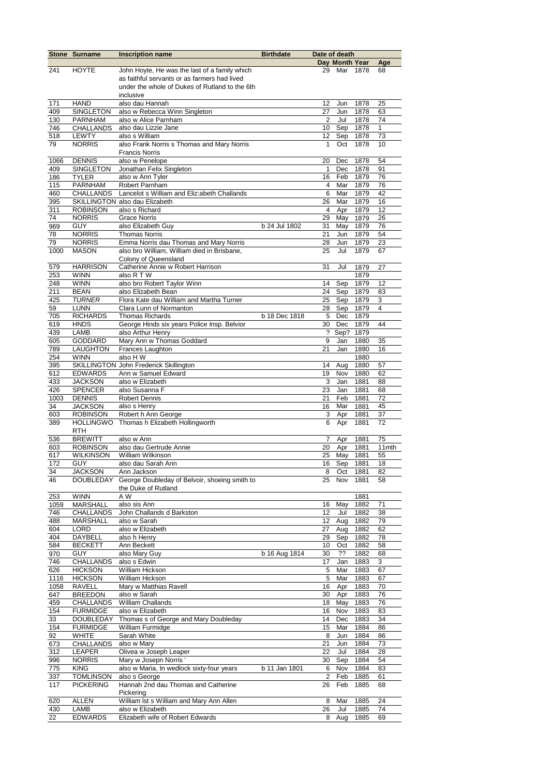|            | <b>Stone Surname</b>                | <b>Inscription name</b>                              | <b>Birthdate</b> | Date of death           |                |              |          |
|------------|-------------------------------------|------------------------------------------------------|------------------|-------------------------|----------------|--------------|----------|
|            |                                     |                                                      |                  |                         | Day Month Year |              | Age      |
| 241        | <b>HOYTE</b>                        | John Hoyte, He was the last of a family which        |                  | 29                      | Mar            | 1878         | 68       |
|            |                                     | as faithful servants or as farmers had lived         |                  |                         |                |              |          |
|            |                                     | under the whole of Dukes of Rutland to the 6th       |                  |                         |                |              |          |
|            |                                     | inclusive                                            |                  |                         |                |              |          |
| 171        | <b>HAND</b>                         | also dau Hannah                                      |                  | 12                      | Jun            | 1878         | 25       |
| 409        | SINGLETON                           | also w Rebecca Winn Singleton                        |                  | 27                      | Jun            | 1878         | 63       |
| 130        | <b>PARNHAM</b>                      | also w Alice Parnham                                 |                  | $\overline{2}$          | Jul            | 1878         | 74       |
| 746        | <b>CHALLANDS</b>                    | also dau Lizzie Jane                                 |                  | 10                      | Sep            | 1878         | 1        |
| 518        | <b>LEWTY</b>                        | also s William                                       |                  | 12                      | Sep            | 1878         | 73       |
| 79         | <b>NORRIS</b>                       | also Frank Norris s Thomas and Mary Norris           |                  | $\mathbf{1}$            | Oct            | 1878         | 10       |
|            |                                     | <b>Francis Norris</b>                                |                  |                         |                |              |          |
| 1066       | <b>DENNIS</b>                       | also w Penelope                                      |                  | 20                      | Dec            | 1878         | 54       |
| 409        | SINGLETON                           | Jonathan Felix Singleton                             |                  | $\mathbf{1}$            | Dec            | 1878         | 91       |
| 186        | <b>TYLER</b>                        | also w Ann Tyler                                     |                  | 16                      | Feb            | 1879         | 76       |
| 115        | <b>PARNHAM</b>                      | Robert Parnham                                       |                  | 4                       | Mar            | 1879         | 76       |
| 460        | <b>CHALLANDS</b>                    | Lancelot s William and Eliz:abeth Challands          |                  | 6                       | Mar            | 1879         | 42       |
| 395        |                                     | SKILLINGTON also dau Elizabeth                       |                  | 26                      | Mar            | 1879         | 16       |
| 311        | <b>ROBINSON</b>                     | also s Richard                                       |                  | 4                       | Apr            | 1879         | 12       |
| 74         | <b>NORRIS</b>                       | <b>Grace Norris</b>                                  |                  | 29                      | May            | 1879         | 26       |
| 969        | <b>GUY</b>                          | also Elizabeth Guy                                   | b 24 Jul 1802    | 31                      | May            | 1879         | 76       |
| 78         | <b>NORRIS</b>                       | <b>Thomas Norris</b>                                 |                  | 21                      | Jun            | 1879         | 54       |
| 79         | <b>NORRIS</b>                       | Emma Norris dau Thomas and Mary Norris               |                  | 28                      | Jun            | 1879         | 23       |
| 1000       | <b>MASON</b>                        | also bro William, William died in Brisbane,          |                  | 25                      | Jul            | 1879         | 67       |
|            |                                     | Colony of Queensland                                 |                  |                         |                |              |          |
| 579        | <b>HARRISON</b>                     | Catherine Annie w Robert Harrison                    |                  | 31                      | Jul            | 1879         | 27       |
| 253        | <b>WINN</b>                         | also R T W                                           |                  |                         |                | 1879         |          |
| 248        | <b>WINN</b>                         | also bro Robert Taylor Winn                          |                  | 14                      | Sep            | 1879         | 12       |
| 211        | <b>BEAN</b>                         | also Elizabeth Bean                                  |                  | 24                      | Sep            | 1879         | 83       |
| 425        | <b>TURNER</b>                       | Flora Kate dau William and Martha Turner             |                  | 25                      | Sep            | 1879         | 3        |
| 59         | <b>LUNN</b>                         | Clara Lunn of Normanton                              |                  | 28                      | Sep            | 1879         | 4        |
| 705        | <b>RICHARDS</b>                     | <b>Thomas Richards</b>                               | b 18 Dec 1818    | 5                       | Dec            | 1879         |          |
| 619        | <b>HNDS</b>                         | George Hinds six years Police Insp. Belvior          |                  | 30                      | Dec            | 1879         | 44       |
| 439        | LAMB                                | also Arthur Henry                                    |                  | ?                       | Sep?           | 1879         |          |
| 605        | GODDARD                             | Mary Ann w Thomas Goddard                            |                  | 9                       | Jan            | 1880         | 35       |
| 789        | <b>LAUGHTON</b>                     | Frances Laughton                                     |                  | 21                      | Jan            | 1880         | 16       |
| 254        | <b>WINN</b>                         | also H W                                             |                  |                         |                | 1880         |          |
| 395        |                                     | SKILLINGTON John Frederick Skillington               |                  | 14                      | Aug            | 1880         | 57       |
| 612        | <b>EDWARDS</b>                      | Ann w Samuel Edward                                  |                  | 19                      | Nov            | 1880         | 62       |
| 433        | <b>JACKSON</b>                      | also w Elizabeth                                     |                  | 3                       | Jan            | 1881         | 88       |
| 426        | <b>SPENCER</b>                      | also Susanna F                                       |                  | 23                      | Jan            | 1881         | 68       |
| 1003       | <b>DENNIS</b>                       | <b>Robert Dennis</b>                                 |                  | 21                      | Feb            | 1881         | 72       |
| 34         | <b>JACKSON</b>                      | also s Henry                                         |                  | 16                      | Mar            | 1881         | 45       |
| 603        | <b>ROBINSON</b>                     | Robert h Ann George                                  |                  | 3                       | Apr            | 1881         | 37       |
| 389        |                                     | HOLLINGWO Thomas h Elizabeth Hollingworth            |                  | 6                       | Apr            | 1881         | 72       |
|            | <b>RTH</b>                          |                                                      |                  |                         |                |              |          |
| 536        | <b>BREWITT</b>                      | also w Ann                                           |                  | 7                       | Apr            | 1881         | 75       |
| 603        | <b>ROBINSON</b>                     | also dau Gertrude Annie                              |                  | 20                      | Apr            | 1881         | 11mth    |
| 617        | <b>WILKINSON</b>                    | <b>William Wilkinson</b>                             |                  | 25                      | May            | 1881         | 55       |
| 172        | GUY.                                | also dau Sarah Ann                                   |                  | 16                      | Sep            | 1881         | 18       |
| 34         | <b>JACKSON</b>                      | Ann Jackson                                          |                  | 8                       | Oct            | 1881         | 82       |
| 46         | <b>DOUBLEDAY</b>                    | George Doubleday of Belvoir, shoeing smith to        |                  | 25                      | Nov            | 1881         | 58       |
|            |                                     | the Duke of Rutland                                  |                  |                         |                |              |          |
| 253        | <b>WINN</b>                         | A W                                                  |                  |                         |                | 1881         |          |
| 1059       | <b>MARSHALL</b>                     | also sis Ann                                         |                  | 16                      | May            | 1882         | 71       |
| 746        | CHALLANDS                           | John Challands d Barkston                            |                  | 12                      | Jul            | 1882         | 38       |
| 488        | <b>MARSHALL</b>                     | also w Sarah                                         |                  | 12                      | Aug            | 1882         | 79       |
| 604        | <b>LORD</b>                         | also w Elizabeth                                     |                  | 27                      | Aug            | 1882         | 62       |
| 404        | DAYBELL                             | also h Henry                                         |                  | 29                      | Sep            | 1882         | 78       |
| 584        | <b>BECKETT</b>                      | Ann Beckett                                          |                  | 10                      | Oct            | 1882         | 58       |
| 970        | <b>GUY</b>                          | also Mary Guy                                        | b 16 Aug 1814    | 30                      | ??             | 1882         | 68       |
| 746        | CHALLANDS                           | also s Edwin                                         |                  | 17                      | Jan            | 1883         | 3        |
| 626        | <b>HICKSON</b>                      | William Hickson                                      |                  | 5                       | Mar            | 1883         | 67       |
| 1116       | <b>HICKSON</b>                      | William Hickson                                      |                  | 5                       | Mar            | 1883         | 67       |
| 1058       | RAVELL                              | Mary w Matthias Ravell                               |                  | 16                      | Apr            | 1883         | 70       |
| 647        | <b>BREEDON</b>                      | also w Sarah<br>William Challands                    |                  | 30                      | Apr            | 1883         | 76       |
| 459        | <b>CHALLANDS</b>                    | also w Elizabeth                                     |                  | 18                      | May            | 1883<br>1883 | 76       |
| 154<br>33  | <b>FURMIDGE</b><br><b>DOUBLEDAY</b> | Thomas s of George and Mary Doubleday                |                  | 16                      | Nov            |              | 83       |
| 154        | <b>FURMIDGE</b>                     | William Furmidge                                     |                  | 14<br>15                | Dec<br>Mar     | 1883<br>1884 | 34<br>86 |
| 92         | <b>WHITE</b>                        | Sarah White                                          |                  | 8                       | Jun            | 1884         | 86       |
|            |                                     | also w Mary                                          |                  | 21                      | Jun            | 1884         | 73       |
| 673        | CHALLANDS                           | Olivea w Joseph Leaper                               |                  | 22                      | Jul            | 1884         | 28       |
| 312        | LEAPER<br><b>NORRIS</b>             | Mary w Josepn Norris'                                |                  |                         | Sep            | 1884         |          |
| 996        | <b>KING</b>                         | also w Maria, In wedlock sixty-four years            | b 11 Jan 1801    | 30<br>6                 | Nov            |              | 54<br>83 |
| 775<br>337 | <b>TOMLINSON</b>                    |                                                      |                  | $\overline{\mathbf{c}}$ | Feb            | 1884<br>1885 | 61       |
| 117        | <b>PICKERING</b>                    | also s George<br>Hannah 2nd dau Thomas and Catherine |                  | 26                      | Feb            | 1885         | 68       |
|            |                                     | Pickering                                            |                  |                         |                |              |          |
|            | ALLEN                               | William Ist s William and Mary Ann Allen             |                  | 8                       | Mar            | 1885         | 24       |
| 620<br>430 | LAMB                                | also w Elizabeth                                     |                  | 26                      | Jul            | 1885         | 74       |
| 22         | <b>EDWARDS</b>                      | Elizabeth wife of Robert Edwards                     |                  | 8                       | Aug            | 1885         | 69       |
|            |                                     |                                                      |                  |                         |                |              |          |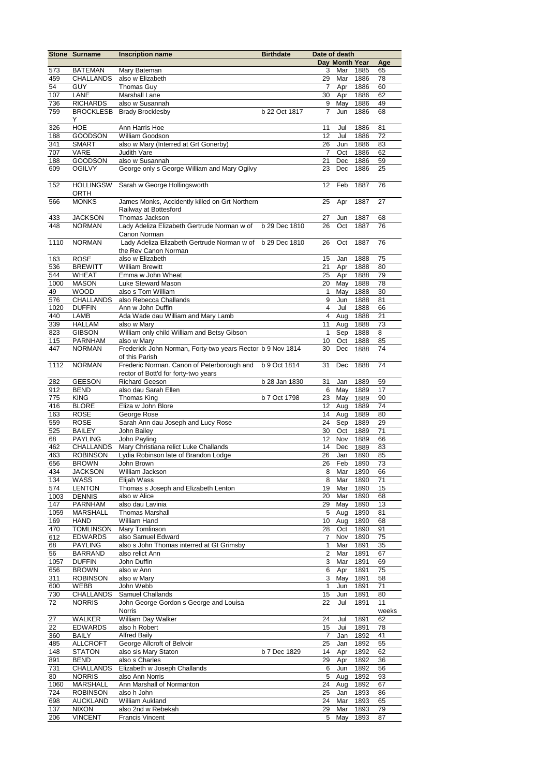|      | <b>Stone Surname</b> | <b>Inscription name</b>                                    | <b>Birthdate</b> | Date of death  |                |          |       |
|------|----------------------|------------------------------------------------------------|------------------|----------------|----------------|----------|-------|
|      |                      |                                                            |                  |                | Day Month Year |          | Age   |
| 573  | <b>BATEMAN</b>       | Mary Bateman                                               |                  | 3              | Mar            | 1885     | 65    |
| 459  | <b>CHALLANDS</b>     | also w Elizabeth                                           |                  | 29             | Mar            | 1886     | 78    |
| 54   | <b>GUY</b>           | Thomas Guy                                                 |                  | 7              | Apr            | 1886     | 60    |
| 107  | LANE                 | <b>Marshall Lane</b>                                       |                  | 30             | Apr            | 1886     | 62    |
| 736  | <b>RICHARDS</b>      | also w Susannah                                            |                  | 9              | May            | 1886     | 49    |
| 759  | <b>BROCKLESB</b>     | <b>Brady Brocklesby</b>                                    | b 22 Oct 1817    | 7              | Jun            | 1886     | 68    |
|      | Y                    |                                                            |                  |                |                |          |       |
| 326  | <b>HOE</b>           | Ann Harris Hoe                                             |                  | 11             | Jul            | 1886     | 81    |
| 188  | <b>GOODSON</b>       | William Goodson                                            |                  | 12             | Jul            | 1886     | 72    |
| 341  | <b>SMART</b>         | also w Mary (Interred at Grt Gonerby)                      |                  | 26             | Jun            | 1886     | 83    |
| 707  | VARE                 | Judith Vare                                                |                  | 7              | Oct            | 1886     | 62    |
| 188  | <b>GOODSON</b>       | also w Susannah                                            |                  | 21             | Dec            | 1886     | 59    |
| 609  | <b>OGILVY</b>        | George only s George William and Mary Ogilvy               |                  | 23             | Dec            | 1886     | 25    |
|      |                      |                                                            |                  |                |                |          |       |
| 152  | <b>HOLLINGSW</b>     | Sarah w George Hollingsworth                               |                  | 12             | Feb            | 1887     | 76    |
|      | ORTH                 |                                                            |                  |                |                |          |       |
| 566  | <b>MONKS</b>         | James Monks, Accidently killed on Grt Northern             |                  | 25             | Apr            | 1887     | 27    |
|      |                      | Railway at Bottesford                                      |                  |                |                |          |       |
| 433  | <b>JACKSON</b>       | Thomas Jackson                                             |                  | 27             | Jun            | 1887     | 68    |
| 448  | <b>NORMAN</b>        | Lady Adeliza Elizabeth Gertrude Norman w of b 29 Dec 1810  |                  | 26             | Oct            | 1887     | 76    |
|      |                      | Canon Norman                                               |                  |                |                |          |       |
| 1110 | <b>NORMAN</b>        | Lady Adeliza Elizabeth Gertrude Norman w of b 29 Dec 1810  |                  | 26             | Oct            | 1887     | 76    |
|      |                      | the Rev Canon Norman                                       |                  |                |                |          |       |
| 163  | <b>ROSE</b>          | also w Elizabeth                                           |                  | 15             | Jan            | 1888     | 75    |
| 536  | <b>BREWITT</b>       | <b>William Brewitt</b>                                     |                  | 21             | Apr            | 1888     | 80    |
| 544  | <b>WHEAT</b>         | Emma w John Wheat                                          |                  | 25             | Apr            | 1888     | 79    |
| 1000 | <b>MASON</b>         | Luke Steward Mason                                         |                  | 20             | May            | 1888     | 78    |
| 49   | <b>WOOD</b>          | also s Tom William                                         |                  | $\mathbf{1}$   | May            | 1888     | 30    |
| 576  | CHALLANDS            | also Rebecca Challands                                     |                  | 9              | Jun            | 1888     | 81    |
| 1020 | <b>DUFFIN</b>        | Ann w John Duffin                                          |                  | 4              | Jul            | 1888     | 66    |
| 440  | LAMB                 | Ada Wade dau William and Mary Lamb                         |                  | 4              | Aug            | 1888     | 21    |
| 339  | <b>HALLAM</b>        | also w Mary                                                |                  | 11             | Aug            | 1888     | 73    |
| 823  | <b>GIBSON</b>        | William only child William and Betsy Gibson                |                  | $\mathbf{1}$   | Sep            | 1888     | 8     |
| 115  | PARNHAM              | also w Mary                                                |                  | 10             | Oct            | 1888     | 85    |
| 447  | <b>NORMAN</b>        | Frederick John Norman, Forty-two years Rector b 9 Nov 1814 |                  | 30             | Dec            | 1888     | 74    |
|      |                      | of this Parish                                             |                  |                |                |          |       |
| 1112 | <b>NORMAN</b>        | Frederic Norman. Canon of Peterborough and b 9 Oct 1814    |                  | 31             | Dec            | 1888     | 74    |
|      |                      | rector of Bott'd for forty-two years                       |                  |                |                |          |       |
| 282  | <b>GEESON</b>        | <b>Richard Geeson</b>                                      | b 28 Jan 1830    | 31             | Jan            | 1889     | 59    |
| 912  | <b>BEND</b>          | also dau Sarah Ellen                                       |                  | 6              | May            | 1889     | 17    |
| 775  | <b>KING</b>          | Thomas King                                                | b 7 Oct 1798     | 23             | May            | 1889     | 90    |
| 416  | <b>BLORE</b>         | Eliza w John Blore                                         |                  | 12             | Aug            | 1889     | 74    |
| 163  | <b>ROSE</b>          | George Rose                                                |                  | 14             | Aug            | 1889     | 80    |
| 559  | <b>ROSE</b>          | Sarah Ann dau Joseph and Lucy Rose                         |                  | 24             | Sep            | 1889     | 29    |
| 525  | <b>BAILEY</b>        | John Bailey                                                |                  | 30             | Oct            | 1889     | 71    |
| 68   | <b>PAYLING</b>       | John Payling                                               |                  | 12             | Nov            | 1889     | 66    |
| 462  | CHALLANDS            | Mary Christiana relict Luke Challands                      |                  | 14             | Dec            | 1889     | 83    |
| 463  | <b>ROBINSON</b>      | Lydia Robinson late of Brandon Lodge                       |                  | 26             | Jan            | 1890     | 85    |
| 656  | <b>BROWN</b>         | John Brown                                                 |                  | 26             | Feb            | 1890     | 73    |
| 434  | <b>JACKSON</b>       | William Jackson                                            |                  | 8              | Mar 1890       |          | 66    |
| 134  | WASS                 | Elijah Wass                                                |                  | 8              |                | Mar 1890 | 71    |
| 574  | <b>LENTON</b>        | Thomas s Joseph and Elizabeth Lenton                       |                  | 19             | Mar            | 1890     | 15    |
| 1003 | <b>DENNIS</b>        | also w Alice                                               |                  | 20             | Mar            | 1890     | 68    |
| 147  | <b>PARNHAM</b>       | also dau Lavinia                                           |                  | 29             | May            | 1890     | 13    |
| 1059 | <b>MARSHALL</b>      | <b>Thomas Marshall</b>                                     |                  | 5              | Aug            | 1890     | 81    |
| 169  | <b>HAND</b>          | William Hand                                               |                  | 10             | Aug            | 1890     | 68    |
| 470  | <b>TOMLINSON</b>     | Mary Tomlinson                                             |                  | 28             | Oct            | 1890     | 91    |
| 612  | <b>EDWARDS</b>       | also Samuel Edward                                         |                  | 7              | Nov            | 1890     | 75    |
| 68   | <b>PAYLING</b>       | also s John Thomas interred at Gt Grimsby                  |                  | $\mathbf{1}$   | Mar            | 1891     | 35    |
| 56   | <b>BARRAND</b>       | also relict Ann                                            |                  | 2              | Mar            | 1891     | 67    |
| 1057 | <b>DUFFIN</b>        | John Duffin                                                |                  | 3              | Mar            | 1891     | 69    |
| 656  | <b>BROWN</b>         | also w Ann                                                 |                  | 6              | Apr            | 1891     | 75    |
| 311  | <b>ROBINSON</b>      | also w Mary                                                |                  | $\overline{3}$ | May            | 1891     | 58    |
| 600  | WEBB                 | John Webb                                                  |                  | 1              | Jun            | 1891     | 71    |
| 730  | <b>CHALLANDS</b>     | Samuel Challands                                           |                  | 15             | Jun            | 1891     | 80    |
| 72   | <b>NORRIS</b>        | John George Gordon s George and Louisa                     |                  | 22             | Jul            | 1891     | 11    |
|      |                      | Norris                                                     |                  |                |                |          | weeks |
| 27   | WALKER               | William Day Walker                                         |                  | 24             | Jul            | 1891     | 62    |
| 22   | <b>EDWARDS</b>       | also h Robert                                              |                  | 15             | Jui            | 1891     | 78    |
| 360  | <b>BAILY</b>         | <b>Alfred Baily</b>                                        |                  | 7              | Jan            | 1892     | 41    |
| 485  | <b>ALLCROFT</b>      | George Allcroft of Belvoir                                 |                  | 25             | Jan            | 1892     | 55    |
| 148  | <b>STATON</b>        | also sis Mary Staton                                       | b 7 Dec 1829     | 14             | Apr            | 1892     | 62    |
| 891  | <b>BEND</b>          | also s Charles                                             |                  | 29             | Apr            | 1892     | 36    |
| 731  | <b>CHALLANDS</b>     | Elizabeth w Joseph Challands                               |                  | 6              | Jun            | 1892     | 56    |
| 80   | <b>NORRIS</b>        | also Ann Norris                                            |                  | $\,$ 5 $\,$    | Aug            | 1892     | 93    |
| 1060 | <b>MARSHALL</b>      | Ann Marshall of Normanton                                  |                  | 24             | Aug            | 1892     | 67    |
| 724  | <b>ROBINSON</b>      | also h John                                                |                  | 25             | Jan            | 1893     | 86    |
| 698  | <b>AUCKLAND</b>      | William Aukland                                            |                  | 24             | Mar            | 1893     | 65    |
| 137  | <b>NIXON</b>         | also 2nd w Rebekah                                         |                  | 29             | Mar            | 1893     | 79    |
| 206  | <b>VINCENT</b>       | <b>Francis Vincent</b>                                     |                  | 5              | May            | 1893     | 87    |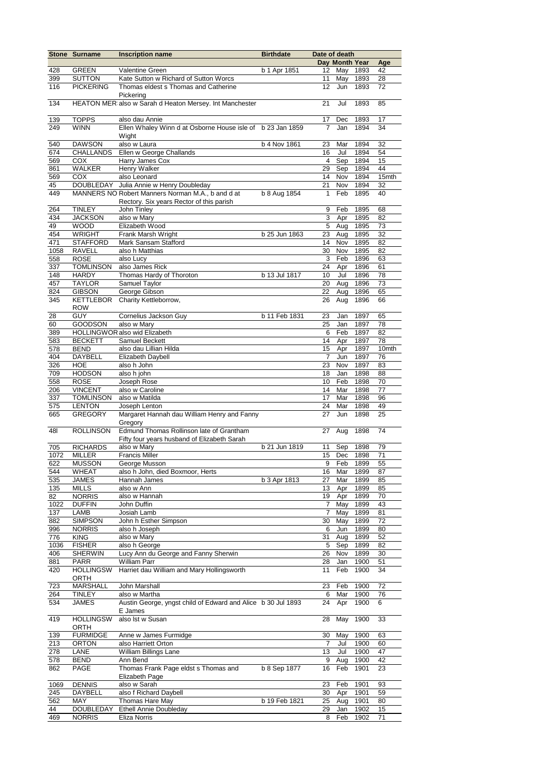|            | Stone Surname                     | <b>Inscription name</b>                                                                 | <b>Birthdate</b> | Date of death  |                |              |                   |
|------------|-----------------------------------|-----------------------------------------------------------------------------------------|------------------|----------------|----------------|--------------|-------------------|
|            |                                   |                                                                                         |                  |                | Day Month Year |              | Age               |
| 428        | <b>GREEN</b>                      | <b>Valentine Green</b>                                                                  | b 1 Apr 1851     | 12             | May            | 1893         | 42                |
| 399        | <b>SUTTON</b><br><b>PICKERING</b> | Kate Sutton w Richard of Sutton Worcs                                                   |                  | 11<br>12       | May            | 1893         | 28<br>72          |
| 116        |                                   | Thomas eldest s Thomas and Catherine<br>Pickering                                       |                  |                | Jun            | 1893         |                   |
| 134        |                                   | HEATON MER also w Sarah d Heaton Mersey. Int Manchester                                 |                  | 21             | Jul            | 1893         | 85                |
| 139        | <b>TOPPS</b>                      | also dau Annie                                                                          |                  | 17             | Dec            | 1893         | 17                |
| 249        | <b>WINN</b>                       | Ellen Whaley Winn d at Osborne House isle of b 23 Jan 1859                              |                  | $\overline{7}$ | Jan            | 1894         | 34                |
|            |                                   | Wight                                                                                   |                  |                |                |              |                   |
| 540        | <b>DAWSON</b>                     | also w Laura                                                                            | b 4 Nov 1861     | 23             | Mar            | 1894         | 32                |
| 674        | <b>CHALLANDS</b>                  | Ellen w George Challands                                                                |                  | 16             | Jul            | 1894         | 54                |
| 569        | COX                               | Harry James Cox                                                                         |                  | 4              | Sep            | 1894         | 15                |
| 861        | WALKER                            | Henry Walker                                                                            |                  | 29             | Sep            | 1894         | 44                |
| 569        | <b>COX</b>                        | also Leonard                                                                            |                  | 14             | Nov            | 1894         | 15mth             |
| 45<br>449  | DOUBLEDAY                         | Julia Annie w Henry Doubleday<br>MANNERS NO Robert Manners Norman M.A., b and d at      | b 8 Aug 1854     | 21<br>1        | Nov<br>Feb     | 1894         | 32<br>40          |
|            |                                   | Rectory. Six years Rector of this parish                                                |                  |                |                | 1895         |                   |
| 264        | <b>TINLEY</b>                     | John Tinley                                                                             |                  | 9              | Feb            | 1895         | 68                |
| 434        | <b>JACKSON</b>                    | also w Mary                                                                             |                  | 3              | Apr            | 1895         | 82                |
| 49         | <b>WOOD</b>                       | Elizabeth Wood                                                                          |                  | 5              | Aug            | 1895         | 73                |
| 454        | <b>WRIGHT</b>                     | Frank Marsh Wright                                                                      | b 25 Jun 1863    | 23             | Aug            | 1895         | 32                |
| 471        | <b>STAFFORD</b>                   | Mark Sansam Stafford                                                                    |                  | 14             | Nov            | 1895         | 82                |
| 1058       | <b>RAVELL</b>                     | also h Matthias                                                                         |                  | 30             | Nov            | 1895         | 82                |
| 558        | <b>ROSE</b>                       | also Lucy                                                                               |                  | 3              | Feb            | 1896         | 63                |
| 337        | <b>TOMLINSON</b>                  | also James Rick                                                                         |                  | 24             | Apr            | 1896         | 61                |
| 148        | <b>HARDY</b>                      | Thomas Hardy of Thoroton                                                                | b 13 Jul 1817    | 10             | Jul            | 1896         | 78                |
| 457        | <b>TAYLOR</b>                     | Samuel Taylor                                                                           |                  | 20             | Aug            | 1896         | 73                |
| 824<br>345 | <b>GIBSON</b><br><b>KETTLEBOR</b> | George Gibson<br>Charity Kettleborrow,                                                  |                  | 22<br>26       | Aug<br>Aug     | 1896<br>1896 | 65<br>66          |
|            | <b>ROW</b>                        |                                                                                         |                  |                |                |              |                   |
| 28         | <b>GUY</b>                        | Cornelius Jackson Guy                                                                   | b 11 Feb 1831    | 23             | Jan            | 1897         | 65                |
| 60         | <b>GOODSON</b>                    | also w Mary                                                                             |                  | 25             | Jan            | 1897         | 78                |
| 389        |                                   | HOLLINGWOR also wid Elizabeth                                                           |                  | 6              | Feb            | 1897         | 82                |
| 583        | <b>BECKETT</b>                    | Samuel Beckett                                                                          |                  | 14             | Apr            | 1897         | 78                |
| 578        | <b>BEND</b>                       | also dau Lillian Hilda                                                                  |                  | 15             | Apr            | 1897         | 10 <sub>mth</sub> |
| 404        | <b>DAYBELL</b>                    | Elizabeth Daybell                                                                       |                  | $\overline{7}$ | Jun            | 1897         | 76                |
| 326        | <b>HOE</b>                        | also h John                                                                             |                  | 23             | Nov            | 1897         | 83                |
| 709        | <b>HODSON</b>                     | also h john                                                                             |                  | 18             | Jan            | 1898         | 88                |
| 558        | <b>ROSE</b>                       | Joseph Rose                                                                             |                  | 10             | Feb            | 1898         | 70                |
| 206        | <b>VINCENT</b>                    | also w Caroline                                                                         |                  | 14<br>17       | Mar            | 1898         | 77                |
| 337<br>575 | <b>TOMLINSON</b><br><b>LENTON</b> | also w Matilda<br>Joseph Lenton                                                         |                  | 24             | Mar<br>Mar     | 1898<br>1898 | 96<br>49          |
| 665        | <b>GREGORY</b>                    | Margaret Hannah dau William Henry and Fanny                                             |                  | 27             | Jun            | 1898         | 25                |
|            |                                   | Gregory                                                                                 |                  |                |                |              |                   |
| 481        | <b>ROLLINSON</b>                  | Edmund Thomas Rollinson late of Grantham<br>Fifty four years husband of Elizabeth Sarah |                  | 27             | Aug            | 1898         | 74                |
| 705        | <b>RICHARDS</b>                   | also w Mary                                                                             | b 21 Jun 1819    | 11             | Sep            | 1898         | 79                |
| 1072       | <b>MILLER</b>                     | <b>Francis Miller</b>                                                                   |                  | 15             | Dec            | 1898         | 71                |
| 622        | <b>MUSSON</b>                     | George Musson                                                                           |                  |                | 9 Feb          | 1899         | 55                |
| 544        | WHEAT                             | also h John, died Boxmoor, Herts                                                        |                  | 16             | Mar            | 1899         | 87                |
| 535<br>135 | JAMES<br>MILLS                    | Hannah James<br>also w Ann                                                              | b 3 Apr 1813     | 27<br>13       | Mar<br>Apr     | 1899<br>1899 | 85<br>85          |
| 82         | <b>NORRIS</b>                     | also w Hannah                                                                           |                  | 19             | Apr            | 1899         | 70                |
| 1022       | <b>DUFFIN</b>                     | John Duffin                                                                             |                  | 7              | May            | 1899         | 43                |
| 137        | LAMB                              | Josiah Lamb                                                                             |                  | 7              | May            | 1899         | 81                |
| 882        | <b>SIMPSON</b>                    | John h Esther Simpson                                                                   |                  | 30             | May            | 1899         | 72                |
| 996        | <b>NORRIS</b>                     | also h Joseph                                                                           |                  | 6              | Jun            | 1899         | 80                |
| 776        | <b>KING</b>                       | also w Mary                                                                             |                  | 31             | Aug            | 1899         | 52                |
| 1036       | <b>FISHER</b>                     | also h George                                                                           |                  | 5              | Sep            | 1899         | 82                |
| 406        | <b>SHERWIN</b>                    | Lucy Ann du George and Fanny Sherwin                                                    |                  | 26             | Nov            | 1899         | 30                |
| 881        | <b>PARR</b>                       | <b>William Parr</b>                                                                     |                  | 28             | Jan            | 1900         | 51                |
| 420        | <b>HOLLINGSW</b><br>ORTH          | Harriet dau William and Mary Hollingsworth                                              |                  | 11             | Feb            | 1900         | 34                |
| 723        | <b>MARSHALL</b>                   | John Marshall                                                                           |                  | 23             | Feb            | 1900         | 72                |
| 264        | <b>TINLEY</b>                     | also w Martha                                                                           |                  | 6              | Mar            | 1900         | 76                |
| 534        | <b>JAMES</b>                      | Austin George, yngst child of Edward and Alice b 30 Jul 1893<br>E James                 |                  | 24             | Apr            | 1900         | 6                 |
| 419        | <b>HOLLINGSW</b><br>ORTH          | also Ist w Susan                                                                        |                  | 28             | May            | 1900         | 33                |
| 139        | <b>FURMIDGE</b>                   | Anne w James Furmidge                                                                   |                  | 30             | May            | 1900         | 63                |
| 213        | <b>ORTON</b>                      | also Harriett Orton                                                                     |                  | 7              | Jul            | 1900         | 60                |
| 278        | LANE                              | William Billings Lane                                                                   |                  | 13             | Jul            | 1900         | 47                |
| 578        | <b>BEND</b>                       | Ann Bend                                                                                |                  | 9              | Aug            | 1900         | 42                |
| 862        | PAGE                              | Thomas Frank Page eldst s Thomas and<br>Elizabeth Page                                  | b 8 Sep 1877     | 16             | Feb            | 1901         | 23                |
| 1069       | <b>DENNIS</b>                     | also w Sarah                                                                            |                  | 23             | Feb            | 1901         | 93                |
| 245        | DAYBELL                           | also f Richard Daybell                                                                  |                  | 30             | Apr            | 1901         | 59                |
| 562        | MAY                               | Thomas Hare May                                                                         | b 19 Feb 1821    | 25             | Aug            | 1901         | 80                |
| 44         | <b>DOUBLEDAY</b>                  | Ethell Annie Doubleday                                                                  |                  | 29             | Jan            | 1902         | 15                |
| 469        | <b>NORRIS</b>                     | Eliza Norris                                                                            |                  | 8              | Feb            | 1902         | 71                |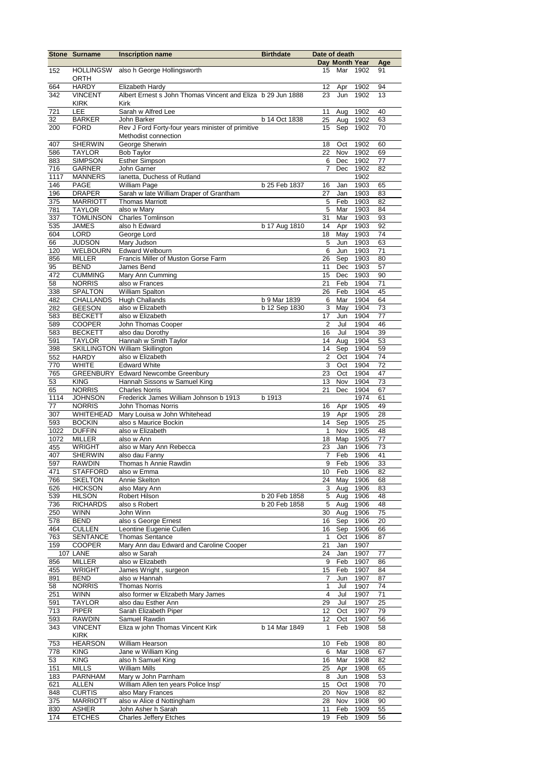|            | <b>Stone Surname</b>          | <b>Inscription name</b>                                     | <b>Birthdate</b> | Date of death           |                |              |          |
|------------|-------------------------------|-------------------------------------------------------------|------------------|-------------------------|----------------|--------------|----------|
|            |                               |                                                             |                  |                         | Day Month Year |              | Age      |
| 152        | <b>HOLLINGSW</b>              | also h George Hollingsworth                                 |                  | 15                      | Mar            | 1902         | 91       |
| 664        | <b>ORTH</b><br><b>HARDY</b>   | Elizabeth Hardy                                             |                  | 12                      | Apr            | 1902         | 94       |
| 342        | <b>VINCENT</b>                | Albert Ernest s John Thomas Vincent and Eliza b 29 Jun 1888 |                  | 23                      | Jun            | 1902         | 13       |
|            | <b>KIRK</b>                   | Kirk                                                        |                  |                         |                |              |          |
| 721        | LEE                           | Sarah w Alfred Lee                                          |                  | 11                      | Aug            | 1902         | 40       |
| 32         | <b>BARKER</b>                 | John Barker                                                 | b 14 Oct 1838    | $\overline{25}$         | Aug            | 1902         | 63       |
| 200        | <b>FORD</b>                   | Rev J Ford Forty-four years minister of primitive           |                  | 15                      | Sep            | 1902         | 70       |
|            |                               | Methodist connection                                        |                  |                         |                |              |          |
| 407        | <b>SHERWIN</b>                | George Sherwin                                              |                  | 18                      | Oct            | 1902         | 60       |
| 586        | <b>TAYLOR</b>                 | <b>Bob Taylor</b>                                           |                  | 22                      | Nov            | 1902         | 69       |
| 883        | <b>SIMPSON</b>                | <b>Esther Simpson</b>                                       |                  | 6                       | Dec            | 1902         | 77       |
| 716        | <b>GARNER</b>                 | John Garner                                                 |                  | $\overline{7}$          | Dec            | 1902         | 82       |
| 1117       | <b>MANNERS</b>                | lanetta, Duchess of Rutland                                 |                  |                         |                | 1902         |          |
| 146        | <b>PAGE</b>                   | <b>William Page</b>                                         | b 25 Feb 1837    | 16                      | Jan            | 1903         | 65       |
| 196        | <b>DRAPER</b>                 | Sarah w late William Draper of Grantham                     |                  | 27                      | Jan            | 1903         | 83       |
| 375        | <b>MARRIOTT</b>               | <b>Thomas Marriott</b>                                      |                  | 5                       | Feb            | 1903         | 82       |
| 781        | <b>TAYLOR</b>                 | also w Mary                                                 |                  | 5                       | Mar            | 1903         | 84       |
| 337        | <b>TOMLINSON</b>              | <b>Charles Tomlinson</b>                                    |                  | 31                      | Mar            | 1903         | 93       |
| 535        | <b>JAMES</b><br><b>LORD</b>   | also h Edward                                               | b 17 Aug 1810    | 14                      | Apr            | 1903         | 92       |
| 604<br>66  | <b>JUDSON</b>                 | George Lord<br>Mary Judson                                  |                  | 18<br>5                 | May<br>Jun     | 1903<br>1903 | 74<br>63 |
| 120        | <b>WELBOURN</b>               | <b>Edward Welbourn</b>                                      |                  | 6                       | Jun            | 1903         | 71       |
| 856        | <b>MILLER</b>                 | Francis Miller of Muston Gorse Farm                         |                  | 26                      | Sep            | 1903         | 80       |
| 95         | <b>BEND</b>                   | James Bend                                                  |                  | 11                      | Dec            | 1903         | 57       |
| 472        | <b>CUMMING</b>                | Mary Ann Cumming                                            |                  | 15                      | Dec            | 1903         | 90       |
| 58         | <b>NORRIS</b>                 | also w Frances                                              |                  | 21                      | Feb            | 1904         | 71       |
| 338        | <b>SPALTON</b>                | <b>William Spalton</b>                                      |                  | 26                      | Feb            | 1904         | 45       |
| 482        | <b>CHALLANDS</b>              | <b>Hugh Challands</b>                                       | b 9 Mar 1839     | 6                       | Mar            | 1904         | 64       |
| 282        | <b>GEESON</b>                 | also w Elizabeth                                            | b 12 Sep 1830    | 3                       | May            | 1904         | 73       |
| 583        | <b>BECKETT</b>                | also w Elizabeth                                            |                  | 17                      | Jun            | 1904         | 77       |
| 589        | <b>COOPER</b>                 | John Thomas Cooper                                          |                  | 2                       | Jul            | 1904         | 46       |
| 583        | <b>BECKETT</b>                | also dau Dorothy                                            |                  | 16                      | Jul            | 1904         | 39       |
| 591        | <b>TAYLOR</b>                 | Hannah w Smith Taylor                                       |                  | 14                      | Aug            | 1904         | 53       |
| 398        |                               | <b>SKILLINGTON William Skillington</b>                      |                  | 14                      | Sep            | 1904         | 59       |
| 552        | <b>HARDY</b>                  | also w Elizabeth                                            |                  | $\boldsymbol{2}$        | Oct            | 1904         | 74       |
| 770        | <b>WHITE</b>                  | <b>Edward White</b>                                         |                  | 3                       | Oct            | 1904         | 72       |
| 765        |                               | <b>GREENBURY Edward Newcombe Greenbury</b>                  |                  | 23                      | Oct            | 1904         | 47       |
| 53         | <b>KING</b>                   | Hannah Sissons w Samuel King                                |                  | 13                      | Nov            | 1904         | 73       |
| 65         | <b>NORRIS</b>                 | <b>Charles Norris</b>                                       |                  | 21                      | Dec            | 1904         | 67       |
| 1114       | <b>JOHNSON</b>                | Frederick James William Johnson b 1913                      | b 1913           |                         |                | 1974         | 61       |
| 77         | <b>NORRIS</b>                 | John Thomas Norris<br>Mary Louisa w John Whitehead          |                  | 16                      | Apr            | 1905         | 49       |
| 307<br>593 | WHITEHEAD<br><b>BOCKIN</b>    | also s Maurice Bockin                                       |                  | 19<br>14                | Apr<br>Sep     | 1905<br>1905 | 28<br>25 |
| 1022       | <b>DUFFIN</b>                 | also w Elizabeth                                            |                  | $\mathbf{1}$            | Nov            | 1905         | 48       |
| 1072       | <b>MILLER</b>                 | also w Ann                                                  |                  | 18                      | Map            | 1905         | 77       |
| 455        | <b>WRIGHT</b>                 | also w Mary Ann Rebecca                                     |                  | 23                      | Jan            | 1906         | 73       |
| 407        | <b>SHERWIN</b>                | also dau Fanny                                              |                  | 7                       | Feb            | 1906         | 41       |
| 597        | <b>RAWDIN</b>                 | Thomas h Annie Rawdin                                       |                  | 9                       | Feb            | 1906         | 33       |
| 471        | <b>STAFFORD</b>               | also w Emma                                                 |                  | 10                      | Feb            | 1906         | 82       |
| 766        | <b>SKELTON</b>                | Annie Skelton                                               |                  | 24                      | May            | 1906         | 68       |
| 626        | <b>HICKSON</b>                | also Mary Ann                                               |                  | 3                       | Aug            | 1906         | 83       |
| 539        | <b>HILSON</b>                 | Robert Hilson                                               | b 20 Feb 1858    | 5                       | Aug            | 1906         | 48       |
| 736        | <b>RICHARDS</b>               | also s Robert                                               | b 20 Feb 1858    | 5                       | Aug            | 1906         | 48       |
| 250        | <b>WINN</b>                   | John Winn                                                   |                  | 30                      | Aug            | 1906         | 75       |
| 578        | <b>BEND</b>                   | also s George Ernest                                        |                  | 16                      | Sep            | 1906         | 20       |
| 464        | <b>CULLEN</b>                 | Leontine Eugenie Cullen                                     |                  | 16                      | Sep            | 1906         | 66       |
| 763        | <b>SENTANCE</b>               | <b>Thomas Sentance</b>                                      |                  | 1                       | Oct            | 1906         | 87       |
| 159        | <b>COOPER</b>                 | Mary Ann dau Edward and Caroline Cooper                     |                  | 21                      | Jan            | 1907         |          |
|            | 107 LANE                      | also w Sarah                                                |                  | 24                      | Jan            | 1907         | 77       |
| 856        | <b>MILLER</b>                 | also w Elizabeth                                            |                  | 9                       | Feb            | 1907         | 86       |
| 455        | <b>WRIGHT</b>                 | James Wright, surgeon                                       |                  | 15                      | Feb            | 1907         | 84       |
| 891        | <b>BEND</b>                   | also w Hannah                                               |                  | $\overline{7}$          | Jun            | 1907         | 87       |
| 58         | <b>NORRIS</b>                 | <b>Thomas Norris</b>                                        |                  | $\mathbf{1}$            | Jul            | 1907         | 74       |
| 251        | <b>WINN</b>                   | also former w Elizabeth Mary James                          |                  | $\overline{\mathbf{4}}$ | Jul            | 1907         | 71       |
| 591        | <b>TAYLOR</b>                 | also dau Esther Ann                                         |                  | 29                      | Jul            | 1907         | 25       |
| 713<br>593 | <b>PIPER</b><br><b>RAWDIN</b> | Sarah Elizabeth Piper<br>Samuel Rawdin                      |                  | 12<br>12                | Oct<br>Oct     | 1907<br>1907 | 79<br>56 |
| 343        | <b>VINCENT</b>                | Eliza w john Thomas Vincent Kirk                            | b 14 Mar 1849    | $\mathbf{1}$            | Feb            | 1908         | 58       |
|            | <b>KIRK</b>                   |                                                             |                  |                         |                |              |          |
| 753        | <b>HEARSON</b>                | William Hearson                                             |                  | 10                      | Feb            | 1908         | 80       |
| 778        | <b>KING</b>                   | Jane w William King                                         |                  | 6                       | Mar            | 1908         | 67       |
| 53         | <b>KING</b>                   | also h Samuel King                                          |                  | 16                      | Mar            | 1908         | 82       |
| 151        | <b>MILLS</b>                  | William Mills                                               |                  | 25                      | Apr            | 1908         | 65       |
| 183        | <b>PARNHAM</b>                | Mary w John Parnham                                         |                  | 8                       | Jun            | 1908         | 53       |
| 621        | <b>ALLEN</b>                  | William Allen ten years Police Insp'                        |                  | 15                      | Oct            | 1908         | 70       |
| 848        | <b>CURTIS</b>                 | also Mary Frances                                           |                  | 20                      | Nov            | 1908         | 82       |
| 375        | <b>MARRIOTT</b>               | also w Alice d Nottingham                                   |                  | 28                      | Nov            | 1908         | 90       |
| 830        | <b>ASHER</b>                  | John Asher h Sarah                                          |                  | 11                      | Feb            | 1909         | 55       |
| 174        | <b>ETCHES</b>                 | <b>Charles Jeffery Etches</b>                               |                  | 19                      | Feb            | 1909         | 56       |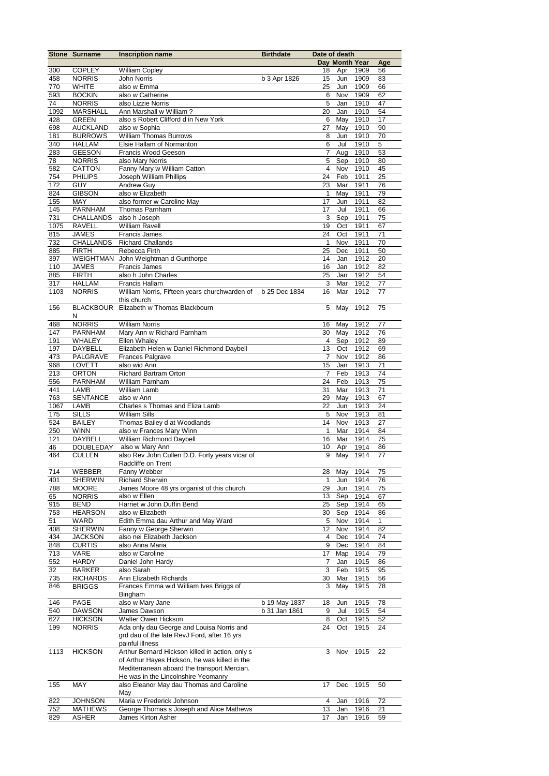|             | <b>Stone Surname</b>             | <b>Inscription name</b>                                 | <b>Birthdate</b> | Date of death      |                |              |          |
|-------------|----------------------------------|---------------------------------------------------------|------------------|--------------------|----------------|--------------|----------|
|             |                                  |                                                         |                  |                    | Day Month Year |              | Age      |
| 300         | <b>COPLEY</b>                    | <b>William Copley</b>                                   |                  | 18                 | Apr            | 1909         | 56       |
| 458<br>770  | <b>NORRIS</b><br><b>WHITE</b>    | <b>John Norris</b><br>also w Emma                       | b 3 Apr 1826     | 15<br>25           | Jun<br>Jun     | 1909<br>1909 | 83<br>66 |
| 593         | <b>BOCKIN</b>                    | also w Catherine                                        |                  | 6                  | Nov            | 1909         | 62       |
| 74          | <b>NORRIS</b>                    | also Lizzie Norris                                      |                  | 5                  | Jan            | 1910         | 47       |
| 1092        | <b>MARSHALL</b>                  | Ann Marshall w William?                                 |                  | 20                 | Jan            | 1910         | 54       |
| 428         | <b>GREEN</b>                     | also s Robert Clifford d in New York                    |                  | 6                  | May            | 1910         | 17       |
| 698         | <b>AUCKLAND</b>                  | also w Sophia                                           |                  | 27                 | May            | 1910         | 90       |
| 181         | <b>BURROWS</b>                   | <b>William Thomas Burrows</b>                           |                  | 8                  | Jun            | 1910         | 70       |
| 340         | <b>HALLAM</b>                    | Elsie Hallam of Normanton                               |                  | 6                  | Jul            | 1910         | 5        |
| 283         | <b>GEESON</b>                    | Francis Wood Geeson                                     |                  | $\overline{7}$     | Aug            | 1910         | 53       |
| 78          | <b>NORRIS</b>                    | also Mary Norris                                        |                  | 5                  | Sep            | 1910         | 80       |
| 582         | CATTON                           | Fanny Mary w William Catton                             |                  | $\overline{4}$     | Nov            | 1910         | 45       |
| 754         | <b>PHILIPS</b>                   | Joseph William Phillips                                 |                  | 24                 | Feb            | 1911         | 25       |
| 172         | GUY                              | Andrew Guy                                              |                  | 23                 | Mar            | 1911         | 76       |
| 824         | <b>GIBSON</b>                    | also w Elizabeth                                        |                  | $\mathbf{1}$       | May            | 1911         | 79       |
| 155         | MAY                              | also former w Caroline May                              |                  | 17                 | Jun            | 1911         | 82       |
| 145         | PARNHAM                          | Thomas Parnham                                          |                  | 17                 | Jul            | 1911         | 66       |
| 731         | CHALLANDS                        | also h Joseph                                           |                  | 3                  | Sep            | 1911         | 75       |
| 1075        | <b>RAVELL</b>                    | <b>William Ravell</b>                                   |                  | 19                 | Oct            | 1911         | 67       |
| 815         | <b>JAMES</b><br><b>CHALLANDS</b> | <b>Francis James</b>                                    |                  | 24<br>$\mathbf{1}$ | Oct<br>Nov     | 1911         | 71<br>70 |
| 732<br>885  | <b>FIRTH</b>                     | <b>Richard Challands</b><br>Rebecca Firth               |                  | 25                 | Dec            | 1911<br>1911 | 50       |
| 397         | <b>WEIGHTMAN</b>                 | John Weightman d Gunthorpe                              |                  | 14                 | Jan            | 1912         | 20       |
| 110         | JAMES                            | <b>Francis James</b>                                    |                  | 16                 | Jan            | 1912         | 82       |
| 885         | <b>FIRTH</b>                     | also h John Charles                                     |                  | 25                 | Jan            | 1912         | 54       |
| 317         | <b>HALLAM</b>                    | Francis Hallam                                          |                  | 3                  | Mar            | 1912         | 77       |
| 1103        | <b>NORRIS</b>                    | William Norris, Fifteen years churchwarden of           | b 25 Dec 1834    | 16                 | Mar            | 1912         | 77       |
|             |                                  | this church                                             |                  |                    |                |              |          |
| 156         | <b>BLACKBOUR</b>                 | Elizabeth w Thomas Blackbourn                           |                  | 5                  | May            | 1912         | 75       |
|             | N                                |                                                         |                  |                    |                |              |          |
| 468         | <b>NORRIS</b>                    | <b>William Norris</b>                                   |                  | 16                 | May            | 1912         | 77       |
| 147         | PARNHAM                          | Mary Ann w Richard Parnham                              |                  | 30                 | May            | 1912         | 76       |
| 191         | <b>WHALEY</b>                    | Ellen Whaley                                            |                  | $\overline{4}$     | Sep            | 1912         | 89       |
| 197         | DAYBELL                          | Elizabeth Helen w Daniel Richmond Daybell               |                  | 13                 | Oct            | 1912         | 69       |
| 473         | PALGRAVE                         | <b>Frances Palgrave</b>                                 |                  | $\overline{7}$     | Nov            | 1912         | 86       |
| 968         | LOVETT                           | also wid Ann                                            |                  | 15                 | Jan            | 1913         | 71       |
| 213         | <b>ORTON</b>                     | <b>Richard Bartram Orton</b>                            |                  | 7                  | Feb            | 1913         | 74       |
| 556         | PARNHAM                          | William Parnham                                         |                  | 24                 | Feb            | 1913         | 75       |
| 441         | LAMB                             | William Lamb                                            |                  | 31                 | Mar            | 1913         | 71       |
| 763         | <b>SENTANCE</b>                  | also w Ann                                              |                  | 29                 | May            | 1913         | 67       |
| 1067<br>175 | LAMB<br><b>SILLS</b>             | Charles s Thomas and Eliza Lamb<br><b>William Sills</b> |                  | 22<br>5            | Jun<br>Nov     | 1913<br>1913 | 24<br>81 |
| 524         | <b>BAILEY</b>                    | Thomas Bailey d at Woodlands                            |                  | 14                 | Nov            | 1913         | 27       |
| 250         | <b>WINN</b>                      | also w Frances Mary Winn                                |                  | $\mathbf{1}$       | Mar            | 1914         | 84       |
| 121         | <b>DAYBELL</b>                   | William Richmond Daybell                                |                  | 16                 | Mar            | 1914         | 75       |
| 46          | <b>DOUBLEDAY</b>                 | also w Mary Ann                                         |                  | 10                 | Apr            | 1914         | 86       |
| 464         | <b>CULLEN</b>                    | also Rev John Cullen D.D. Forty years vicar of          |                  | 9                  | May            | 1914         | 77       |
|             |                                  | Radcliffe on Trent                                      |                  |                    |                |              |          |
| 714         | WEBBER                           | Fanny Webber                                            |                  | 28                 | May            | 1914         | 75       |
| 401         | <b>SHERWIN</b>                   | <b>Richard Sherwin</b>                                  |                  | 1                  | Jun            | 1914         | 76       |
| 788         | MOORE                            | James Moore 48 yrs organist of this church              |                  | 29                 | Jun            | 1914         | 75       |
| 65          | NORRIS                           | also w Ellen                                            |                  | 13                 | Sep            | 1914         | 67       |
| 915         | BEND                             | Harriet w John Duffin Bend                              |                  | 25                 | Sep            | 1914         | 65       |
| 753         | <b>HEARSON</b>                   | also w Elizabeth                                        |                  | 30                 | Sep            | 1914         | 86       |
| 51          | WARD                             | Edith Emma dau Arthur and May Ward                      |                  | 5                  | Nov            | 1914         | 1        |
| 408         | <b>SHERWIN</b>                   | Fanny w George Sherwin                                  |                  | 12                 | Nov            | 1914         | 82       |
| 434         | <b>JACKSON</b>                   | also nei Elizabeth Jackson                              |                  | 4                  | Dec            | 1914         | 74       |
| 848         | <b>CURTIS</b>                    | also Anna Maria                                         |                  | 9                  | Dec            | 1914         | 84       |
| 713<br>552  | VARE                             | also w Caroline                                         |                  | 17<br>7            | Map            | 1914         | 79       |
| 32          | HARDY<br>BARKER                  | Daniel John Hardy<br>also Sarah                         |                  | 3                  | Jan<br>Feb     | 1915<br>1915 | 86<br>95 |
| 735         | RICHARDS                         | Ann Elizabeth Richards                                  |                  | 30                 | Mar            | 1915         | 56       |
| 846         | BRIGGS                           | Frances Emma wid William Ives Briggs of                 |                  | 3                  | May            | 1915         | 78       |
|             |                                  | Bingham                                                 |                  |                    |                |              |          |
| 146         | PAGE                             | also w Mary Jane                                        | b 19 May 1837    | 18                 | Jun            | 1915         | 78       |
| 540         | <b>DAWSON</b>                    | James Dawson                                            | b 31 Jan 1861    | 9                  | Jul            | 1915         | 54       |
| 627         | <b>HICKSON</b>                   | Walter Owen Hickson                                     |                  | 8                  | Oct            | 1915         | 52       |
| 199         | <b>NORRIS</b>                    | Ada only dau George and Louisa Norris and               |                  | 24                 | Oct            | 1915         | 24       |
|             |                                  | grd dau of the late RevJ Ford, after 16 yrs             |                  |                    |                |              |          |
|             |                                  | painful illness                                         |                  |                    |                |              |          |
| 1113        | <b>HICKSON</b>                   | Arthur Bernard Hickson killed in action, only s         |                  | 3                  | Nov            | 1915         | 22       |
|             |                                  | of Arthur Hayes Hickson, he was killed in the           |                  |                    |                |              |          |
|             |                                  | Mediterranean aboard the transport Mercian.             |                  |                    |                |              |          |
|             |                                  | He was in the Lincolnshire Yeomanry                     |                  |                    |                |              |          |
| 155         | MAY                              | also Eleanor May dau Thomas and Caroline                |                  | 17                 | Dec            | 1915         | 50       |
|             |                                  | May                                                     |                  |                    |                |              |          |
| 822         | <b>JOHNSON</b>                   | Maria w Frederick Johnson                               |                  | 4                  | Jan            | 1916         | 72       |
| 752         | <b>MATHEWS</b>                   | George Thomas s Joseph and Alice Mathews                |                  | 13                 | Jan            | 1916         | 21       |
| 829         | <b>ASHER</b>                     | James Kirton Asher                                      |                  | 17                 | Jan            | 1916         | 59       |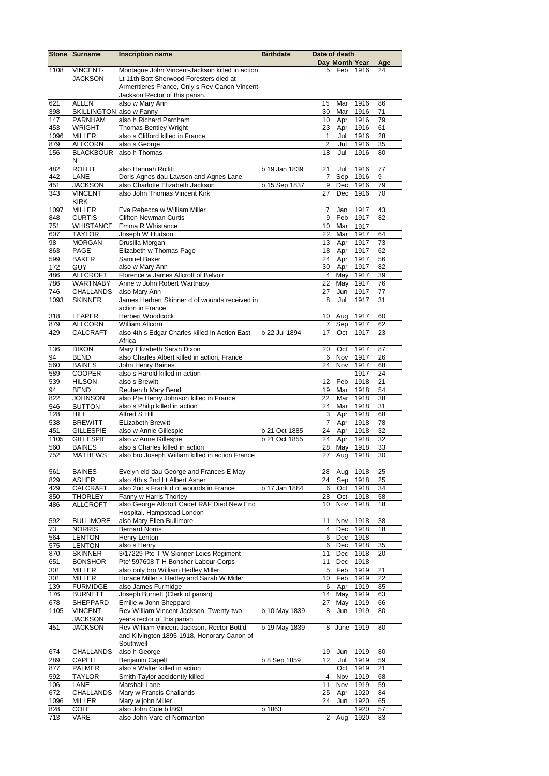|        | <b>Stone Surname</b>     | <b>Inscription name</b>                         | <b>Birthdate</b> | Date of death  |                |          |     |
|--------|--------------------------|-------------------------------------------------|------------------|----------------|----------------|----------|-----|
|        |                          |                                                 |                  |                | Day Month Year |          | Age |
| 1108   | <b>VINCENT-</b>          | Montague John Vincent-Jackson killed in action  |                  | 5              | Feb            | 1916     | 24  |
|        | <b>JACKSON</b>           | Lt 11th Batt Sherwood Foresters died at         |                  |                |                |          |     |
|        |                          | Armentieres France, Only s Rev Canon Vincent-   |                  |                |                |          |     |
|        |                          | Jackson Rector of this parish.                  |                  |                |                |          |     |
| 621    | <b>ALLEN</b>             | also w Mary Ann                                 |                  | 15             | Mar            | 1916     | 86  |
| 398    | SKILLINGTON also w Fanny |                                                 |                  | 30             | Mar            | 1916     | 71  |
| 147    | <b>PARNHAM</b>           | also h Richard Parnham                          |                  | 10             | Apr            | 1916     | 79  |
| 453    | <b>WRIGHT</b>            | Thomas Bentley Wright                           |                  | 23             | Apr            | 1916     | 61  |
|        |                          |                                                 |                  |                |                |          |     |
| 1096   | <b>MILLER</b>            | also s Clifford killed in France                |                  | $\mathbf{1}$   | Jul            | 1916     | 28  |
| 879    | <b>ALLCORN</b>           | also s George                                   |                  | 2              | Jul            | 1916     | 35  |
| 156    |                          | BLACKBOUR also h Thomas                         |                  | 18             | Jul            | 1916     | 80  |
|        | N                        |                                                 |                  |                |                |          |     |
| 482    | <b>ROLLIT</b>            | also Hannah Rollitt                             | b 19 Jan 1839    | 21             | Jul            | 1916     | 77  |
| 442    | LANE                     | Doris Agnes dau Lawson and Agnes Lane           |                  | $\overline{7}$ | Sep            | 1916     | 9   |
| 451    | <b>JACKSON</b>           | also Charlotte Elizabeth Jackson                | b 15 Sep 1837    | 9              | Dec            | 1916     | 79  |
| 343    | <b>VINCENT</b>           | also John Thomas Vincent Kirk                   |                  | 27             | Dec            | 1916     | 70  |
|        | <b>KIRK</b>              |                                                 |                  |                |                |          |     |
| 1097   | <b>MILLER</b>            | Eva Rebecca w William Miller                    |                  | 7              | Jan            | 1917     | 43  |
| 848    | <b>CURTIS</b>            | <b>Clifton Newman Curtis</b>                    |                  | 9              | Feb            | 1917     | 82  |
| 751    | <b>WHISTANCE</b>         | Emma R Whistance                                |                  | 10             | Mar            | 1917     |     |
|        |                          | Joseph W Hudson                                 |                  | 22             | Mar            |          | 64  |
| 607    | <b>TAYLOR</b>            |                                                 |                  |                |                | 1917     |     |
| 98     | <b>MORGAN</b>            | Drusilla Morgan                                 |                  | 13             | Apr            | 1917     | 73  |
| 863    | PAGE                     | Elizabeth w Thomas Page                         |                  | 18             | Apr            | 1917     | 62  |
| 599    | <b>BAKER</b>             | Samuel Baker                                    |                  | 24             |                | Apr 1917 | 56  |
| 172    | <b>GUY</b>               | also w Mary Ann                                 |                  | 30             | Apr            | 1917     | 82  |
| 486    | <b>ALLCROFT</b>          | Florence w James Allcroft of Belvoir            |                  | 4              |                | May 1917 | 39  |
| 786    | <b>WARTNABY</b>          | Anne w John Robert Wartnaby                     |                  | 22             | May            | 1917     | 76  |
| 746    | <b>CHALLANDS</b>         | also Mary Ann                                   |                  | 27             | Jun            | 1917     | 77  |
| 1093   | <b>SKINNER</b>           | James Herbert Skinner d of wounds received in   |                  | 8              | Jul            | 1917     | 31  |
|        |                          | action in France                                |                  |                |                |          |     |
| 318    | <b>LEAPER</b>            | Herbert Woodcock                                |                  | 10             | Aug            | 1917     | 60  |
| 879    | <b>ALLCORN</b>           | William Allcorn                                 |                  | $\overline{7}$ | Sep            | 1917     | 62  |
|        |                          |                                                 |                  |                |                |          |     |
| 429    | <b>CALCRAFT</b>          | also 4th s Edgar Charles killed in Action East  | b 22 Jul 1894    | 17             | Oct            | 1917     | 23  |
|        |                          | Africa                                          |                  |                |                |          |     |
| 136    | <b>DIXON</b>             | Mary Elizabeth Sarah Dixon                      |                  | 20             | Oct            | 1917     | 87  |
| 94     | <b>BEND</b>              | also Charles Albert killed in action, France    |                  | 6              | <b>Nov</b>     | 1917     | 26  |
| 560    | <b>BAINES</b>            | John Henry Baines                               |                  | 24             | Nov            | 1917     | 68  |
| 589    | <b>COOPER</b>            | also s Harold killed in action                  |                  |                |                | 1917     | 24  |
| 539    | <b>HILSON</b>            | also s Brewitt                                  |                  | 12             | Feb            | 1918     | 21  |
| 94     | <b>BEND</b>              | Reuben h Mary Bend                              |                  | 19             | Mar            | 1918     | 54  |
| 822    | <b>JOHNSON</b>           | also Pte Henry Johnson killed in France         |                  | 22             | Mar            | 1918     | 38  |
| 546    | <b>SUTTON</b>            | also s Philip killed in action                  |                  | 24             | Mar            | 1918     | 31  |
| 128    | <b>HILL</b>              | Alfred S Hill                                   |                  | 3              | Apr            | 1918     | 68  |
| 538    | <b>BREWITT</b>           | <b>ELizabeth Brewitt</b>                        |                  | $\overline{7}$ |                | Apr 1918 | 78  |
| 451    | <b>GILLESPIE</b>         | also w Annie Gillespie                          | b 21 Oct 1885    | 24             |                | Apr 1918 | 32  |
| 1105   | <b>GILLESPIE</b>         | also w Anne Gillespie                           | b 21 Oct 1855    | 24             |                | 1918     | 32  |
|        |                          |                                                 |                  |                | Apr            |          |     |
| 560    | <b>BAINES</b>            | also s Charles killed in action                 |                  | 28             | May            | 1918     | 33  |
| 752    | <b>MATHEWS</b>           | also bro Joseph William killed in action France |                  | 27             | Aug            | 1918     | 30  |
|        |                          |                                                 |                  |                |                |          |     |
| 561    | <b>BAINES</b>            | Evelyn eld dau George and Frances E May         |                  | 28             | Aug            | 1918     | 25  |
| 829    | <b>ASHER</b>             | also 4th s 2nd Lt Albert Asher                  |                  | 24             | Sep            | 1918     | 25  |
| 429    | <b>CALCRAFT</b>          | also 2nd s Frank d of wounds in France          | b 17 Jan 1884    | 6              | Oct            | 1918     | 34  |
| 850    | <b>THORLEY</b>           | Fanny w Harris Thorley                          |                  | 28             | Oct            | 1918     | 58  |
| 486    | <b>ALLCROFT</b>          | also George Allcroft Cadet RAF Died New End     |                  | 10             | Nov            | 1918     | 18  |
|        |                          | Hospital. Hampstead London                      |                  |                |                |          |     |
| 592    | <b>BULLIMORE</b>         | also Mary Ellen Bullimore                       |                  | 11             | Nov            | 1918     | 38  |
| $73\,$ | <b>NORRIS</b>            | <b>Bernard Norris</b>                           |                  | 4              | Dec            | 1918     | 18  |
| 564    | <b>LENTON</b>            | Henry Lenton                                    |                  | 6              | Dec            | 1918     |     |
| 575    | <b>LENTON</b>            | also s Henry                                    |                  | 6              | Dec            | 1918     | 35  |
| 870    | <b>SKINNER</b>           | 3/17229 Pte T W Skinner Leics Regiment          |                  | 11             | Dec            | 1918     | 20  |
|        |                          |                                                 |                  | 11             |                |          |     |
| 651    | <b>BONSHOR</b>           | Pte' 597608 T H Bonshor Labour Corps            |                  |                | Dec            | 1918     |     |
| 301    | <b>MILLER</b>            | also only bro William Hedley Miller             |                  | 5              | Feb            | 1919     | 21  |
| 301    | <b>MILLER</b>            | Horace Miller s Hedley and Sarah W Miller       |                  | 10             | Feb            | 1919     | 22  |
| 139    | <b>FURMIDGE</b>          | also James Furmidge                             |                  | 6              | Apr            | 1919     | 85  |
| 176    | <b>BURNETT</b>           | Joseph Burnett (Clerk of parish)                |                  | 14             | May            | 1919     | 63  |
| 678    | SHEPPARD                 | Emilie w John Sheppard                          |                  | 27             | May            | 1919     | 66  |
| 1105   | <b>VINCENT-</b>          | Rev William Vincent Jackson. Twenty-two         | b 10 May 1839    | 8              | Jun            | 1919     | 80  |
|        | <b>JACKSON</b>           | years rector of this parish                     |                  |                |                |          |     |
| 451    | <b>JACKSON</b>           | Rev William Vincent Jackson, Rector Bott'd      | b 19 May 1839    | 8              | June           | 1919     | 80  |
|        |                          | and Kilvington 1895-1918, Honorary Canon of     |                  |                |                |          |     |
|        |                          | Southwell                                       |                  |                |                |          |     |
| 674    | CHALLANDS                | also h George                                   |                  | 19             | Jun            | 1919     | 80  |
| 289    | CAPELL                   | <b>Benjamin Capell</b>                          | b 8 Sep 1859     | 12             | Jul            | 1919     | 59  |
| 877    |                          | also s Walter killed in action                  |                  |                | Oct            | 1919     | 21  |
|        | PALMER                   |                                                 |                  | 4              |                |          |     |
| 592    | <b>TAYLOR</b>            | Smith Taylor accidently killed                  |                  |                | Nov            | 1919     | 68  |
| 106    | LANE                     | Marshall Lane                                   |                  | 11             | Nov            | 1919     | 59  |
| 672    | <b>CHALLANDS</b>         | Mary w Francis Challands                        |                  | 25             | Apr            | 1920     | 84  |
| 1096   | MILLER                   | Mary w john Miller                              |                  | 24             | Jun            | 1920     | 65  |
| 828    | COLE                     | also John Cole b I863                           | b 1863           |                |                | 1920     | 57  |
| 713    | VARE                     | also John Vare of Normanton                     |                  | $\overline{2}$ | Aug            | 1920     | 83  |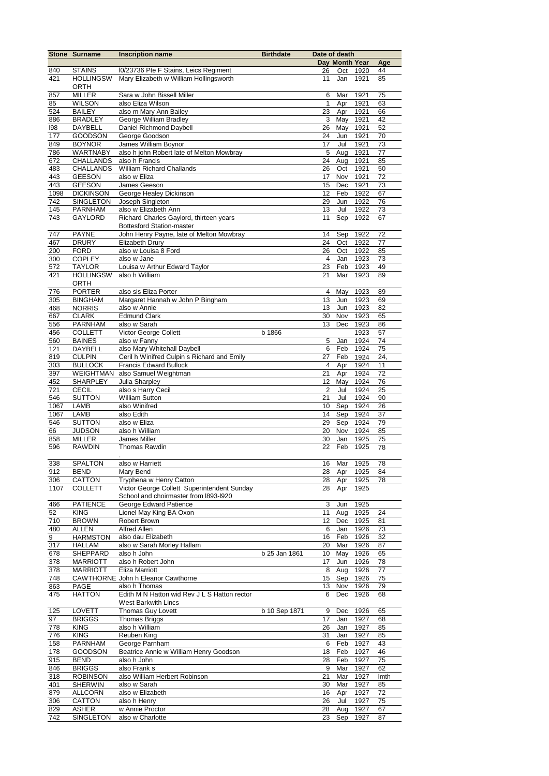|             | <b>Stone Surname</b>             | <b>Inscription name</b>                                                | <b>Birthdate</b> | Date of death  |                |              |          |
|-------------|----------------------------------|------------------------------------------------------------------------|------------------|----------------|----------------|--------------|----------|
|             |                                  |                                                                        |                  |                | Day Month Year |              | Age      |
| 840         | <b>STAINS</b>                    | I0/23736 Pte F Stains, Leics Regiment                                  |                  | 26             | Oct            | 1920         | 44       |
| 421         | <b>HOLLINGSW</b>                 | Mary Elizabeth w William Hollingsworth                                 |                  | 11             | Jan            | 1921         | 85       |
|             | ORTH                             |                                                                        |                  |                |                |              |          |
| 857         | <b>MILLER</b>                    | Sara w John Bissell Miller                                             |                  | 6              | Mar            | 1921         | 75       |
| 85          | <b>WILSON</b>                    | also Eliza Wilson                                                      |                  | 1              | Apr            | 1921         | 63       |
| 524         | <b>BAILEY</b>                    | also m Mary Ann Bailey<br>George William Bradley                       |                  | 23             | Apr            | 1921         | 66       |
| 886         | <b>BRADLEY</b>                   | Daniel Richmond Daybell                                                |                  | 3              | May            | 1921         | 42<br>52 |
| 198<br>177  | <b>DAYBELL</b><br><b>GOODSON</b> | George Goodson                                                         |                  | 26<br>24       | May<br>Jun     | 1921<br>1921 | 70       |
| 849         | <b>BOYNOR</b>                    | James William Boynor                                                   |                  | 17             | Jul            | 1921         | 73       |
| 786         | <b>WARTNABY</b>                  | also h john Robert late of Melton Mowbray                              |                  | $\overline{5}$ | Aug            | 1921         | 77       |
| 672         | <b>CHALLANDS</b>                 | also h Francis                                                         |                  | 24             | Aug            | 1921         | 85       |
| 483         | <b>CHALLANDS</b>                 | William Richard Challands                                              |                  | 26             | Oct            | 1921         | 50       |
| 443         | <b>GEESON</b>                    | also w Eliza                                                           |                  | 17             | Nov            | 1921         | 72       |
| 443         | <b>GEESON</b>                    | James Geeson                                                           |                  | 15             | Dec            | 1921         | 73       |
| 1098        | <b>DICKINSON</b>                 | George Healey Dickinson                                                |                  | 12             | Feb            | 1922         | 67       |
| 742         | SINGLETON                        | Joseph Singleton                                                       |                  | 29             | Jun            | 1922         | 76       |
| 145         | <b>PARNHAM</b>                   | also w Elizabeth Ann                                                   |                  | 13             | Jul            | 1922         | 73       |
| 743         | <b>GAYLORD</b>                   | Richard Charles Gaylord, thirteen years                                |                  | 11             | Sep            | 1922         | 67       |
|             |                                  | <b>Bottesford Station-master</b>                                       |                  |                |                |              |          |
| 747         | <b>PAYNE</b>                     | John Henry Payne, late of Melton Mowbray                               |                  | 14             | Sep            | 1922         | 72       |
| 467         | <b>DRURY</b>                     | Elizabeth Drury                                                        |                  | 24             | Oct            | 1922         | 77       |
| 200         | <b>FORD</b>                      | also w Louisa 8 Ford                                                   |                  | 26             | Oct            | 1922         | 85       |
| 300         | <b>COPLEY</b>                    | also w Jane                                                            |                  | $\overline{4}$ | Jan            | 1923         | 73       |
| 572         | <b>TAYLOR</b>                    | Louisa w Arthur Edward Taylor                                          |                  | 23             | Feb            | 1923         | 49       |
| 421         | <b>HOLLINGSW</b>                 | also h William                                                         |                  | 21             | Mar            | 1923         | 89       |
|             | ORTH                             |                                                                        |                  |                |                |              |          |
| 776         | <b>PORTER</b>                    | also sis Eliza Porter                                                  |                  | 4              | May            | 1923         | 89       |
| 305         | <b>BINGHAM</b>                   | Margaret Hannah w John P Bingham                                       |                  | 13             | Jun            | 1923         | 69       |
| 468         | <b>NORRIS</b>                    | also w Annie                                                           |                  | 13             | Jun            | 1923         | 82       |
| 667         | <b>CLARK</b>                     | <b>Edmund Clark</b>                                                    |                  | 30             | Nov            | 1923         | 65       |
| 556         | PARNHAM                          | also w Sarah                                                           |                  | 13             | Dec            | 1923         | 86       |
| 456         | <b>COLLETT</b>                   | Victor George Collett                                                  | b 1866           |                |                | 1923         | 57       |
| 560         | <b>BAINES</b>                    | also w Fanny                                                           |                  | 5              | Jan            | 1924         | 74       |
| 121         | DAYBELL                          | also Mary Whitehall Daybell                                            |                  | 6              | Feb            | 1924         | 75       |
| 819         | <b>CULPIN</b>                    | Ceril h Winifred Culpin s Richard and Emily                            |                  | 27             | Feb            | 1924         | 24,      |
| 303         | <b>BULLOCK</b>                   | <b>Francis Edward Bullock</b>                                          |                  | $\overline{4}$ | Apr            | 1924         | 11       |
| 397         | <b>WEIGHTMAN</b>                 | also Samuel Weightman                                                  |                  | 21             | Apr            | 1924         | 72       |
| 452         | <b>SHARPLEY</b>                  | Julia Sharpley                                                         |                  | 12             | May            | 1924         | 76       |
| 721         | CECIL                            | also s Harry Cecil                                                     |                  | $\overline{2}$ | Jul            | 1924         | 25       |
| 546         | <b>SUTTON</b>                    | <b>William Sutton</b>                                                  |                  | 21             | Jul            | 1924         | 90       |
| 1067        | <b>LAMB</b>                      | also Winifred                                                          |                  | 10             | Sep            | 1924         | 26       |
| 1067        | <b>LAMB</b>                      | also Edith                                                             |                  | 14             | Sep            | 1924         | 37       |
| 546         | <b>SUTTON</b>                    | also w Eliza                                                           |                  | 29             | Sep            | 1924         | 79       |
| 66          | <b>JUDSON</b>                    | also h William                                                         |                  | 20             | Nov            | 1924         | 85       |
| 858         | <b>MILLER</b>                    | James Miller                                                           |                  | 30             | Jan            | 1925         | 75       |
| 596         | <b>RAWDIN</b>                    | <b>Thomas Rawdin</b>                                                   |                  | 22             | Feb            | 1925         | 78       |
|             |                                  |                                                                        |                  |                |                |              |          |
| 338         | <b>SPALTON</b>                   | also w Harriett                                                        |                  | 16             | Mar            | 1925         | 78       |
| 912         | <b>BEND</b>                      | Mary Bend                                                              |                  | 28             | Apr 1925       |              | 84       |
| 306<br>1107 | CATTON                           | Tryphena w Henry Catton<br>Victor George Collett Superintendent Sunday |                  | 28             | Apr            | 1925         | 78       |
|             | <b>COLLETT</b>                   | School and choirmaster from I893-I920                                  |                  | 28             | Apr            | 1925         |          |
| 466         | <b>PATIENCE</b>                  | George Edward Patience                                                 |                  | 3              | Jun            | 1925         |          |
| 52          | <b>KING</b>                      | Lionel May King BA Oxon                                                |                  | 11             | Aug            | 1925         | 24       |
| 710         | <b>BROWN</b>                     | Robert Brown                                                           |                  | 12             | Dec            | 1925         | 81       |
| 480         | <b>ALLEN</b>                     | Alfred Allen                                                           |                  | 6              | Jan            | 1926         | 73       |
| 9           | <b>HARMSTON</b>                  | also dau Elizabeth                                                     |                  | 16             | Feb            | 1926         | 32       |
| 317         | <b>HALLAM</b>                    | also w Sarah Morley Hallam                                             |                  | 20             | Mar            | 1926         | 87       |
| 678         | SHEPPARD                         | also h John                                                            | b 25 Jan 1861    | 10             | May            | 1926         | 65       |
| 378         | <b>MARRIOTT</b>                  | also h Robert John                                                     |                  | 17             | Jun            | 1926         | 78       |
| 378         | <b>MARRIOTT</b>                  | Eliza Marriott                                                         |                  | 8              | Aug            | 1926         | 77       |
| 748         |                                  | CAWTHORNE John h Eleanor Cawthorne                                     |                  | 15             | Sep            | 1926         | 75       |
| 863         | PAGE                             | also h Thomas                                                          |                  | 13             | Nov            | 1926         | 79       |
| 475         | <b>HATTON</b>                    | Edith M N Hatton wid Rev J L S Hatton rector                           |                  | 6              | Dec            | 1926         | 68       |
|             |                                  | <b>West Barkwith Lincs</b>                                             |                  |                |                |              |          |
| 125         | LOVETT                           | Thomas Guy Lovett                                                      | b 10 Sep 1871    | 9              | Dec            | 1926         | 65       |
| 97          | <b>BRIGGS</b>                    | <b>Thomas Briggs</b>                                                   |                  | 17             | Jan            | 1927         | 68       |
| 778         | <b>KING</b>                      | also h William                                                         |                  | 26             | Jan            | 1927         | 85       |
| 776         | <b>KING</b>                      | Reuben King                                                            |                  | 31             | Jan            | 1927         | 85       |
| 158         | <b>PARNHAM</b>                   | George Parnham                                                         |                  | 6              | Feb            | 1927         | 43       |
| 178         | <b>GOODSON</b>                   | Beatrice Annie w William Henry Goodson                                 |                  | 18             | Feb            | 1927         | 46       |
| 915         | BEND                             | also h John                                                            |                  | 28             | Feb            | 1927         | 75       |
| 846         | <b>BRIGGS</b>                    | also Frank s                                                           |                  | 9              | Mar            | 1927         | 62       |
| 318         | <b>ROBINSON</b>                  | also William Herbert Robinson                                          |                  | 21             | Mar            | 1927         | Imth     |
| 401         | <b>SHERWIN</b>                   | also w Sarah                                                           |                  | 30             | Mar            | 1927         | 85       |
| 879         | <b>ALLCORN</b>                   | also w Elizabeth                                                       |                  | 16             | Apr            | 1927         | 72       |
| 306         | CATTON                           | also h Henry                                                           |                  | 26             | Jul            | 1927         | 75       |
| 829         | ASHER                            | w Annie Proctor                                                        |                  | 28             | Aug            | 1927         | 67       |
| 742         | SINGLETON                        | also w Charlotte                                                       |                  | 23             | Sep            | 1927         | 87       |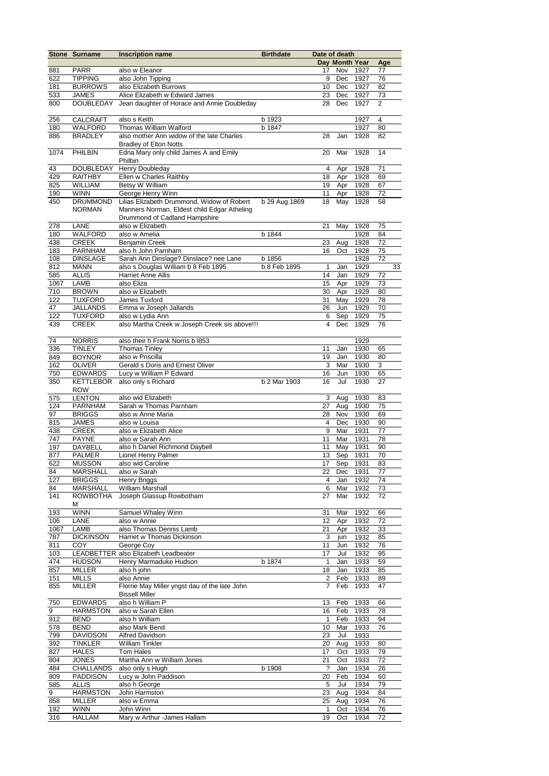|             | <b>Stone Surname</b>             | <b>Inscription name</b>                                                       | <b>Birthdate</b> | Date of death  |                |              |                |    |
|-------------|----------------------------------|-------------------------------------------------------------------------------|------------------|----------------|----------------|--------------|----------------|----|
|             |                                  |                                                                               |                  |                | Day Month Year |              | Age            |    |
| 881         | <b>PARR</b>                      | also w Eleanor                                                                |                  | 17<br>9        | Nov            | 1927         | 77             |    |
| 622<br>181  | <b>TIPPING</b><br><b>BURROWS</b> | also John Tipping<br>also Elizabeth Burrows                                   |                  | 10             | Dec<br>Dec     | 1927<br>1927 | 76<br>82       |    |
| 533         | JAMES                            | Alice Elizabeth w Edward James                                                |                  | 23             | Dec            | 1927         | 73             |    |
| 800         | <b>DOUBLEDAY</b>                 | Jean daughter of Horace and Annie Doubleday                                   |                  | 28             | Dec            | 1927         | $\overline{2}$ |    |
|             |                                  |                                                                               |                  |                |                |              |                |    |
| 256         | <b>CALCRAFT</b>                  | also s Keith                                                                  | b 1923           |                |                | 1927         | $\overline{4}$ |    |
| 180<br>886  | WALFORD<br><b>BRADLEY</b>        | Thomas William Walford<br>also mother Ann widow of the late Charles           | b 1847           | 28             | Jan            | 1927<br>1928 | 80<br>82       |    |
|             |                                  | <b>Bradlev of Elton Notts</b>                                                 |                  |                |                |              |                |    |
| 1074        | PHILBIN                          | Edna Mary only child James A and Emily                                        |                  | 20             | Mar            | 1928         | 14             |    |
|             |                                  | Philbin                                                                       |                  |                |                |              |                |    |
| 43          | <b>DOUBLEDAY</b>                 | Henry Doubleday                                                               |                  | 4              | Apr            | 1928         | 71             |    |
| 429         | <b>RAITHBY</b>                   | Ellen w Charles Raithby                                                       |                  | 18             | Apr            | 1928         | 69             |    |
| 825         | <b>WILLIAM</b>                   | Betsy W William                                                               |                  | 19             | Apr            | 1928         | 67             |    |
| 190<br>450  | <b>WINN</b><br><b>DRUMMOND</b>   | George Henry Winn<br>Lilias Elizabeth Drummond, Widow of Robert               | b 29 Aug 1869    | 11<br>18       | Apr<br>May     | 1928<br>1928 | 72<br>58       |    |
|             | <b>NORMAN</b>                    | Manners Norman, Eldest child Edgar Atheling                                   |                  |                |                |              |                |    |
|             |                                  | Drummond of Cadland Hampshire                                                 |                  |                |                |              |                |    |
| 278         | LANE                             | also w Elizabeth                                                              |                  | 21             | May            | 1928         | 75             |    |
| 180         | WALFORD                          | also w Amelia                                                                 | b 1844           |                |                | 1928         | 84             |    |
| 438         | <b>CREEK</b>                     | <b>Benjamin Creek</b>                                                         |                  | 23             | Aug            | 1928         | 72             |    |
| 183         | <b>PARNHAM</b>                   | also h John Parnham                                                           | b 1856           | 16             | Oct            | 1928<br>1928 | 75<br>72       |    |
| 108<br>812  | <b>DINSLAGE</b><br><b>MANN</b>   | Sarah Ann Dinslage? Dinslace? nee Lane<br>also s Douglas William b 8 Feb 1895 | b 8 Feb 1895     | $\mathbf{1}$   | Jan            | 1929         |                | 33 |
| 585         | <b>ALLIS</b>                     | <b>Harriet Anne Allis</b>                                                     |                  | 14             | Jan            | 1929         | 72             |    |
| 1067        | LAMB                             | also Eliza                                                                    |                  | 15             | Apr            | 1929         | 73             |    |
| 710         | <b>BROWN</b>                     | also w Elizabeth                                                              |                  | 30             | Apr            | 1929         | 80             |    |
| 122         | <b>TUXFORD</b>                   | James Tuxford                                                                 |                  | 31             | May            | 1929         | 78             |    |
| 47          | JALLANDS                         | Emma w Joseph Jallands                                                        |                  | 26             | Jun            | 1929         | 70             |    |
| 122         | <b>TUXFORD</b>                   | also w Lydia Ann                                                              |                  | 6              | Sep            | 1929         | 75             |    |
| 439         | <b>CREEK</b>                     | also Martha Creek w Joseph Creek sis above!!!                                 |                  | $\overline{4}$ | Dec            | 1929         | 76             |    |
| 74          | <b>NORRIS</b>                    | also their h Frank Norris b I853                                              |                  |                |                | 1929         |                |    |
| 336         | <b>TINLEY</b>                    | <b>Thomas Tinley</b>                                                          |                  | 11             | Jan            | 1930         | 65             |    |
| 849         | <b>BOYNOR</b>                    | also w Priscilla                                                              |                  | 19             | Jan            | 1930         | 80             |    |
| 162         | <b>OLIVER</b>                    | Gerald s Doris and Ernest Oliver                                              |                  | 3              | Mar            | 1930         | 3              |    |
| 750         | <b>EDWARDS</b>                   | Lucy w William P Edward                                                       |                  | 16             | Jun            | 1930         | 65             |    |
| 350         | <b>KETTLEBOR</b>                 | also only s Richard                                                           | b 2 Mar 1903     | 16             | Jul            | 1930         | 27             |    |
|             | <b>ROW</b><br><b>LENTON</b>      | also wid Elizabeth                                                            |                  | 3              | Aug            | 1930         | 83             |    |
| 575<br>124  | <b>PARNHAM</b>                   | Sarah w Thomas Parnham                                                        |                  | 27             | Aug            | 1930         | 75             |    |
| 97          | <b>BRIGGS</b>                    | also w Anne Maria                                                             |                  | 28             | Nov            | 1930         | 69             |    |
| 815         | <b>JAMES</b>                     | also w Louisa                                                                 |                  | $\overline{4}$ | Dec            | 1930         | 90             |    |
| 438         | <b>CREEK</b>                     | also w Elizabeth Alice                                                        |                  | 9              | Mar            | 1931         | 77             |    |
| 747         | <b>PAYNE</b>                     | also w Sarah Ann                                                              |                  | 11             | Mar            | 1931         | 78             |    |
| 197         | DAYBELL                          | also h Daniel Richmond Daybell                                                |                  | 11             | May            | 1931         | 90             |    |
| 877         | <b>PALMER</b>                    | <b>Lionel Henry Palmer</b>                                                    |                  | 13             | Sep            | 1931         | 70             |    |
| 622<br>84   | <b>MUSSON</b><br><b>MARSHALL</b> | also wid Caroline<br>also w Sarah                                             |                  | 17<br>22       | Sep<br>Dec     | 1931<br>1931 | 83<br>77       |    |
| 127         | <b>BRIGGS</b>                    | Henry Briggs                                                                  |                  | 4              | Jan            | 1932         | 74             |    |
| 84          | <b>MARSHALL</b>                  | <b>William Marshall</b>                                                       |                  | 6              | Mar            | 1932         | 73             |    |
| 141         | <b>ROWBOTHA</b>                  | Joseph Glassup Rowbotham                                                      |                  | 27             | Mar            | 1932         | 72             |    |
|             | м                                |                                                                               |                  |                |                |              |                |    |
| 193         | <b>WINN</b><br>LANE              | Samuel Whaley Winn<br>also w Annie                                            |                  | 31             | Mar            | 1932         | 66<br>72       |    |
| 106<br>1067 | LAMB                             | also Thomas Dennis Lamb                                                       |                  | 12<br>21       | Apr<br>Apr     | 1932<br>1932 | 33             |    |
| 787         | <b>DICKINSON</b>                 | Harriet w Thomas Dickinson                                                    |                  | 3              | jun            | 1932         | 85             |    |
| 811         | <b>COY</b>                       | George Coy                                                                    |                  | 11             | Jun            | 1932         | 76             |    |
| 103         |                                  | LEADBETTER also Elizabeth Leadbeater                                          |                  | 17             | Jul            | 1932         | 95             |    |
| 474         | <b>HUDSON</b>                    | Henry Marmaduke Hudson                                                        | b 1874           | $\mathbf{1}$   | Jan            | 1933         | 59             |    |
| 857         | <b>MILLER</b>                    | also h john                                                                   |                  | 18             | Jan            | 1933         | 85             |    |
| 151         | <b>MILLS</b>                     | also Annie                                                                    |                  | 2              | Feb            | 1933         | 89             |    |
| 855         | <b>MILLER</b>                    | Florrie May Miller yngst dau of the late John<br><b>Bissell Miller</b>        |                  | 7              | Feb            | 1933         | 47             |    |
| 750         | <b>EDWARDS</b>                   | also h William P                                                              |                  | 13             | Feb            | 1933         | 66             |    |
| 9           | <b>HARMSTON</b>                  | also w Sarah Ellen                                                            |                  | 16             | Feb            | 1933         | 78             |    |
| 912         | BEND                             | also h William                                                                |                  | $\mathbf{1}$   | Feb            | 1933         | 94             |    |
| 578         | <b>BEND</b>                      | also Mark Bend                                                                |                  | 10             | Mar            | 1933         | 76             |    |
| 799         | DAVIDSON                         | <b>Alfred Davidson</b>                                                        |                  | 23             | Jul            | 1933         |                |    |
| 392         | <b>TINKLER</b>                   | <b>William Tinkler</b>                                                        |                  | 20             | Aug            | 1933         | 80             |    |
| 827         | <b>HALES</b>                     | Tom Hales                                                                     |                  | 17             | Oct            | 1933         | 79             |    |
| 804<br>484  | <b>JONES</b><br>CHALLANDS        | Martha Ann w William Jones<br>also only s Hugh                                | b 1908           | 21<br>?        | Oct<br>Jan     | 1933<br>1934 | 72<br>26       |    |
| 809         | <b>PADDISON</b>                  | Lucy w John Paddison                                                          |                  | 20             | Feb            | 1934         | 60             |    |
| 585         | <b>ALLIS</b>                     | also h George                                                                 |                  | 5              | Jul            | 1934         | 79             |    |
| 9           | <b>HARMSTON</b>                  | John Harmston                                                                 |                  | 23             | Aug            | 1934         | 84             |    |
| 858         | <b>MILLER</b>                    | also w Emma                                                                   |                  | 25             | Aug            | 1934         | 76             |    |
| 192         | <b>WINN</b>                      | John Winn                                                                     |                  | 1              | Oct            | 1934         | 76             |    |
| 316         | <b>HALLAM</b>                    | Mary w Arthur -James Hallam                                                   |                  | 19             | Oct            | 1934         | 72             |    |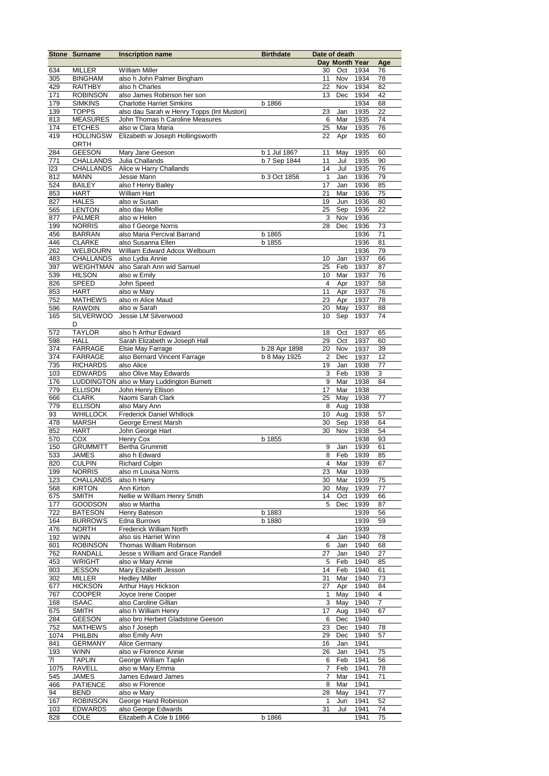|       | <b>Stone Surname</b> | <b>Inscription name</b>                   | <b>Birthdate</b> | Date of death  |                         |          |                |
|-------|----------------------|-------------------------------------------|------------------|----------------|-------------------------|----------|----------------|
|       |                      |                                           |                  |                | Day Month Year          |          | Age            |
| 634   | <b>MILLER</b>        | William Miller                            |                  | 30             | Oct                     | 1934     | 76             |
| 305   | <b>BINGHAM</b>       | also h John Palmer Bingham                |                  | 11             | Nov                     | 1934     | 78             |
| 429   | <b>RAITHBY</b>       | also h Charles                            |                  | 22             | Nov                     | 1934     | 82             |
| 171   | <b>ROBINSON</b>      | also James Robinson her son               |                  | 13             | Dec                     | 1934     | 42             |
| 179   | <b>SIMKINS</b>       | <b>Charlotte Harriet Simkins</b>          | b 1866           |                |                         | 1934     | 68             |
| 139   | <b>TOPPS</b>         | also dau Sarah w Henry Topps (Int Muston) |                  | 23             | Jan                     | 1935     | 22             |
| 813   | <b>MEASURES</b>      | John Thomas h Caroline Measures           |                  | 6              | Mar                     | 1935     | 74             |
| 174   | <b>ETCHES</b>        | also w Clara Maria                        |                  | 25             | Mar                     | 1935     | 76             |
| 419   | <b>HOLLINGSW</b>     | Elizabeth w Joseph Hollingsworth          |                  | 22             | Apr                     | 1935     | 60             |
|       | <b>ORTH</b>          |                                           |                  |                |                         |          |                |
| 284   | <b>GEESON</b>        | Mary Jane Geeson                          | b 1 Jul 186?     | 11             | May                     | 1935     | 60             |
| $771$ | <b>CHALLANDS</b>     | Julia Challands                           | b 7 Sep 1844     | 11             | Jul                     | 1935     | 90             |
| 123   | <b>CHALLANDS</b>     | Alice w Harry Challands                   |                  | 14             | Jul                     | 1935     | 76             |
| 812   | <b>MANN</b>          | Jessie Mann                               | b 3 Oct 1856     | 1              | Jan                     | 1936     | 79             |
| 524   | <b>BAILEY</b>        | also f Henry Bailey                       |                  | 17             | Jan                     | 1936     | 85             |
| 853   | <b>HART</b>          | <b>William Hart</b>                       |                  | 21             | Mar                     | 1936     | 75             |
| 827   | <b>HALES</b>         | also w Susan                              |                  | 19             | Jun                     | 1936     | 80             |
| 565   | <b>LENTON</b>        | also dau Mollie                           |                  | 25             | Sep                     | 1936     | 22             |
| 877   | <b>PALMER</b>        | also w Helen                              |                  | 3              | Nov                     | 1936     |                |
| 199   | <b>NORRIS</b>        | also f George Norris                      |                  | 28             | Dec                     | 1936     | 73             |
| 456   | <b>BARRAN</b>        | also Maria Percival Barrand               | b 1865           |                |                         | 1936     | 71             |
| 446   | <b>CLARKE</b>        | also Susanna Ellen                        | b 1855           |                |                         | 1936     | 81             |
| 262   | <b>WELBOURN</b>      | William Edward Adcox Welbourn             |                  |                |                         | 1936     | 79             |
| 483   | <b>CHALLANDS</b>     | also Lydia Annie                          |                  | 10             | Jan                     | 1937     | 66             |
| 397   | <b>WEIGHTMAN</b>     | also Sarah Ann wid Samuel                 |                  | 25             | Feb                     | 1937     | 87             |
| 539   | <b>HILSON</b>        | also w Emily                              |                  | 10             | Mar                     | 1937     | 76             |
| 826   | SPEED                | John Speed                                |                  | 4              | Apr                     | 1937     | 58             |
| 853   | <b>HART</b>          | also w Mary                               |                  | 11             | Apr                     | 1937     | 76             |
| 752   | <b>MATHEWS</b>       | also m Alice Maud                         |                  | 23             | Apr                     | 1937     | 78             |
| 596   | <b>RAWDIN</b>        | also w Sarah                              |                  | 20             | May                     | 1937     | 88             |
| 165   | <b>SILVERWOO</b>     | Jessie LM Silverwood                      |                  | 10             | Sep                     | 1937     | 74             |
|       | D                    |                                           |                  |                |                         |          |                |
| 572   | <b>TAYLOR</b>        | also h Arthur Edward                      |                  | 18             | Oct                     | 1937     | 65             |
| 598   | <b>HALL</b>          | Sarah Elizabeth w Joseph Hall             |                  | 29             | Oct                     | 1937     | 60             |
| 374   | <b>FARRAGE</b>       | Elsie May Farrage                         | b 28 Apr 1898    | 20             | Nov                     | 1937     | 39             |
| 374   | <b>FARRAGE</b>       | also Bernard Vincent Farrage              | b 8 May 1925     | 2              | Dec                     | 1937     | 12             |
| 735   | <b>RICHARDS</b>      | also Alice                                |                  | 19             | Jan                     | 1938     | 77             |
| 103   | <b>EDWARDS</b>       | also Olive May Edwards                    |                  | 3              | Feb                     | 1938     | 3              |
| 176   |                      | LUDDINGTON also w Mary Luddington Burnett |                  | 9              | Mar                     | 1938     | 84             |
| 779   | <b>ELLISON</b>       | John Henry Ellison                        |                  | 17             | Mar                     | 1938     |                |
| 666   | <b>CLARK</b>         | Naomi Sarah Clark                         |                  | 25             | May                     | 1938     | 77             |
| 779   | <b>ELLISON</b>       | also Mary Ann                             |                  | 8              | Aug                     | 1938     |                |
| 93    | <b>WHILLOCK</b>      | <b>Frederick Daniel Whillock</b>          |                  | 10             | Aug                     | 1938     | 57             |
| 478   | <b>MARSH</b>         | George Ernest Marsh                       |                  | 30             | Sep                     | 1938     | 64             |
| 852   | <b>HART</b>          | John George Hart                          |                  | 30             | Nov                     | 1938     | 54             |
| 570   | <b>COX</b>           | Henry Cox                                 | b 1855           |                |                         | 1938     | 93             |
| 150   | <b>GRUMMITT</b>      | <b>Bertha Grummitt</b>                    |                  | 9              | Jan                     | 1939     | 61             |
| 533   | <b>JAMES</b>         | also h Edward                             |                  | 8              | Feb                     | 1939     | 85             |
| 820   | <b>CULPIN</b>        | <b>Richard Culpin</b>                     |                  | $\overline{4}$ |                         | Mar 1939 | 67             |
| 199   | <b>NORRIS</b>        | also m Louisa Norris                      |                  | 23             | Mar                     | 1939     |                |
| 123   | <b>CHALLANDS</b>     | also h Harry                              |                  | 30             | Mar                     | 1939     | 75             |
| 568   | <b>KIRTON</b>        | Ann Kirton                                |                  | 30             | May                     | 1939     | 77             |
| 675   | <b>SMITH</b>         | Nellie w William Henry Smith              |                  | 14             | Oct                     | 1939     | 66             |
| 177   | GOODSON              | also w Martha                             |                  | 5              | Dec                     | 1939     | 87             |
| 722   | <b>BATESON</b>       | Henry Bateson                             | b 1883           |                |                         | 1939     | 56             |
| 164   | <b>BURROWS</b>       | Edna Burrows                              | b 1880           |                |                         | 1939     | 59             |
| 476   | <b>NORTH</b>         | Frederick William North                   |                  |                |                         | 1939     |                |
| 192   | <b>WINN</b>          | also sis Harriet Winn                     |                  | 4              | Jan                     | 1940     | 78             |
| 601   | <b>ROBINSON</b>      | Thomas William Robinson                   |                  | 6              | Jan                     | 1940     | 68             |
| 762   | <b>RANDALL</b>       | Jesse s William and Grace Randell         |                  | 27             | Jan                     | 1940     | 27             |
| 453   | <b>WRIGHT</b>        | also w Mary Annie                         |                  | 5              | Feb                     | 1940     | 85             |
| 803   | <b>JESSON</b>        | Mary Elizabeth Jesson                     |                  | 14             | Feb                     | 1940     | 61             |
| 302   | <b>MILLER</b>        | <b>Hedley Miller</b>                      |                  | 31             | Mar                     | 1940     | 73             |
| 677   | <b>HICKSON</b>       | Arthur Hays Hickson                       |                  | 27             | Apr                     | 1940     | 84             |
| 767   | <b>COOPER</b>        | Joyce Irene Cooper                        |                  | $\mathbf{1}$   | May                     | 1940     | 4              |
| 168   | <b>ISAAC</b>         | also Caroline Gillian                     |                  | $\overline{3}$ | $\overline{\text{May}}$ | 1940     | $\overline{7}$ |
| 675   | <b>SMITH</b>         | also h William Henry                      |                  | 17             | Aug                     | 1940     | 67             |
| 284   | <b>GEESON</b>        | also bro Herbert Gladstone Geeson         |                  | 6              | Dec                     | 1940     |                |
| 752   | <b>MATHEWS</b>       | also f Joseph                             |                  | 23             | Dec                     | 1940     | 78             |
| 1074  | PHILBIN              | also Emily Ann                            |                  | 29             | Dec                     | 1940     | 57             |
| 841   | <b>GERMANY</b>       | Alice Germany                             |                  | 16             | Jan                     | 1941     |                |
| 193   | <b>WINN</b>          | also w Florence Annie                     |                  | 26             | Jan                     | 1941     | 75             |
| 71    | <b>TAPLIN</b>        | George William Taplin                     |                  | 6              | Feb                     | 1941     | 56             |
| 1075  | <b>RAVELL</b>        | also w Mary Emma                          |                  | $\overline{7}$ | Feb                     | 1941     | 78             |
| 545   | <b>JAMES</b>         | James Edward James                        |                  | 7              | Mar                     | 1941     | 71             |
| 466   | <b>PATIENCE</b>      | also w Florence                           |                  | 8              | Mar                     | 1941     |                |
| 94    | <b>BEND</b>          | also w Mary                               |                  | 28             | May                     | 1941     | 77             |
| 167   | <b>ROBINSON</b>      | George Hand Robinson                      |                  | 1              | Jun                     | 1941     | 52             |
| 103   | <b>EDWARDS</b>       | also George Edwards                       |                  | 31             | Jul                     | 1941     | 74             |
| 828   | COLE                 | Elizabeth A Cole b 1866                   | b 1866           |                |                         | 1941     | 75             |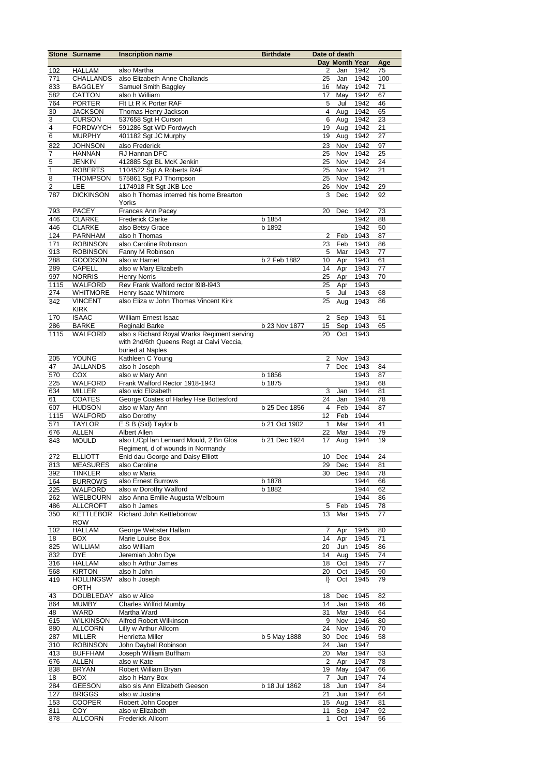|                | <b>Stone Surname</b> | <b>Inscription name</b>                     | <b>Birthdate</b> | Date of death  |                |      |     |
|----------------|----------------------|---------------------------------------------|------------------|----------------|----------------|------|-----|
|                |                      |                                             |                  |                | Day Month Year |      | Age |
| 102            | <b>HALLAM</b>        | also Martha                                 |                  | 2              | Jan            | 1942 | 75  |
| 771            | <b>CHALLANDS</b>     | also Elizabeth Anne Challands               |                  | 25             | Jan            | 1942 | 100 |
| 833            | <b>BAGGLEY</b>       | Samuel Smith Baggley                        |                  | 16             | May 1942       |      | 71  |
| 582            | CATTON               | also h William                              |                  | 17             | May            | 1942 | 67  |
| 764            | <b>PORTER</b>        | Fit Lt R K Porter RAF                       |                  | 5              | Jul            | 1942 | 46  |
| 30             | <b>JACKSON</b>       | Thomas Henry Jackson                        |                  | 4              | Aug            | 1942 | 65  |
| $\overline{3}$ | <b>CURSON</b>        | 537658 Sgt H Curson                         |                  | 6              | Aug            | 1942 | 23  |
| $\overline{4}$ |                      |                                             |                  |                |                |      |     |
|                | <b>FORDWYCH</b>      | 591286 Sgt WD Fordwych                      |                  | 19             | Aug            | 1942 | 21  |
| $\overline{6}$ | <b>MURPHY</b>        | 401182 Sgt JC Murphy                        |                  | 19             | Aug            | 1942 | 27  |
| 822            | <b>JOHNSON</b>       | also Frederick                              |                  | 23             | Nov            | 1942 | 97  |
| 7              | <b>HANNAN</b>        | RJ Hannan DFC                               |                  | 25             | Nov            | 1942 | 25  |
| 5              | <b>JENKIN</b>        | 412885 Sgt BL McK Jenkin                    |                  | 25             | Nov            | 1942 | 24  |
| $\mathbf{1}$   | <b>ROBERTS</b>       | 1104522 Sgt A Roberts RAF                   |                  | 25             | Nov            | 1942 | 21  |
| 8              | <b>THOMPSON</b>      | 575861 Sgt PJ Thompson                      |                  | 25             | Nov            | 1942 |     |
| $\overline{2}$ | LEE                  | 1174918 Flt Sgt JKB Lee                     |                  | 26             | Nov            | 1942 | 29  |
| 787            | <b>DICKINSON</b>     | also h Thomas interred his home Brearton    |                  | 3              | Dec            | 1942 | 92  |
|                |                      | Yorks                                       |                  |                |                |      |     |
|                |                      |                                             |                  |                |                |      |     |
| 793            | <b>PACEY</b>         | Frances Ann Pacey                           |                  | 20             | Dec            | 1942 | 73  |
| 446            | <b>CLARKE</b>        | <b>Frederick Clarke</b>                     | b 1854           |                |                | 1942 | 88  |
| 446            | <b>CLARKE</b>        | also Betsy Grace                            | b 1892           |                |                | 1942 | 50  |
| 124            | <b>PARNHAM</b>       | also h Thomas                               |                  | 2              | Feb            | 1943 | 87  |
| 171            | <b>ROBINSON</b>      | also Caroline Robinson                      |                  | 23             | Feb            | 1943 | 86  |
| 913            | <b>ROBINSON</b>      | Fanny M Robinson                            |                  | 5              | Mar            | 1943 | 77  |
| 288            | <b>GOODSON</b>       | also w Harriet                              | b 2 Feb 1882     | 10             | Apr            | 1943 | 61  |
| 289            | CAPELL               | also w Mary Elizabeth                       |                  | 14             | Apr            | 1943 | 77  |
| 997            | <b>NORRIS</b>        | <b>Henry Norris</b>                         |                  | 25             | Apr            | 1943 | 70  |
| 1115           | <b>WALFORD</b>       | Rev Frank Walford rector I9I8-I943          |                  | 25             | Apr            | 1943 |     |
| 274            | <b>WHITMORE</b>      | Henry Isaac Whitmore                        |                  | 5              | Jul            | 1943 | 68  |
| 342            | <b>VINCENT</b>       | also Eliza w John Thomas Vincent Kirk       |                  | 25             |                | 1943 | 86  |
|                |                      |                                             |                  |                | Aug            |      |     |
|                | <b>KIRK</b>          |                                             |                  |                |                |      |     |
| 170            | <b>ISAAC</b>         | <b>William Ernest Isaac</b>                 |                  | $\overline{2}$ | Sep            | 1943 | 51  |
| 286            | <b>BARKE</b>         | <b>Reginald Barke</b>                       | b 23 Nov 1877    | 15             | Sep            | 1943 | 65  |
| 1115           | WALFORD              | also s Richard Royal Warks Regiment serving |                  | 20             | Oct            | 1943 |     |
|                |                      | with 2nd/6th Queens Regt at Calvi Veccia,   |                  |                |                |      |     |
|                |                      | buried at Naples                            |                  |                |                |      |     |
| 205            | <b>YOUNG</b>         | Kathleen C Young                            |                  | 2              | Nov            | 1943 |     |
| 47             | <b>JALLANDS</b>      | also h Joseph                               |                  | 7              | Dec            | 1943 | 84  |
| 570            | COX                  | also w Mary Ann                             | b 1856           |                |                | 1943 | 87  |
| 225            | WALFORD              | Frank Walford Rector 1918-1943              | b 1875           |                |                | 1943 | 68  |
| 634            | <b>MILLER</b>        | also wid Elizabeth                          |                  | 3              | Jan            | 1944 | 81  |
| 61             | <b>COATES</b>        | George Coates of Harley Hse Bottesford      |                  | 24             | Jan            | 1944 | 78  |
| 607            | <b>HUDSON</b>        | also w Mary Ann                             |                  | 4              | Feb            | 1944 | 87  |
|                |                      |                                             | b 25 Dec 1856    |                |                |      |     |
| 1115           | WALFORD              | also Dorothy                                |                  | 12             | Feb            | 1944 |     |
| 571            | <b>TAYLOR</b>        | E S B (Sid) Taylor b                        | b 21 Oct 1902    | $\mathbf{1}$   | Mar            | 1944 | 41  |
| 676            | ALLEN                | Albert Allen                                |                  | 22             | Mar            | 1944 | 79  |
| 843            | <b>MOULD</b>         | also L/Cpl lan Lennard Mould, 2 Bn Glos     | b 21 Dec 1924    | 17             | Aug            | 1944 | 19  |
|                |                      | Regiment, d of wounds in Normandy           |                  |                |                |      |     |
| 272            | <b>ELLIOTT</b>       | Enid dau George and Daisy Elliott           |                  | 10             | Dec            | 1944 | 24  |
| 813            | <b>MEASURES</b>      | also Caroline                               |                  |                | $29$ Dec       | 1944 | 81  |
| 392            | TINKLER              | also w Maria                                |                  |                | 30 Dec         | 1944 | 78  |
| 164            | <b>BURROWS</b>       | also Ernest Burrows                         | b 1878           |                |                | 1944 | 66  |
| 225            | WALFORD              | also w Dorothy Walford                      | b 1882           |                |                | 1944 | 62  |
| 262            | WELBOURN             | also Anna Emilie Augusta Welbourn           |                  |                |                | 1944 | 86  |
| 486            | <b>ALLCROFT</b>      | also h James                                |                  | 5              | Feb            | 1945 | 78  |
| 350            | <b>KETTLEBOR</b>     | Richard John Kettleborrow                   |                  | 13             | Mar            | 1945 | 77  |
|                |                      |                                             |                  |                |                |      |     |
|                | <b>ROW</b>           |                                             |                  |                |                |      |     |
| 102            | <b>HALLAM</b>        | George Webster Hallam                       |                  | 7              | Apr            | 1945 | 80  |
| 18             | <b>BOX</b>           | Marie Louise Box                            |                  | 14             | Apr            | 1945 | 71  |
| 825            | WILLIAM              | also William                                |                  | 20             | Jun            | 1945 | 86  |
| 832            | <b>DYE</b>           | Jeremiah John Dye                           |                  | 14             | Aug            | 1945 | 74  |
| 316            | <b>HALLAM</b>        | also h Arthur James                         |                  | 18             | Oct            | 1945 | 77  |
| 568            | <b>KIRTON</b>        | also h John                                 |                  | 20             | Oct            | 1945 | 90  |
| 419            | <b>HOLLINGSW</b>     | also h Joseph                               |                  | $\vert \vert$  | Oct            | 1945 | 79  |
|                | ORTH                 |                                             |                  |                |                |      |     |
| 43             | <b>DOUBLEDAY</b>     | also w Alice                                |                  | 18             | Dec            | 1945 | 82  |
| 864            | <b>MUMBY</b>         | <b>Charles Wilfrid Mumby</b>                |                  | 14             | Jan            | 1946 | 46  |
| 48             | WARD                 | Martha Ward                                 |                  | 31             | Mar            | 1946 | 64  |
| 615            | <b>WILKINSON</b>     | Alfred Robert Wilkinson                     |                  | 9              | Nov            | 1946 | 80  |
|                |                      |                                             |                  |                |                |      |     |
| 880            | <b>ALLCORN</b>       | Lilly w Arthur Allcorn                      |                  | 24             | Nov            | 1946 | 70  |
| 287            | MILLER               | Henrietta Miller                            | b 5 May 1888     | 30             | Dec            | 1946 | 58  |
| 310            | <b>ROBINSON</b>      | John Daybell Robinson                       |                  | 24             | Jan            | 1947 |     |
| 413            | <b>BUFFHAM</b>       | Joseph William Buffham                      |                  | 20             | Mar            | 1947 | 53  |
| 676            | <b>ALLEN</b>         | also w Kate                                 |                  | $\overline{2}$ | Apr            | 1947 | 78  |
| 838            | <b>BRYAN</b>         | Robert William Bryan                        |                  | 19             | May            | 1947 | 66  |
| 18             | <b>BOX</b>           | also h Harry Box                            |                  | $\overline{7}$ | Jun            | 1947 | 74  |
| 284            | <b>GEESON</b>        | also sis Ann Elizabeth Geeson               | b 18 Jul 1862    | 18             | Jun            | 1947 | 84  |
| 127            | <b>BRIGGS</b>        | also w Justina                              |                  | 21             | Jun            | 1947 | 64  |
| 153            | <b>COOPER</b>        | Robert John Cooper                          |                  | 15             | Aug            | 1947 | 81  |
| 811            | <b>COY</b>           | also w Elizabeth                            |                  | 11             | Sep            | 1947 | 92  |
| 878            | <b>ALLCORN</b>       | <b>Frederick Allcorn</b>                    |                  | 1              | Oct            | 1947 | 56  |
|                |                      |                                             |                  |                |                |      |     |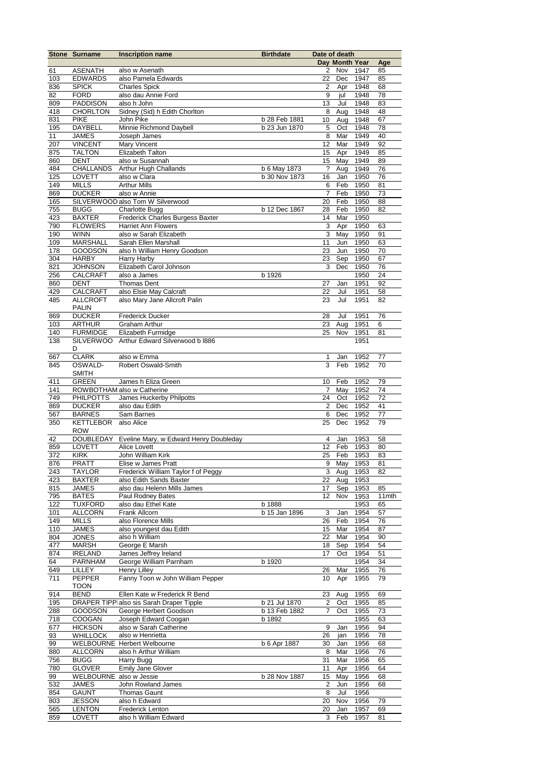|     | <b>Stone Surname</b>    | <b>Inscription name</b>                          | <b>Birthdate</b> | Date of death    |                |      |       |
|-----|-------------------------|--------------------------------------------------|------------------|------------------|----------------|------|-------|
|     |                         |                                                  |                  |                  | Day Month Year |      | Age   |
| 61  | <b>ASENATH</b>          | also w Asenath                                   |                  | 2                | Nov 1947       |      | 85    |
| 103 | <b>EDWARDS</b>          | also Pamela Edwards                              |                  | 22               | Dec            | 1947 | 85    |
| 836 | <b>SPICK</b>            | <b>Charles Spick</b>                             |                  | 2                |                | 1948 | 68    |
|     |                         |                                                  |                  |                  | Apr            |      |       |
| 82  | <b>FORD</b>             | also dau Annie Ford                              |                  | 9                | jul            | 1948 | 78    |
| 809 | <b>PADDISON</b>         | also h John                                      |                  | 13               | Jul            | 1948 | 83    |
| 418 | <b>CHORLTON</b>         | Sidney (Sid) h Edith Chorlton                    |                  | 8                | Aug            | 1948 | 48    |
| 831 | <b>PIKE</b>             | John Pike                                        | b 28 Feb 1881    | 10               | Aug            | 1948 | 67    |
| 195 | <b>DAYBELL</b>          | Minnie Richmond Daybell                          | b 23 Jun 1870    | 5                | Oct            | 1948 | 78    |
| 11  | <b>JAMES</b>            | Joseph James                                     |                  | 8                | Mar            | 1949 | 40    |
| 207 | <b>VINCENT</b>          | Mary Vincent                                     |                  | 12               | Mar            | 1949 | 92    |
| 875 | <b>TALTON</b>           | Elizabeth Talton                                 |                  | 15               | Apr            | 1949 | 85    |
|     |                         |                                                  |                  |                  |                |      |       |
| 860 | <b>DENT</b>             | also w Susannah                                  |                  | 15               | May            | 1949 | 89    |
| 484 | <b>CHALLANDS</b>        | Arthur Hugh Challands                            | b 6 May 1873     | ?                | Aug            | 1949 | 76    |
| 125 | <b>LOVETT</b>           | also w Clara                                     | b 30 Nov 1873    | 16               | Jan            | 1950 | 76    |
| 149 | <b>MILLS</b>            | <b>Arthur Mills</b>                              |                  | 6                | Feb            | 1950 | 81    |
| 869 | <b>DUCKER</b>           | also w Annie                                     |                  | 7                | Feb            | 1950 | 73    |
| 165 |                         | SILVERWOOD also Tom W Silverwood                 |                  | 20               | Feb            | 1950 | 88    |
| 755 | <b>BUGG</b>             | <b>Charlotte Bugg</b>                            | b 12 Dec 1867    | 28               | Feb            | 1950 | 82    |
|     |                         |                                                  |                  | 14               |                |      |       |
| 423 | <b>BAXTER</b>           | Frederick Charles Burgess Baxter                 |                  |                  | Mar            | 1950 |       |
| 790 | <b>FLOWERS</b>          | <b>Harriet Ann Flowers</b>                       |                  | 3                | Apr            | 1950 | 63    |
| 190 | <b>WINN</b>             | also w Sarah Elizabeth                           |                  | 3                | May            | 1950 | 91    |
| 109 | <b>MARSHALL</b>         | Sarah Ellen Marshall                             |                  | 11               | Jun            | 1950 | 63    |
| 178 | <b>GOODSON</b>          | also h William Henry Goodson                     |                  | 23               | Jun            | 1950 | 70    |
| 304 | <b>HARBY</b>            | Harry Harby                                      |                  | 23               | Sep            | 1950 | 67    |
| 821 | <b>JOHNSON</b>          | Elizabeth Carol Johnson                          |                  | 3                | Dec            | 1950 | 76    |
|     |                         | also a James                                     |                  |                  |                | 1950 | 24    |
| 256 | <b>CALCRAFT</b>         |                                                  | b 1926           |                  |                |      |       |
| 860 | <b>DENT</b>             | Thomas Dent                                      |                  | 27               | Jan            | 1951 | 92    |
| 429 | <b>CALCRAFT</b>         | also Elsie May Calcraft                          |                  | 22               | Jul            | 1951 | 58    |
| 485 | <b>ALLCROFT</b>         | also Mary Jane Allcroft Palin                    |                  | 23               | Jul            | 1951 | 82    |
|     | <b>PALIN</b>            |                                                  |                  |                  |                |      |       |
| 869 | <b>DUCKER</b>           | <b>Frederick Ducker</b>                          |                  | 28               | Jul            | 1951 | 76    |
| 103 | <b>ARTHUR</b>           | Graham Arthur                                    |                  | 23               | Aug            | 1951 | 6     |
| 140 | <b>FURMIDGE</b>         | Elizabeth Furmidge                               |                  | 25               | Nov            | 1951 | 81    |
|     |                         |                                                  |                  |                  |                |      |       |
| 138 | <b>SILVERWOO</b>        | Arthur Edward Silverwood b I886                  |                  |                  |                | 1951 |       |
|     | D                       |                                                  |                  |                  |                |      |       |
| 667 | <b>CLARK</b>            | also w Emma                                      |                  | 1                | Jan            | 1952 | 77    |
| 845 | OSWALD-                 | Robert Oswald-Smith                              |                  | 3                | Feb            | 1952 | 70    |
|     | <b>SMITH</b>            |                                                  |                  |                  |                |      |       |
| 411 | <b>GREEN</b>            | James h Eliza Green                              |                  | 10               | Feb            | 1952 | 79    |
| 141 |                         | ROWBOTHAM also w Catherine                       |                  | $\overline{7}$   | May            | 1952 | 74    |
|     |                         |                                                  |                  |                  |                |      |       |
| 749 | <b>PHILPOTTS</b>        | James Huckerby Philpotts                         |                  | 24               | Oct            | 1952 | 72    |
| 869 | <b>DUCKER</b>           | also dau Edith                                   |                  | $\boldsymbol{2}$ | Dec            | 1952 | 41    |
| 567 | <b>BARNES</b>           | Sam Barnes                                       |                  | 6                | Dec            | 1952 | 77    |
| 350 | KETTLEBOR also Alice    |                                                  |                  | 25               | Dec            | 1952 | 79    |
|     | <b>ROW</b>              |                                                  |                  |                  |                |      |       |
| 42  |                         | DOUBLEDAY Eveline Mary, w Edward Henry Doubleday |                  | 4                | Jan            | 1953 | 58    |
| 859 | <b>LOVETT</b>           | Alice Lovett                                     |                  | 12               | Feb            | 1953 | 80    |
| 372 | <b>KIRK</b>             | John William Kirk                                |                  | 25               | Feb            | 1953 | 83    |
|     |                         |                                                  |                  | 9                |                |      |       |
| 876 | PRATT                   | Elise w James Pratt                              |                  |                  | May            | 1953 | 81    |
| 243 | <b>TAYLOR</b>           | Frederick William Taylor f of Peggy              |                  |                  | 3 Aug          | 1953 | 82    |
| 423 | <b>BAXTER</b>           | also Edith Sands Baxter                          |                  | 22               | Aug            | 1953 |       |
| 815 | JAMES                   | also dau Helenn Mills James                      |                  | 17               | Sep            | 1953 | 85    |
| 795 | <b>BATES</b>            | Paul Rodney Bates                                |                  | 12               | Nov            | 1953 | 11mth |
| 122 | <b>TUXFORD</b>          | also dau Ethel Kate                              | b 1888           |                  |                | 1953 | 65    |
| 101 | <b>ALLCORN</b>          | Frank Allcorn                                    | b 15 Jan 1896    | 3                | Jan            | 1954 | 57    |
|     |                         | also Florence Mills                              |                  |                  | Feb            |      |       |
| 149 | <b>MILLS</b>            |                                                  |                  | 26               |                | 1954 | 76    |
| 110 | <b>JAMES</b>            | also youngest dau Edith                          |                  | 15               | Mar            | 1954 | 87    |
| 804 | <b>JONES</b>            | also h William                                   |                  | 22               | Mar            | 1954 | 90    |
| 477 | <b>MARSH</b>            | George E Marsh                                   |                  | 18               | Sep            | 1954 | 54    |
| 874 | <b>IRELAND</b>          | James Jeffrey Ireland                            |                  | 17               | Oct            | 1954 | 51    |
| 64  | <b>PARNHAM</b>          | George William Parnham                           | b 1920           |                  |                | 1954 | 34    |
| 649 | LILLEY                  | Henry Lilley                                     |                  | 26               | Mar            | 1955 | 76    |
| 711 | PEPPER                  | Fanny Toon w John William Pepper                 |                  | 10               | Apr            | 1955 | 79    |
|     |                         |                                                  |                  |                  |                |      |       |
|     | <b>TOON</b>             |                                                  |                  |                  |                |      |       |
| 914 | <b>BEND</b>             | Ellen Kate w Frederick R Bend                    |                  | 23               | Aug            | 1955 | 69    |
| 195 |                         | DRAPER TIPP also sis Sarah Draper Tipple         | b 21 Jul 1870    | 2                | Oct            | 1955 | 85    |
| 288 | GOODSON                 | George Herbert Goodson                           | b 13 Feb 1882    | 7                | Oct            | 1955 | 73    |
| 718 | COOGAN                  | Joseph Edward Coogan                             | b 1892           |                  |                | 1955 | 63    |
| 677 | <b>HICKSON</b>          | also w Sarah Catherine                           |                  | 9                | Jan            | 1956 | 94    |
| 93  | WHILLOCK                | also w Henrietta                                 |                  | 26               | jan            | 1956 | 78    |
|     |                         |                                                  |                  |                  |                |      |       |
| 99  |                         | WELBOURNE Herbert Welbourne                      | b 6 Apr 1887     | 30               | Jan            | 1956 | 68    |
| 880 | <b>ALLCORN</b>          | also h Arthur William                            |                  | 8                | Mar            | 1956 | 76    |
| 756 | <b>BUGG</b>             | Harry Bugg                                       |                  | 31               | Mar            | 1956 | 65    |
| 780 | <b>GLOVER</b>           | Emily Jane Glover                                |                  | 11               | Apr            | 1956 | 64    |
| 99  | WELBOURNE also w Jessie |                                                  | b 28 Nov 1887    | 15               | May            | 1956 | 68    |
| 532 | <b>JAMES</b>            | John Rowland James                               |                  | 2                | Jun            | 1956 | 68    |
| 854 | <b>GAUNT</b>            | <b>Thomas Gaunt</b>                              |                  | 8                | Jul            | 1956 |       |
|     |                         |                                                  |                  |                  |                |      |       |
| 803 | <b>JESSON</b>           | also h Edward                                    |                  | 20               | Nov            | 1956 | 79    |
| 565 | <b>LENTON</b>           | <b>Frederick Lenton</b>                          |                  | 20               | Jan            | 1957 | 69    |
| 859 | LOVETT                  | also h William Edward                            |                  | 3                | Feb            | 1957 | 81    |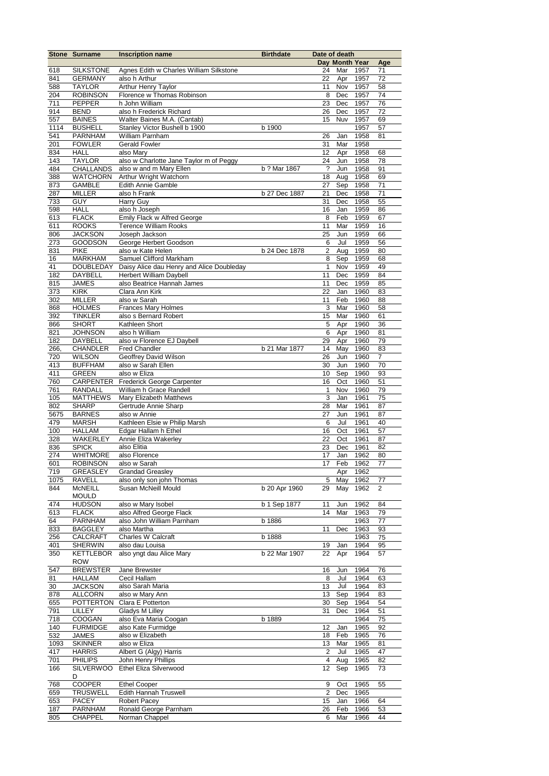|            | <b>Stone Surname</b>         | <b>Inscription name</b>                      | <b>Birthdate</b> | Date of death        |                 |              |                |
|------------|------------------------------|----------------------------------------------|------------------|----------------------|-----------------|--------------|----------------|
|            |                              |                                              |                  |                      | Day Month Year  |              | Age            |
| 618        | <b>SILKSTONE</b>             | Agnes Edith w Charles William Silkstone      |                  | 24                   | Mar             | 1957         | 71             |
| 841        | <b>GERMANY</b>               | also h Arthur                                |                  | 22                   | Apr             | 1957         | 72             |
| 588        | <b>TAYLOR</b>                | Arthur Henry Taylor                          |                  | 11                   | Nov             | 1957         | 58             |
| 204        | <b>ROBINSON</b>              | Florence w Thomas Robinson                   |                  | 8                    | Dec             | 1957         | 74             |
| 711        | PEPPER                       | h John William<br>also h Frederick Richard   |                  | 23                   | Dec<br>Dec      | 1957<br>1957 | 76<br>72       |
| 914<br>557 | <b>BEND</b><br><b>BAINES</b> | Walter Baines M.A. (Cantab)                  |                  | 26<br>15             | Nuv             | 1957         | 69             |
| 1114       | <b>BUSHELL</b>               | Stanley Victor Bushell b 1900                | b 1900           |                      |                 | 1957         | 57             |
| 541        | PARNHAM                      | William Parnham                              |                  | 26                   | Jan             | 1958         | 81             |
| 201        | <b>FOWLER</b>                | <b>Gerald Fowler</b>                         |                  | 31                   | Mar             | 1958         |                |
| 834        | <b>HALL</b>                  | also Mary                                    |                  | 12                   | Apr             | 1958         | 68             |
| 143        | <b>TAYLOR</b>                | also w Charlotte Jane Taylor m of Peggy      |                  | 24                   | Jun             | 1958         | 78             |
| 484        | <b>CHALLANDS</b>             | also w and m Mary Ellen                      | b ? Mar 1867     | $\ddot{\phantom{0}}$ | Jun             | 1958         | 91             |
| 388        | <b>WATCHORN</b>              | Arthur Wright Watchorn                       |                  | 18                   | Aug             | 1958         | 69             |
| 873        | <b>GAMBLE</b>                | <b>Edith Annie Gamble</b>                    |                  | 27                   | Sep             | 1958         | 71             |
| 287        | <b>MILLER</b>                | also h Frank                                 | b 27 Dec 1887    | 21                   | Dec             | 1958         | 71             |
| 733        | <b>GUY</b>                   | Harry Guy                                    |                  | 31                   | Dec             | 1958         | 55             |
| 598        | <b>HALL</b>                  | also h Joseph                                |                  | 16                   | Jan             | 1959         | 86             |
| 613        | <b>FLACK</b>                 | Emily Flack w Alfred George                  |                  | 8                    | Feb             | 1959         | 67             |
| 611        | <b>ROOKS</b>                 | <b>Terence William Rooks</b>                 |                  | 11                   | Mar             | 1959         | 16             |
| 806        | <b>JACKSON</b>               | Joseph Jackson                               |                  | 25                   | Jun             | 1959         | 66             |
| 273        | <b>GOODSON</b>               | George Herbert Goodson                       |                  | 6                    | Jul             | 1959         | 56             |
| 831        | <b>PIKE</b>                  | also w Kate Helen                            | b 24 Dec 1878    | 2                    | Aug             | 1959         | 80             |
| 16         | <b>MARKHAM</b>               | Samuel Clifford Markham                      |                  | 8                    | Sep             | 1959         | 68             |
| 41         | <b>DOUBLEDAY</b>             | Daisy Alice dau Henry and Alice Doubleday    |                  | 1                    | Nov             | 1959         | 49             |
| 182        | DAYBELL                      | <b>Herbert William Daybell</b>               |                  | 11                   | Dec             | 1959         | 84             |
| 815        | <b>JAMES</b>                 | also Beatrice Hannah James                   |                  | 11                   | Dec             | 1959         | 85             |
| 373        | <b>KIRK</b>                  | Clara Ann Kirk                               |                  | 22                   | Jan             | 1960         | 83             |
| 302        | <b>MILLER</b>                | also w Sarah                                 |                  | 11                   | Feb             | 1960         | 88             |
| 868        | <b>HOLMES</b>                | <b>Frances Mary Holmes</b>                   |                  | 3                    | Mar             | 1960         | 58             |
| 392        | <b>TINKLER</b>               | also s Bernard Robert                        |                  | 15                   | Mar             | 1960         | 61             |
| 866        | <b>SHORT</b>                 | Kathleen Short                               |                  | $\mathbf 5$          | Apr             | 1960         | 36             |
| 821        | <b>JOHNSON</b>               | also h William                               |                  | 6                    | Apr             | 1960         | 81             |
| 182        | <b>DAYBELL</b>               | also w Florence EJ Daybell                   |                  | 29                   | Apr             | 1960         | 79             |
| 266        | <b>CHANDLER</b>              | <b>Fred Chandler</b>                         | b 21 Mar 1877    | 14                   | May             | 1960         | 83             |
| 720        | <b>WILSON</b>                | Geoffrey David Wilson                        |                  | 26                   | Jun             | 1960         | $\overline{7}$ |
| 413        | <b>BUFFHAM</b>               | also w Sarah Ellen                           |                  | 30                   | Jun             | 1960         | 70             |
| 411        | <b>GREEN</b>                 | also w Eliza                                 |                  | 10                   | Sep             | 1960         | 93             |
| 760        | CARPENTER                    | Frederick George Carpenter                   |                  | 16                   | Oct             | 1960         | 51             |
| 761        | RANDALL                      | William h Grace Randell                      |                  | $\mathbf{1}$         | Nov             | 1960         | 79             |
| 105        | <b>MATTHEWS</b>              | Mary Elizabeth Matthews                      |                  | 3                    | Jan             | 1961         | 75             |
| 802        | <b>SHARP</b>                 | Gertrude Annie Sharp                         |                  | 28                   | Mar             | 1961         | 87             |
| 5675       | <b>BARNES</b>                | also w Annie                                 |                  | 27                   | Jun             | 1961         | 87             |
| 479        | <b>MARSH</b>                 | Kathleen Elsie w Philip Marsh                |                  | 6                    | Jul             | 1961         | 40             |
| 100<br>328 | <b>HALLAM</b><br>WAKERLEY    | Edgar Hallam h Ethel<br>Annie Eliza Wakerley |                  | 16<br>22             | Oct             | 1961         | 57<br>87       |
| 836        | <b>SPICK</b>                 | also Elitia                                  |                  | 23                   | Oct<br>Dec 1961 | 1961         | 82             |
| 274        | <b>WHITMORE</b>              | also Florence                                |                  | 17                   | Jan             | 1962         | 80             |
| 601        | <b>ROBINSON</b>              | also w Sarah                                 |                  | 17                   | Feb             | 1962         | 77             |
| 719        | <b>GREASLEY</b>              | <b>Grandad Greasley</b>                      |                  |                      | Apr             | 1962         |                |
| 1075       | RAVELL                       | also only son john Thomas                    |                  | 5                    | May             | 1962         | 77             |
| 844        | <b>McNEILL</b>               | Susan McNeill Mould                          | b 20 Apr 1960    | 29                   | May             | 1962         | 2              |
|            | <b>MOULD</b>                 |                                              |                  |                      |                 |              |                |
| 474        | <b>HUDSON</b>                | also w Mary Isobel                           | b 1 Sep 1877     | 11                   | Jun             | 1962         | 84             |
| 613        | <b>FLACK</b>                 | also Alfred George Flack                     |                  | 14                   | Mar             | 1963         | 79             |
| 64         | <b>PARNHAM</b>               | also John William Parnham                    | b 1886           |                      |                 | 1963         | 77             |
| 833        | <b>BAGGLEY</b>               | also Martha                                  |                  | 11                   | Dec             | 1963         | 93             |
| 256        | CALCRAFT                     | Charles W Calcraft                           | b 1888           |                      |                 | 1963         | 75             |
| 401        | <b>SHERWIN</b>               | also dau Louisa                              |                  | 19                   | Jan             | 1964         | 95             |
| 350        | <b>KETTLEBOR</b>             | also yngt dau Alice Mary                     | b 22 Mar 1907    | 22                   | Apr             | 1964         | 57             |
|            | <b>ROW</b>                   |                                              |                  |                      |                 |              |                |
| 547        | <b>BREWSTER</b>              | Jane Brewster                                |                  | 16                   | Jun             | 1964         | 76             |
| 81         | <b>HALLAM</b>                | Cecil Hallam                                 |                  | 8                    | Jul             | 1964         | 63             |
| 30         | <b>JACKSON</b>               | also Sarah Maria                             |                  | 13                   | Jul             | 1964         | 83             |
| 878        | <b>ALLCORN</b>               | also w Mary Ann                              |                  | 13                   | Sep             | 1964         | 83             |
| 655        | <b>POTTERTON</b>             | Clara E Potterton                            |                  | 30                   | Sep             | 1964         | 54             |
| 791        | LILLEY                       | Gladys M Lilley                              |                  | 31                   | Dec             | 1964         | 51             |
| 718        | COOGAN                       | also Eva Maria Coogan                        | b 1889           |                      |                 | 1964         | 75             |
| 140        | <b>FURMIDGE</b>              | also Kate Furmidge                           |                  | 12                   | Jan             | 1965         | 92             |
| 532        | <b>JAMES</b>                 | also w Elizabeth                             |                  | 18                   | Feb             | 1965         | 76             |
| 1093       | <b>SKINNER</b>               | also w Eliza                                 |                  | 13                   | Mar             | 1965         | 81             |
| 417        | <b>HARRIS</b>                | Albert G (Algy) Harris                       |                  | $\overline{2}$       | Jul             | 1965         | 47             |
| 701        | <b>PHILIPS</b>               | John Henry Phillips                          |                  | 4                    | Aug             | 1965         | 82             |
| 166        | <b>SILVERWOO</b>             | Ethel Eliza Silverwood                       |                  | 12                   | Sep             | 1965         | 73             |
|            | D                            |                                              |                  |                      |                 |              |                |
| 768        | <b>COOPER</b>                | <b>Ethel Cooper</b>                          |                  | 9                    | Oct             | 1965         | 55             |
| 659        | <b>TRUSWELL</b>              | Edith Hannah Truswell                        |                  | 2                    | Dec             | 1965         |                |
| 653<br>187 | <b>PACEY</b><br>PARNHAM      | Robert Pacey<br>Ronald George Parnham        |                  | 15                   | Jan             | 1966         | 64             |
| 805        | <b>CHAPPEL</b>               | Norman Chappel                               |                  | 26<br>6              | Feb<br>Mar      | 1966<br>1966 | 53<br>44       |
|            |                              |                                              |                  |                      |                 |              |                |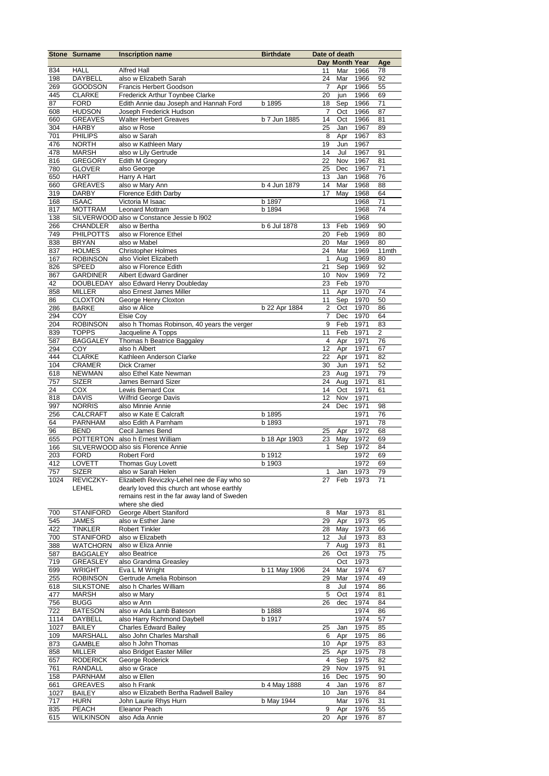|            | <b>Stone Surname</b>         | <b>Inscription name</b>                     | <b>Birthdate</b> | Date of death           |                |              |          |
|------------|------------------------------|---------------------------------------------|------------------|-------------------------|----------------|--------------|----------|
|            | <b>HALL</b>                  | <b>Alfred Hall</b>                          |                  |                         | Day Month Year |              | Age      |
| 834<br>198 | DAYBELL                      | also w Elizabeth Sarah                      |                  | 11<br>24                | Mar<br>Mar     | 1966<br>1966 | 78<br>92 |
| 269        | <b>GOODSON</b>               | <b>Francis Herbert Goodson</b>              |                  | 7                       | Apr            | 1966         | 55       |
| 445        | <b>CLARKE</b>                | Frederick Arthur Toynbee Clarke             |                  | 20                      | jun            | 1966         | 69       |
| 87         | <b>FORD</b>                  | Edith Annie dau Joseph and Hannah Ford      | b 1895           | 18                      | Sep            | 1966         | 71       |
| 608        | <b>HUDSON</b>                | Joseph Frederick Hudson                     |                  | 7                       | Oct            | 1966         | 87       |
| 660        | <b>GREAVES</b>               | <b>Walter Herbert Greaves</b>               | b 7 Jun 1885     | 14                      | Oct            | 1966         | 81       |
| 304        | <b>HARBY</b>                 | also w Rose                                 |                  | 25                      | Jan            | 1967         | 89       |
| 701        | <b>PHILIPS</b>               | also w Sarah                                |                  | 8                       | Apr            | 1967         | 83       |
| 476        | <b>NORTH</b>                 | also w Kathleen Mary                        |                  | 19                      | Jun            | 1967         |          |
| 478        | <b>MARSH</b>                 | also w Lily Gertrude                        |                  | 14                      | Jul            | 1967         | 91       |
| 816        | <b>GREGORY</b>               | Edith M Gregory                             |                  | 22                      | Nov            | 1967         | 81       |
| 780        | <b>GLOVER</b>                | also George                                 |                  | 25                      | Dec            | 1967         | 71       |
| 650        | <b>HART</b>                  | Harry A Hart                                |                  | 13                      | Jan            | 1968         | 76       |
| 660        | <b>GREAVES</b>               | also w Mary Ann                             | b 4 Jun 1879     | 14                      | Mar            | 1968         | 88       |
| 319<br>168 | <b>DARBY</b><br><b>ISAAC</b> | Florence Edith Darby<br>Victoria M Isaac    | b 1897           | 17                      | May            | 1968<br>1968 | 64<br>71 |
| 817        | <b>MOTTRAM</b>               | Leonard Mottram                             | b 1894           |                         |                | 1968         | 74       |
| 138        |                              | SILVERWOOD also w Constance Jessie b I902   |                  |                         |                | 1968         |          |
| 266        | <b>CHANDLER</b>              | also w Bertha                               | b 6 Jul 1878     | 13                      | Feb            | 1969         | 90       |
| 749        | <b>PHILPOTTS</b>             | also w Florence Ethel                       |                  | 20                      | Feb            | 1969         | 80       |
| 838        | <b>BRYAN</b>                 | also w Mabel                                |                  | 20                      | Mar            | 1969         | 80       |
| 837        | <b>HOLMES</b>                | <b>Christopher Holmes</b>                   |                  | 24                      | Mar            | 1969         | 11mth    |
| 167        | <b>ROBINSON</b>              | also Violet Elizabeth                       |                  | $\mathbf{1}$            | Aug            | 1969         | 80       |
| 826        | <b>SPEED</b>                 | also w Florence Edith                       |                  | 21                      | Sep            | 1969         | 92       |
| 867        | <b>GARDINER</b>              | <b>Albert Edward Gardiner</b>               |                  | 10                      | Nov            | 1969         | 72       |
| 42         | DOUBLEDAY                    | also Edward Henry Doubleday                 |                  | 23                      | Feb            | 1970         |          |
| 858        | <b>MILLER</b>                | also Ernest James Miller                    |                  | 11                      | Apr            | 1970         | 74       |
| 86         | <b>CLOXTON</b>               | George Henry Cloxton                        |                  | 11                      | Sep            | 1970         | 50       |
| 286        | <b>BARKE</b>                 | also w Alice                                | b 22 Apr 1884    | $\overline{2}$          | Oct            | 1970         | 86       |
| 294        | COY                          | Elsie Coy                                   |                  | 7                       | Dec            | 1970         | 64       |
| 204        | <b>ROBINSON</b>              | also h Thomas Robinson, 40 years the verger |                  | 9                       | Feb            | 1971         | 83       |
| 839        | <b>TOPPS</b>                 | Jacqueline A Topps                          |                  | 11                      | Feb            | 1971         | 2        |
| 587        | <b>BAGGALEY</b>              | Thomas h Beatrice Baggaley                  |                  | $\overline{\mathbf{4}}$ | Apr            | 1971         | 76       |
| 294        | COY                          | also h Albert                               |                  | 12                      | Apr            | 1971         | 67       |
| 444        | <b>CLARKE</b>                | Kathleen Anderson Clarke                    |                  | 22                      | Apr            | 1971         | 82       |
| 104        | <b>CRAMER</b>                | Dick Cramer                                 |                  | 30                      | Jun            | 1971         | 52       |
| 618        | <b>NEWMAN</b>                | also Ethel Kate Newman                      |                  | 23                      | Aug            | 1971         | 79       |
| 757        | <b>SIZER</b><br><b>COX</b>   | James Bernard Sizer<br>Lewis Bernard Cox    |                  | 24<br>14                | Aug<br>Oct     | 1971<br>1971 | 81       |
| 24<br>818  | <b>DAVIS</b>                 | <b>Wilfrid George Davis</b>                 |                  | 12                      | Nov            | 1971         | 61       |
| 997        | <b>NORRIS</b>                | also Minnie Annie                           |                  | 24                      | Dec            | 1971         | 98       |
| 256        | <b>CALCRAFT</b>              | also w Kate E Calcraft                      | b 1895           |                         |                | 1971         | 76       |
| 64         | PARNHAM                      | also Edith A Parnham                        | b 1893           |                         |                | 1971         | 78       |
| 96         | <b>BEND</b>                  | Cecil James Bend                            |                  | 25                      | Apr            | 1972         | 68       |
| 655        |                              | POTTERTON also h Ernest William             | b 18 Apr 1903    | 23                      | May            | 1972         | 69       |
| 166        |                              | SILVERWOOD also sis Florence Annie          |                  | 1                       | Sep            | 1972         | 84       |
| 203        | <b>FORD</b>                  | <b>Robert Ford</b>                          | b 1912           |                         |                | 1972         | 69       |
| 412        | <b>LOVETT</b>                | Thomas Guy Lovett                           | b 1903           |                         |                | 1972         | 69       |
| 757        | <b>SIZER</b>                 | also w Sarah Helen                          |                  | 1                       | Jan            | 1973         | 79       |
| 1024       | REVICZKY-                    | Elizabeth Reviczky-Lehel nee de Fay who so  |                  | 27                      | Feb            | 1973         | 71       |
|            | LEHEL                        | dearly loved this church ant whose earthly  |                  |                         |                |              |          |
|            |                              | remains rest in the far away land of Sweden |                  |                         |                |              |          |
|            |                              | where she died                              |                  |                         |                |              |          |
| 700        | <b>STANIFORD</b>             | George Albert Staniford                     |                  | 8                       | Mar            | 1973         | 81       |
| 545        | JAMES                        | also w Esther Jane                          |                  | 29                      | Apr            | 1973         | 95       |
| 422        | <b>TINKLER</b>               | <b>Robert Tinkler</b>                       |                  | 28                      | May            | 1973         | 66       |
| 700        | <b>STANIFORD</b>             | also w Elizabeth                            |                  | 12                      | Jul            | 1973         | 83       |
| 388        | WATCHORN                     | also w Eliza Annie                          |                  | 7                       | Aug            | 1973         | 81       |
| 587        | <b>BAGGALEY</b>              | also Beatrice<br>also Grandma Greasley      |                  | 26                      | Oct            | 1973         | 75       |
| 719<br>699 | GREASLEY<br><b>WRIGHT</b>    | Eva L M Wright                              | b 11 May 1906    | 24                      | Oct<br>Mar     | 1973<br>1974 | 67       |
| 255        | <b>ROBINSON</b>              | Gertrude Amelia Robinson                    |                  | 29                      | Mar            | 1974         | 49       |
| 618        | <b>SILKSTONE</b>             | also h Charles William                      |                  | 8                       | Jul            | 1974         | 86       |
| 477        | MARSH                        | also w Mary                                 |                  | 5                       | Oct            | 1974         | 81       |
| 756        | <b>BUGG</b>                  | also w Ann                                  |                  | 26                      | dec            | 1974         | 84       |
| 722        | <b>BATESON</b>               | also w Ada Lamb Bateson                     | b 1888           |                         |                | 1974         | 86       |
| 1114       | DAYBELL                      | also Harry Richmond Daybell                 | b 1917           |                         |                | 1974         | 57       |
| 1027       | <b>BAILEY</b>                | <b>Charles Edward Bailey</b>                |                  | 25                      | Jan            | 1975         | 85       |
| 109        | <b>MARSHALL</b>              | also John Charles Marshall                  |                  | 6                       | Apr            | 1975         | 86       |
| 873        | GAMBLE                       | also h John Thomas                          |                  | 10                      | Apr            | 1975         | 83       |
| 858        | MILLER                       | also Bridget Easter Miller                  |                  | 25                      | Apr            | 1975         | 78       |
| 657        | <b>RODERICK</b>              | George Roderick                             |                  | 4                       | Sep            | 1975         | 82       |
| 761        | RANDALL                      | also w Grace                                |                  | 29                      | Nov            | 1975         | 91       |
| 158        | <b>PARNHAM</b>               | also w Ellen                                |                  | 16                      | Dec            | 1975         | 90       |
| 661        | <b>GREAVES</b>               | also h Frank                                | b 4 May 1888     | $\overline{4}$          | Jan            | 1976         | 87       |
| 1027       | <b>BAILEY</b>                | also w Elizabeth Bertha Radwell Bailey      |                  | 10                      | Jan            | 1976         | 84       |
| 717        | <b>HURN</b>                  | John Laurie Rhys Hurn                       | b May 1944       |                         | Mar            | 1976         | 31       |
| 835        | <b>PEACH</b>                 | Eleanor Peach                               |                  | 9                       | Apr            | 1976         | 55       |
| 615        | <b>WILKINSON</b>             | also Ada Annie                              |                  | 20                      | Apr            | 1976         | 87       |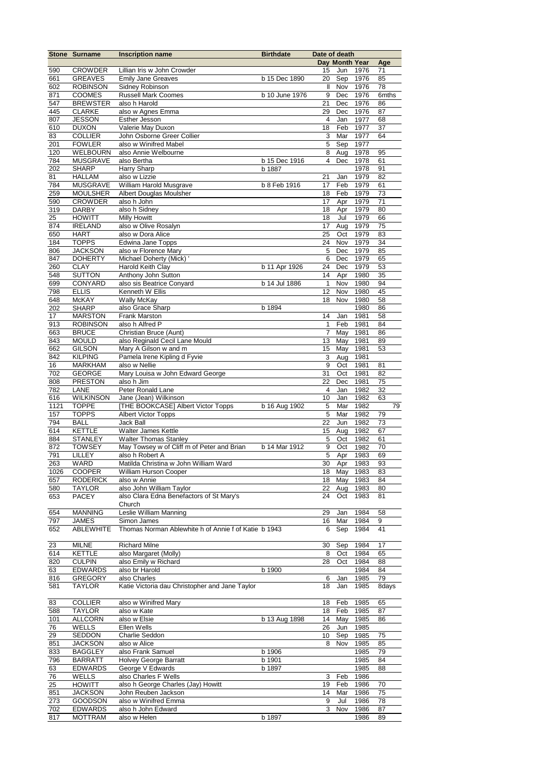|            | <b>Stone Surname</b>              | <b>Inscription name</b>                                              | <b>Birthdate</b> | Date of death      |                |              |             |
|------------|-----------------------------------|----------------------------------------------------------------------|------------------|--------------------|----------------|--------------|-------------|
|            |                                   |                                                                      |                  |                    | Day Month Year |              | Age         |
| 590        | <b>CROWDER</b>                    | Lillian Iris w John Crowder                                          |                  | 15                 | Jun            | 1976         | 71          |
| 661<br>602 | <b>GREAVES</b><br><b>ROBINSON</b> | <b>Emily Jane Greaves</b>                                            | b 15 Dec 1890    | 20<br>$\mathbf{I}$ | Sep<br>Nov     | 1976<br>1976 | 85          |
| 871        | <b>COOMES</b>                     | Sidney Robinson<br>Russell Mark Coomes                               | b 10 June 1976   | 9                  | Dec            | 1976         | 78<br>6mths |
| 547        | <b>BREWSTER</b>                   | also h Harold                                                        |                  | 21                 | Dec            | 1976         | 86          |
| 445        | <b>CLARKE</b>                     | also w Agnes Emma                                                    |                  | 29                 | Dec            | 1976         | 87          |
| 807        | <b>JESSON</b>                     | Esther Jesson                                                        |                  | 4                  | Jan            | 1977         | 68          |
| 610        | <b>DUXON</b>                      | Valerie May Duxon                                                    |                  | 18                 | Feb            | 1977         | 37          |
| 83         | <b>COLLIER</b>                    | John Osborne Greer Collier                                           |                  | 3                  | Mar            | 1977         | 64          |
| 201        | <b>FOWLER</b>                     | also w Winifred Mabel                                                |                  | $\mathbf 5$        | Sep            | 1977         |             |
| 120        | <b>WELBOURN</b>                   | also Annie Welbourne                                                 |                  | 8                  | Aug            | 1978         | 95          |
| 784        | <b>MUSGRAVE</b>                   | also Bertha                                                          | b 15 Dec 1916    | $\overline{4}$     | Dec            | 1978         | 61          |
| 202        | <b>SHARP</b>                      | Harry Sharp                                                          | b 1887           |                    |                | 1978         | 91          |
| 81         | <b>HALLAM</b>                     | also w Lizzie                                                        |                  | 21                 | Jan            | 1979         | 82          |
| 784        | <b>MUSGRAVE</b>                   | William Harold Musgrave                                              | b 8 Feb 1916     | 17                 | Feb            | 1979         | 61          |
| 259<br>590 | <b>MOULSHER</b><br><b>CROWDER</b> | Albert Douglas Moulsher<br>also h John                               |                  | 18<br>17           | Feb<br>Apr     | 1979<br>1979 | 73<br>71    |
| 319        | <b>DARBY</b>                      | also h Sidney                                                        |                  | 18                 | Apr            | 1979         | 80          |
| 25         | <b>HOWITT</b>                     | <b>Milly Howitt</b>                                                  |                  | 18                 | Jul            | 1979         | 66          |
| 874        | <b>IRELAND</b>                    | also w Olive Rosalyn                                                 |                  | 17                 | Aug            | 1979         | 75          |
| 650        | <b>HART</b>                       | also w Dora Alice                                                    |                  | 25                 | Oct            | 1979         | 83          |
| 184        | <b>TOPPS</b>                      | Edwina Jane Topps                                                    |                  | 24                 | Nov            | 1979         | 34          |
| 806        | <b>JACKSON</b>                    | also w Florence Mary                                                 |                  | 5                  | Dec            | 1979         | 85          |
| 847        | <b>DOHERTY</b>                    | Michael Doherty (Mick) '                                             |                  | 6                  | Dec            | 1979         | 65          |
| 260        | <b>CLAY</b>                       | Harold Keith Clay                                                    | b 11 Apr 1926    | 24                 | Dec            | 1979         | 53          |
| 548        | <b>SUTTON</b>                     | Anthony John Sutton                                                  |                  | 14                 | Apr            | 1980         | 35          |
| 699        | CONYARD                           | also sis Beatrice Conyard                                            | b 14 Jul 1886    | $\mathbf{1}$       | Nov            | 1980         | 94          |
| 798        | <b>ELLIS</b>                      | Kenneth W Ellis                                                      |                  | 12                 | Nov            | 1980         | 45          |
| 648<br>202 | <b>McKAY</b><br><b>SHARP</b>      | <b>Wally McKay</b><br>also Grace Sharp                               | b 1894           | 18                 | Nov            | 1980<br>1980 | 58<br>86    |
| 17         | <b>MARSTON</b>                    | <b>Frank Marston</b>                                                 |                  | 14                 | Jan            | 1981         | 58          |
| 913        | <b>ROBINSON</b>                   | also h Alfred P                                                      |                  | 1                  | Feb            | 1981         | 84          |
| 663        | <b>BRUCE</b>                      | Christian Bruce (Aunt)                                               |                  | 7                  | May            | 1981         | 86          |
| 843        | <b>MOULD</b>                      | also Reginald Cecil Lane Mould                                       |                  | 13                 | May            | 1981         | 89          |
| 662        | <b>GILSON</b>                     | Mary A Gilson w and m                                                |                  | 15                 | May            | 1981         | 53          |
| 842        | <b>KILPING</b>                    | Pamela Irene Kipling d Fyvie                                         |                  | 3                  | Aug            | 1981         |             |
| 16         | <b>MARKHAM</b>                    | also w Nellie                                                        |                  | 9                  | Oct            | 1981         | 81          |
| 702        | <b>GEORGE</b>                     | Mary Louisa w John Edward George                                     |                  | 31                 | Oct            | 1981         | 82          |
| 808        | <b>PRESTON</b>                    | also h Jim                                                           |                  | 22                 | Dec            | 1981         | 75          |
| 782<br>616 | LANE<br><b>WILKINSON</b>          | Peter Ronald Lane                                                    |                  | 4<br>10            | Jan            | 1982<br>1982 | 32<br>63    |
| 1121       | <b>TOPPE</b>                      | Jane (Jean) Wilkinson<br>[THE BOOKCASE] Albert Victor Topps          | b 16 Aug 1902    | $\mathbf 5$        | Jan<br>Mar     | 1982         | 79          |
| 157        | <b>TOPPS</b>                      | <b>Albert Victor Topps</b>                                           |                  | 5                  | Mar            | 1982         | 79          |
| 794        | <b>BALL</b>                       | Jack Ball                                                            |                  | 22                 | Jun            | 1982         | 73          |
| 614        | <b>KETTLE</b>                     | Walter James Kettle                                                  |                  | 15                 | Aug            | 1982         | 67          |
| 884        | <b>STANLEY</b>                    | <b>Walter Thomas Stanley</b>                                         |                  | 5                  | Oct            | 1982         | 61          |
| 872        | <b>TOWSEY</b>                     | May Towsey w of Cliff m of Peter and Brian                           | b 14 Mar 1912    | 9                  | Oct            | 1982         | 70          |
| 791        | LILLEY                            | also h Robert A                                                      |                  | $\overline{5}$     | Apr            | 1983         | 69          |
| 263        | <b>WARD</b>                       | Matilda Christina w John William Ward                                |                  |                    | 30 Apr         | 1983         | 93          |
| 1026       | <b>COOPER</b>                     | <b>William Hurson Cooper</b>                                         |                  |                    | 18 May 1983    |              | 83          |
| 657        | <b>RODERICK</b>                   | also w Annie                                                         |                  | 18                 | May            | 1983         | 84          |
| 580<br>653 | <b>TAYLOR</b><br>PACEY            | also John William Taylor<br>also Clara Edna Benefactors of St Mary's |                  | 22<br>24           | Aug<br>Oct     | 1983<br>1983 | 80<br>81    |
|            |                                   | Church                                                               |                  |                    |                |              |             |
| 654        | <b>MANNING</b>                    | Leslie William Manning                                               |                  | 29                 | Jan            | 1984         | 58          |
| 797        | <b>JAMES</b>                      | Simon James                                                          |                  | 16                 | Mar            | 1984         | 9           |
| 652        | ABLEWHITE                         | Thomas Norman Ablewhite h of Annie f of Katie b 1943                 |                  | 6                  | Sep            | 1984         | 41          |
|            |                                   |                                                                      |                  |                    |                |              |             |
| 23         | <b>MILNE</b>                      | <b>Richard Milne</b>                                                 |                  | 30                 | Sep            | 1984         | 17          |
| 614        | <b>KETTLE</b>                     | also Margaret (Molly)                                                |                  | 8                  | Oct            | 1984         | 65          |
| 820        | <b>CULPIN</b>                     | also Emily w Richard                                                 |                  | 28                 | Oct            | 1984         | 88          |
| 63         | <b>EDWARDS</b>                    | also br Harold                                                       | b 1900           |                    |                | 1984         | 84          |
| 816        | <b>GREGORY</b>                    | also Charles                                                         |                  | 6                  | Jan            | 1985         | 79          |
| 581        | <b>TAYLOR</b>                     | Katie Victoria dau Christopher and Jane Taylor                       |                  | 18                 | Jan            | 1985         | 8days       |
| 83         | <b>COLLIER</b>                    | also w Winifred Mary                                                 |                  | 18                 | Feb            | 1985         | 65          |
| 588        | <b>TAYLOR</b>                     | also w Kate                                                          |                  | 18                 | Feb            | 1985         | 87          |
| 101        | <b>ALLCORN</b>                    | also w Elsie                                                         | b 13 Aug 1898    | 14                 | May            | 1985         | 86          |
| 76         | <b>WELLS</b>                      | Ellen Wells                                                          |                  | 26                 | Jun            | 1985         |             |
| 29         | SEDDON                            | Charlie Seddon                                                       |                  | 10                 | Sep            | 1985         | 75          |
| 851        | <b>JACKSON</b>                    | also w Alice                                                         |                  | 8                  | Nov            | 1985         | 85          |
| 833        | <b>BAGGLEY</b>                    | also Frank Samuel                                                    | b 1906           |                    |                | 1985         | 79          |
| 796        | <b>BARRATT</b>                    | <b>Holvey George Barratt</b>                                         | b 1901           |                    |                | 1985         | 84          |
| 63         | <b>EDWARDS</b>                    | George V Edwards                                                     | b 1897           |                    |                | 1985         | 88          |
| 76         | WELLS                             | also Charles F Wells                                                 |                  | 3                  | Feb            | 1986         |             |
| 25         | <b>HOWITT</b>                     | also h George Charles (Jay) Howitt                                   |                  | 19                 | Feb            | 1986         | 70          |
| 851<br>273 | <b>JACKSON</b>                    | John Reuben Jackson<br>also w Winifred Emma                          |                  | 14<br>9            | Mar            | 1986         | 75<br>78    |
| 702        | GOODSON<br><b>EDWARDS</b>         | also h John Edward                                                   |                  | 3                  | Jul<br>Nov     | 1986<br>1986 | 87          |
| 817        | <b>MOTTRAM</b>                    | also w Helen                                                         | b 1897           |                    |                | 1986         | 89          |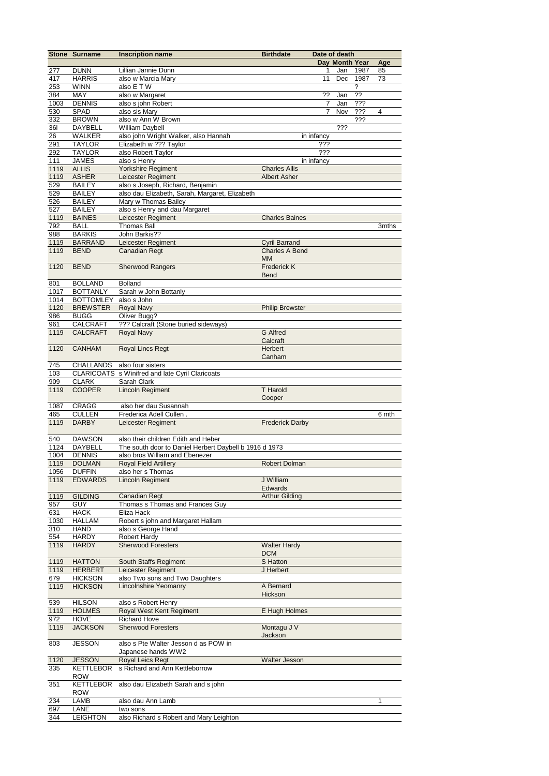|             | Stone Surname                  | <b>Inscription name</b>                                                            | <b>Birthdate</b>       | Date of death |                |      |                |
|-------------|--------------------------------|------------------------------------------------------------------------------------|------------------------|---------------|----------------|------|----------------|
|             |                                |                                                                                    |                        |               | Day Month Year |      | Age            |
| 277         | <b>DUNN</b>                    | Lillian Jannie Dunn                                                                |                        | 1             | Jan            | 1987 | 85             |
| 417         | <b>HARRIS</b>                  | also w Marcia Mary                                                                 |                        | 11            | Dec            | 1987 | 73             |
| 253         | <b>WINN</b>                    | also E T W                                                                         |                        |               |                | ?    |                |
| 384         | MAY                            | also w Margaret                                                                    |                        | ??            | Jan            | ??   |                |
| 1003        | <b>DENNIS</b>                  | also s john Robert                                                                 |                        | 7             | Jan            | ???  |                |
| 530         | <b>SPAD</b>                    | also sis Mary                                                                      |                        | 7             | Nov            | ???  | $\overline{4}$ |
| 332         | <b>BROWN</b>                   | also w Ann W Brown                                                                 |                        |               |                | ???  |                |
| <b>36I</b>  | <b>DAYBELL</b>                 | William Daybell                                                                    |                        |               | ???            |      |                |
| 26          | <b>WALKER</b>                  | also john Wright Walker, also Hannah                                               |                        | in infancy    |                |      |                |
| 291         | <b>TAYLOR</b>                  | Elizabeth w ??? Taylor                                                             |                        | ???           |                |      |                |
| 292         | <b>TAYLOR</b>                  | also Robert Taylor                                                                 |                        | ???           |                |      |                |
| 111         | <b>JAMES</b>                   | also s Henry                                                                       |                        | in infancy    |                |      |                |
| 1119        | <b>ALLIS</b>                   | Yorkshire Regiment                                                                 | <b>Charles Allis</b>   |               |                |      |                |
| 1119<br>529 | <b>ASHER</b>                   | Leicester Regiment                                                                 | <b>Albert Asher</b>    |               |                |      |                |
| 529         | <b>BAILEY</b><br><b>BAILEY</b> | also s Joseph, Richard, Benjamin<br>also dau Elizabeth, Sarah, Margaret, Elizabeth |                        |               |                |      |                |
| 526         | <b>BAILEY</b>                  | Mary w Thomas Bailey                                                               |                        |               |                |      |                |
| 527         | <b>BAILEY</b>                  | also s Henry and dau Margaret                                                      |                        |               |                |      |                |
| 1119        | <b>BAINES</b>                  | Leicester Regiment                                                                 | <b>Charles Baines</b>  |               |                |      |                |
| 792         | <b>BALL</b>                    | <b>Thomas Ball</b>                                                                 |                        |               |                |      | 3mths          |
| 988         | <b>BARKIS</b>                  | John Barkis??                                                                      |                        |               |                |      |                |
| 1119        | <b>BARRAND</b>                 | <b>Leicester Regiment</b>                                                          | <b>Cyril Barrand</b>   |               |                |      |                |
| 1119        | <b>BEND</b>                    | <b>Canadian Regt</b>                                                               | <b>Charles A Bend</b>  |               |                |      |                |
|             |                                |                                                                                    | <b>MM</b>              |               |                |      |                |
| 1120        | <b>BEND</b>                    | <b>Sherwood Rangers</b>                                                            | <b>Frederick K</b>     |               |                |      |                |
|             |                                |                                                                                    | <b>Bend</b>            |               |                |      |                |
| 801         | <b>BOLLAND</b>                 | <b>Bolland</b>                                                                     |                        |               |                |      |                |
| 1017        | <b>BOTTANLY</b>                | Sarah w John Bottanly                                                              |                        |               |                |      |                |
| 1014        | <b>BOTTOMLEY</b>               | also s John                                                                        |                        |               |                |      |                |
| 1120        | <b>BREWSTER</b>                | <b>Royal Navy</b>                                                                  | <b>Philip Brewster</b> |               |                |      |                |
| 986         | <b>BUGG</b>                    | Oliver Bugg?                                                                       |                        |               |                |      |                |
| 961         | <b>CALCRAFT</b>                | ??? Calcraft (Stone buried sideways)                                               |                        |               |                |      |                |
| 1119        | <b>CALCRAFT</b>                | <b>Royal Navy</b>                                                                  | <b>G</b> Alfred        |               |                |      |                |
|             |                                |                                                                                    | Calcraft               |               |                |      |                |
| 1120        | <b>CANHAM</b>                  | Royal Lincs Regt                                                                   | Herbert                |               |                |      |                |
|             |                                |                                                                                    | Canham                 |               |                |      |                |
| 745<br>103  | <b>CHALLANDS</b>               | also four sisters<br>CLARICOATS s Winifred and late Cyril Claricoats               |                        |               |                |      |                |
| 909         | <b>CLARK</b>                   | Sarah Clark                                                                        |                        |               |                |      |                |
| 1119        | <b>COOPER</b>                  | <b>Lincoln Regiment</b>                                                            | <b>T</b> Harold        |               |                |      |                |
|             |                                |                                                                                    | Cooper                 |               |                |      |                |
| 1087        | CRAGG                          | also her dau Susannah                                                              |                        |               |                |      |                |
| 465         | <b>CULLEN</b>                  | Frederica Adell Cullen.                                                            |                        |               |                |      | 6 mth          |
| 1119        | <b>DARBY</b>                   | Leicester Regiment                                                                 | <b>Frederick Darby</b> |               |                |      |                |
|             |                                |                                                                                    |                        |               |                |      |                |
| 540         | <b>DAWSON</b>                  | also their children Edith and Heber                                                |                        |               |                |      |                |
| 1124        | DAYBELL                        | The south door to Daniel Herbert Daybell b 1916 d 1973                             |                        |               |                |      |                |
| 1004        | <b>DENNIS</b>                  | also bros William and Ebenezer                                                     |                        |               |                |      |                |
| 1119        | <b>DOLMAN</b>                  | Royal Field Artillery                                                              | Robert Dolman          |               |                |      |                |
| 1056        | <b>DUFFIN</b>                  | also her s Thomas                                                                  |                        |               |                |      |                |
| 1119        | <b>EDWARDS</b>                 | Lincoln Regiment                                                                   | J William              |               |                |      |                |
|             |                                |                                                                                    | <b>Edwards</b>         |               |                |      |                |
| 1119<br>957 | <b>GILDING</b><br><b>GUY</b>   | <b>Canadian Regt</b><br>Thomas s Thomas and Frances Guy                            | <b>Arthur Gilding</b>  |               |                |      |                |
| 631         | <b>HACK</b>                    | Eliza Hack                                                                         |                        |               |                |      |                |
| 1030        | HALLAM                         | Robert s john and Margaret Hallam                                                  |                        |               |                |      |                |
| 310         | HAND                           | also s George Hand                                                                 |                        |               |                |      |                |
| 554         | HARDY                          | Robert Hardy                                                                       |                        |               |                |      |                |
| 1119        | <b>HARDY</b>                   | <b>Sherwood Foresters</b>                                                          | <b>Walter Hardy</b>    |               |                |      |                |
|             |                                |                                                                                    | <b>DCM</b>             |               |                |      |                |
| 1119        | <b>HATTON</b>                  | South Staffs Regiment                                                              | S Hatton               |               |                |      |                |
| 1119        | <b>HERBERT</b>                 | Leicester Regiment                                                                 | J Herbert              |               |                |      |                |
| 679         | <b>HICKSON</b>                 | also Two sons and Two Daughters                                                    |                        |               |                |      |                |
| 1119        | <b>HICKSON</b>                 | <b>Lincolnshire Yeomanry</b>                                                       | A Bernard              |               |                |      |                |
|             |                                |                                                                                    | Hickson                |               |                |      |                |
| 539         | <b>HILSON</b>                  | also s Robert Henry                                                                |                        |               |                |      |                |
| 1119        | <b>HOLMES</b>                  | Royal West Kent Regiment                                                           | E Hugh Holmes          |               |                |      |                |
| 972         | <b>HOVE</b>                    | <b>Richard Hove</b>                                                                |                        |               |                |      |                |
| 1119        | <b>JACKSON</b>                 | <b>Sherwood Foresters</b>                                                          | Montagu J V<br>Jackson |               |                |      |                |
| 803         | <b>JESSON</b>                  | also s Pte Walter Jesson d as POW in                                               |                        |               |                |      |                |
|             |                                | Japanese hands WW2                                                                 |                        |               |                |      |                |
| 1120        | <b>JESSON</b>                  | Royal Leics Regt                                                                   | Walter Jesson          |               |                |      |                |
| 335         | <b>KETTLEBOR</b>               | s Richard and Ann Kettleborrow                                                     |                        |               |                |      |                |
|             | <b>ROW</b>                     |                                                                                    |                        |               |                |      |                |
| 351         | <b>KETTLEBOR</b>               | also dau Elizabeth Sarah and s john                                                |                        |               |                |      |                |
|             | <b>ROW</b>                     |                                                                                    |                        |               |                |      |                |
| 234         | LAMB                           | also dau Ann Lamb                                                                  |                        |               |                |      | 1              |
| 697         | LANE                           | two sons                                                                           |                        |               |                |      |                |
| 344         | <b>LEIGHTON</b>                | also Richard s Robert and Mary Leighton                                            |                        |               |                |      |                |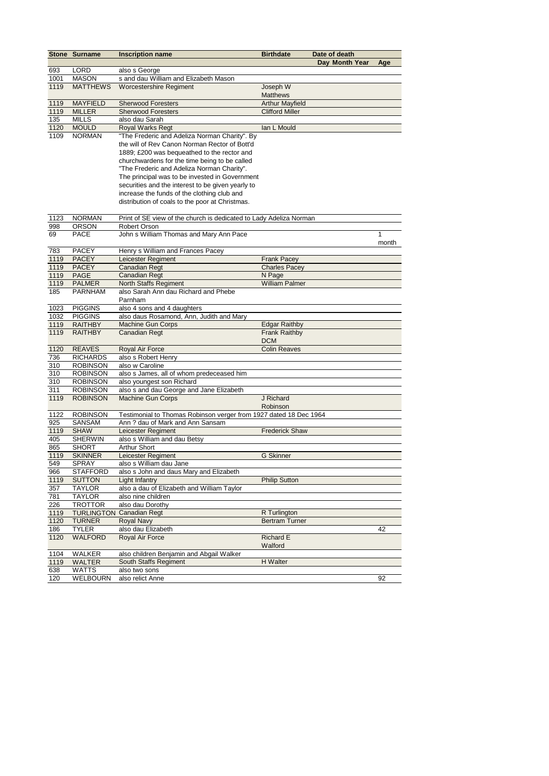|            | Stone Surname                      | <b>Inscription name</b>                                                                      | <b>Birthdate</b>       | Date of death  |       |
|------------|------------------------------------|----------------------------------------------------------------------------------------------|------------------------|----------------|-------|
|            |                                    |                                                                                              |                        | Day Month Year | Age   |
| 693        | <b>LORD</b>                        | also s George                                                                                |                        |                |       |
| 1001       | <b>MASON</b>                       | s and dau William and Elizabeth Mason                                                        |                        |                |       |
| 1119       | <b>MATTHEWS</b>                    | <b>Worcestershire Regiment</b>                                                               | Joseph W               |                |       |
|            |                                    |                                                                                              | <b>Matthews</b>        |                |       |
| 1119       | <b>MAYFIELD</b>                    | <b>Sherwood Foresters</b>                                                                    | <b>Arthur Mayfield</b> |                |       |
| 1119       | <b>MILLER</b>                      | <b>Sherwood Foresters</b>                                                                    | <b>Clifford Miller</b> |                |       |
| 135        | <b>MILLS</b>                       | also dau Sarah                                                                               |                        |                |       |
| 1120       | <b>MOULD</b>                       | Royal Warks Regt                                                                             | lan L Mould            |                |       |
| 1109       | <b>NORMAN</b>                      | "The Frederic and Adeliza Norman Charity". By                                                |                        |                |       |
|            |                                    | the will of Rev Canon Norman Rector of Bott'd                                                |                        |                |       |
|            |                                    | 1889; £200 was bequeathed to the rector and                                                  |                        |                |       |
|            |                                    | churchwardens for the time being to be called                                                |                        |                |       |
|            |                                    | "The Frederic and Adeliza Norman Charity".<br>The principal was to be invested in Government |                        |                |       |
|            |                                    | securities and the interest to be given yearly to                                            |                        |                |       |
|            |                                    | increase the funds of the clothing club and                                                  |                        |                |       |
|            |                                    | distribution of coals to the poor at Christmas.                                              |                        |                |       |
|            |                                    |                                                                                              |                        |                |       |
| 1123       | <b>NORMAN</b>                      | Print of SE view of the church is dedicated to Lady Adeliza Norman                           |                        |                |       |
| 998        | <b>ORSON</b>                       | Robert Orson                                                                                 |                        |                |       |
| 69         | PACE                               | John s William Thomas and Mary Ann Pace                                                      |                        |                | 1     |
|            |                                    |                                                                                              |                        |                | month |
| 783        | <b>PACEY</b>                       | Henry s William and Frances Pacey                                                            |                        |                |       |
| 1119       | <b>PACEY</b>                       | Leicester Regiment                                                                           | <b>Frank Pacey</b>     |                |       |
| 1119       | <b>PACEY</b>                       | <b>Canadian Regt</b>                                                                         | <b>Charles Pacey</b>   |                |       |
| 1119       | <b>PAGE</b>                        | <b>Canadian Regt</b>                                                                         | N Page                 |                |       |
| 1119       | <b>PALMER</b>                      | North Staffs Regiment                                                                        | <b>William Palmer</b>  |                |       |
| 185        | <b>PARNHAM</b>                     | also Sarah Ann dau Richard and Phebe                                                         |                        |                |       |
|            |                                    | Parnham                                                                                      |                        |                |       |
| 1023       | <b>PIGGINS</b>                     | also 4 sons and 4 daughters                                                                  |                        |                |       |
| 1032       | <b>PIGGINS</b>                     | also daus Rosamond, Ann, Judith and Mary                                                     |                        |                |       |
| 1119       | <b>RAITHBY</b>                     | <b>Machine Gun Corps</b>                                                                     | <b>Edgar Raithby</b>   |                |       |
| 1119       | <b>RAITHBY</b>                     | Canadian Regt                                                                                | <b>Frank Raithby</b>   |                |       |
|            |                                    |                                                                                              | <b>DCM</b>             |                |       |
| 1120       | <b>REAVES</b>                      | Royal Air Force                                                                              | <b>Colin Reaves</b>    |                |       |
| 736        | <b>RICHARDS</b>                    | also s Robert Henry                                                                          |                        |                |       |
| 310        | <b>ROBINSON</b>                    | also w Caroline                                                                              |                        |                |       |
| 310        | <b>ROBINSON</b><br><b>ROBINSON</b> | also s James, all of whom predeceased him<br>also youngest son Richard                       |                        |                |       |
| 310<br>311 | <b>ROBINSON</b>                    | also s and dau George and Jane Elizabeth                                                     |                        |                |       |
| 1119       | <b>ROBINSON</b>                    | Machine Gun Corps                                                                            | J Richard              |                |       |
|            |                                    |                                                                                              | Robinson               |                |       |
| 1122       | <b>ROBINSON</b>                    | Testimonial to Thomas Robinson verger from 1927 dated 18 Dec 1964                            |                        |                |       |
| 925        | SANSAM                             | Ann? dau of Mark and Ann Sansam                                                              |                        |                |       |
| 1119       | <b>SHAW</b>                        | <b>Leicester Regiment</b>                                                                    | <b>Frederick Shaw</b>  |                |       |
| 405        | <b>SHERWIN</b>                     | also s William and dau Betsy                                                                 |                        |                |       |
| 865        | <b>SHORT</b>                       | <b>Arthur Short</b>                                                                          |                        |                |       |
| 1119       | <b>SKINNER</b>                     | Leicester Regiment                                                                           | <b>G</b> Skinner       |                |       |
| 549        | SPRAY                              | also s William dau Jane                                                                      |                        |                |       |
| 966        | <b>STAFFORD</b>                    | also s John and daus Mary and Elizabeth                                                      |                        |                |       |
| 1119       | <b>SUTTON</b>                      | <b>Light Infantry</b>                                                                        | <b>Philip Sutton</b>   |                |       |
| 357        | <b>TAYLOR</b>                      | also a dau of Elizabeth and William Taylor                                                   |                        |                |       |
| 781        | <b>TAYLOR</b>                      | also nine children                                                                           |                        |                |       |
| 226        | <b>TROTTOR</b>                     | also dau Dorothy                                                                             |                        |                |       |
| 1119       | <b>TURLINGTON</b>                  | <b>Canadian Regt</b>                                                                         | R Turlington           |                |       |
| 1120       | <b>TURNER</b>                      | <b>Royal Navy</b>                                                                            | <b>Bertram Turner</b>  |                |       |
| 186        | <b>TYLER</b>                       | also dau Elizabeth                                                                           |                        |                | 42    |
| 1120       | <b>WALFORD</b>                     | Royal Air Force                                                                              | Richard E              |                |       |
|            |                                    |                                                                                              | Walford                |                |       |
| 1104       | <b>WALKER</b>                      | also children Benjamin and Abgail Walker                                                     |                        |                |       |
| 1119       | <b>WALTER</b>                      | South Staffs Regiment                                                                        | H Walter               |                |       |
| 638        | WATTS                              | also two sons                                                                                |                        |                |       |
| 120        | WELBOURN                           | also relict Anne                                                                             |                        |                | 92    |